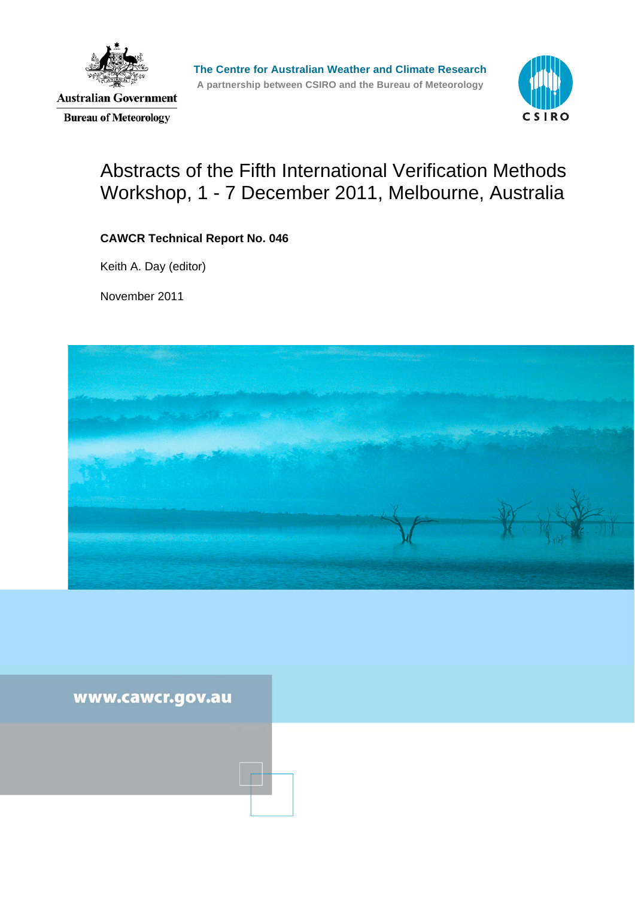

**Australian Government Bureau of Meteorology** 



# Abstracts of the Fifth International Verification Methods Workshop, 1 - 7 December 2011, Melbourne, Australia

### **CAWCR Technical Report No. 046**

Keith A. Day (editor)

November 2011



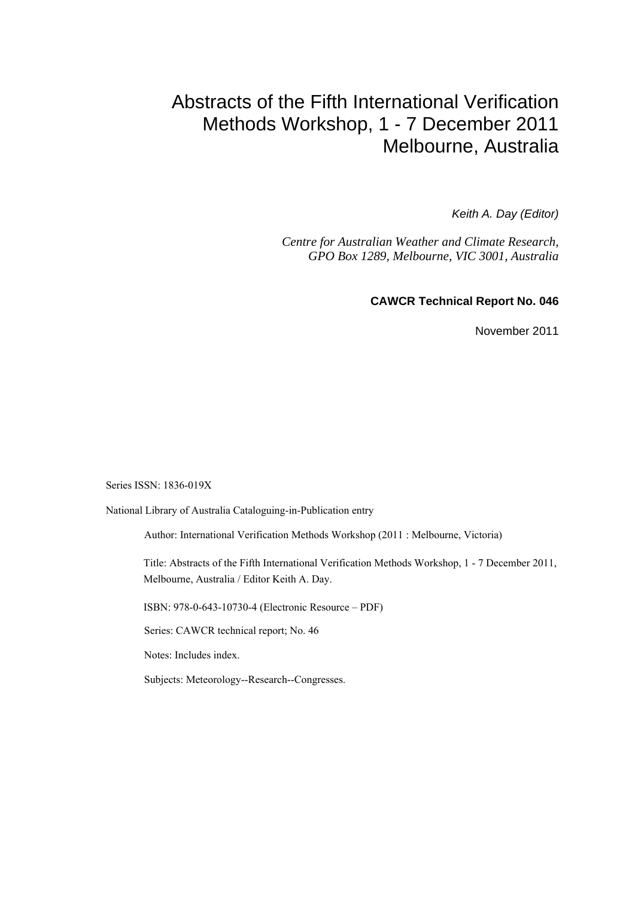# Abstracts of the Fifth International Verification Methods Workshop, 1 - 7 December 2011 Melbourne, Australia

*Keith A. Day (Editor)* 

*Centre for Australian Weather and Climate Research, GPO Box 1289, Melbourne, VIC 3001, Australia* 

**CAWCR Technical Report No. 046** 

November 2011

Series ISSN: 1836-019X

National Library of Australia Cataloguing-in-Publication entry

Author: International Verification Methods Workshop (2011 : Melbourne, Victoria)

Title: Abstracts of the Fifth International Verification Methods Workshop, 1 - 7 December 2011, Melbourne, Australia / Editor Keith A. Day.

ISBN: 978-0-643-10730-4 (Electronic Resource – PDF)

Series: CAWCR technical report; No. 46

Notes: Includes index.

Subjects: Meteorology--Research--Congresses.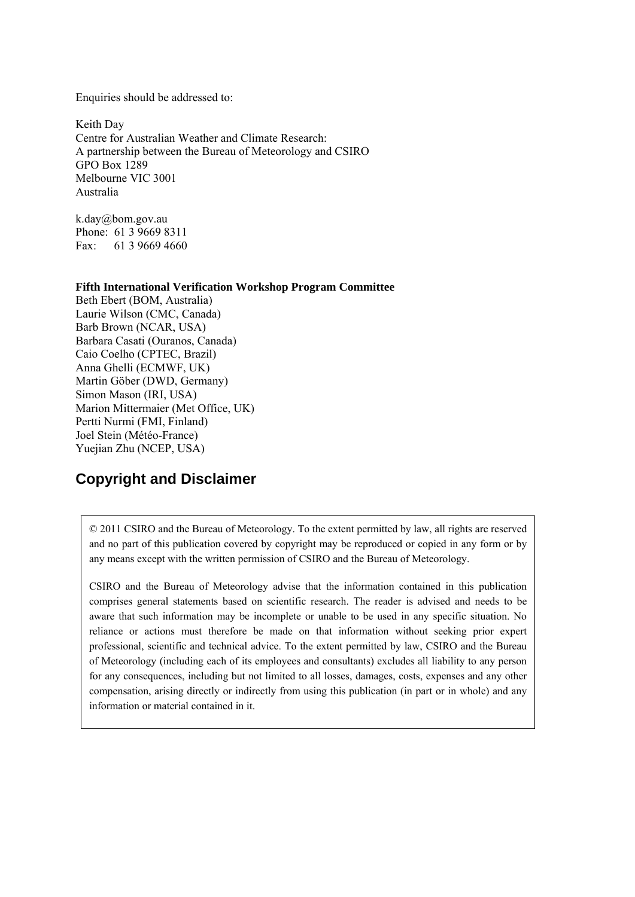Enquiries should be addressed to:

Keith Day Centre for Australian Weather and Climate Research: A partnership between the Bureau of Meteorology and CSIRO GPO Box 1289 Melbourne VIC 3001 Australia

k.day@bom.gov.au Phone: 61 3 9669 8311 Fax: 61 3 9669 4660

#### **Fifth International Verification Workshop Program Committee**

Beth Ebert (BOM, Australia) Laurie Wilson (CMC, Canada) Barb Brown (NCAR, USA) Barbara Casati (Ouranos, Canada) Caio Coelho (CPTEC, Brazil) Anna Ghelli (ECMWF, UK) Martin Göber (DWD, Germany) Simon Mason (IRI, USA) Marion Mittermaier (Met Office, UK) Pertti Nurmi (FMI, Finland) Joel Stein (Météo-France) Yuejian Zhu (NCEP, USA)

# **Copyright and Disclaimer**

© 2011 CSIRO and the Bureau of Meteorology. To the extent permitted by law, all rights are reserved and no part of this publication covered by copyright may be reproduced or copied in any form or by any means except with the written permission of CSIRO and the Bureau of Meteorology.

CSIRO and the Bureau of Meteorology advise that the information contained in this publication comprises general statements based on scientific research. The reader is advised and needs to be aware that such information may be incomplete or unable to be used in any specific situation. No reliance or actions must therefore be made on that information without seeking prior expert professional, scientific and technical advice. To the extent permitted by law, CSIRO and the Bureau of Meteorology (including each of its employees and consultants) excludes all liability to any person for any consequences, including but not limited to all losses, damages, costs, expenses and any other compensation, arising directly or indirectly from using this publication (in part or in whole) and any information or material contained in it.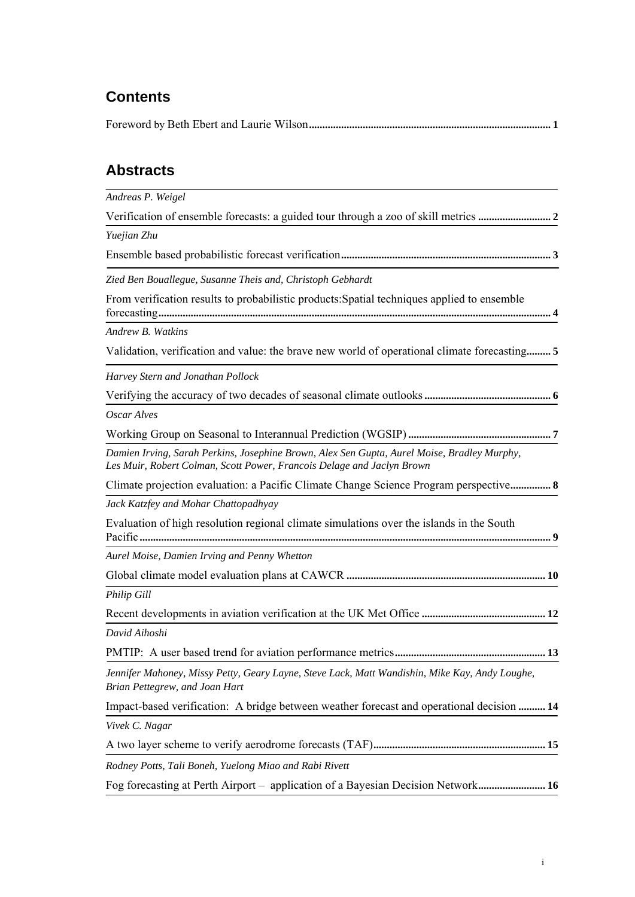# **Contents**

|--|--|

# **Abstracts**

| Andreas P. Weigel                                                                                                                                                     |
|-----------------------------------------------------------------------------------------------------------------------------------------------------------------------|
|                                                                                                                                                                       |
| Yuejian Zhu                                                                                                                                                           |
|                                                                                                                                                                       |
| Zied Ben Bouallegue, Susanne Theis and, Christoph Gebhardt                                                                                                            |
| From verification results to probabilistic products: Spatial techniques applied to ensemble                                                                           |
| Andrew B. Watkins                                                                                                                                                     |
|                                                                                                                                                                       |
| Harvey Stern and Jonathan Pollock                                                                                                                                     |
|                                                                                                                                                                       |
| Oscar Alves                                                                                                                                                           |
|                                                                                                                                                                       |
| Damien Irving, Sarah Perkins, Josephine Brown, Alex Sen Gupta, Aurel Moise, Bradley Murphy,<br>Les Muir, Robert Colman, Scott Power, Francois Delage and Jaclyn Brown |
| Climate projection evaluation: a Pacific Climate Change Science Program perspective 8                                                                                 |
| Jack Katzfey and Mohar Chattopadhyay                                                                                                                                  |
| Evaluation of high resolution regional climate simulations over the islands in the South                                                                              |
| Aurel Moise, Damien Irving and Penny Whetton                                                                                                                          |
|                                                                                                                                                                       |
| Philip Gill                                                                                                                                                           |
|                                                                                                                                                                       |
| David Aihoshi                                                                                                                                                         |
|                                                                                                                                                                       |
| Jennifer Mahoney, Missy Petty, Geary Layne, Steve Lack, Matt Wandishin, Mike Kay, Andy Loughe,<br>Brian Pettegrew, and Joan Hart                                      |
| Impact-based verification: A bridge between weather forecast and operational decision  14                                                                             |
| Vivek C. Nagar                                                                                                                                                        |
|                                                                                                                                                                       |
| Rodney Potts, Tali Boneh, Yuelong Miao and Rabi Rivett                                                                                                                |
| Fog forecasting at Perth Airport - application of a Bayesian Decision Network 16                                                                                      |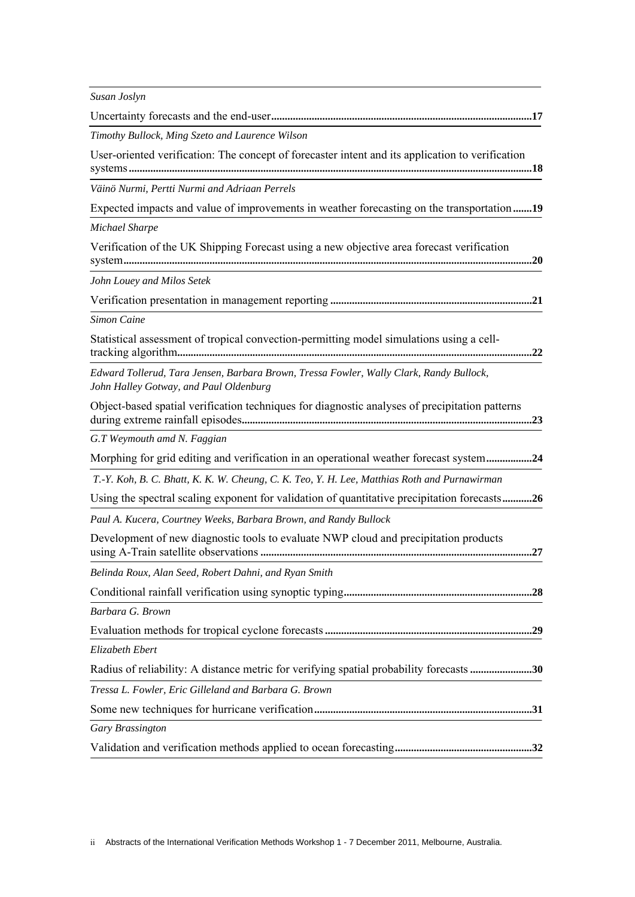| Susan Joslyn                                                                                                                      |
|-----------------------------------------------------------------------------------------------------------------------------------|
|                                                                                                                                   |
| Timothy Bullock, Ming Szeto and Laurence Wilson                                                                                   |
| User-oriented verification: The concept of forecaster intent and its application to verification                                  |
| Väinö Nurmi, Pertti Nurmi and Adriaan Perrels                                                                                     |
| Expected impacts and value of improvements in weather forecasting on the transportation19                                         |
| Michael Sharpe                                                                                                                    |
| Verification of the UK Shipping Forecast using a new objective area forecast verification                                         |
| John Louey and Milos Setek                                                                                                        |
|                                                                                                                                   |
| Simon Caine                                                                                                                       |
| Statistical assessment of tropical convection-permitting model simulations using a cell-                                          |
| Edward Tollerud, Tara Jensen, Barbara Brown, Tressa Fowler, Wally Clark, Randy Bullock,<br>John Halley Gotway, and Paul Oldenburg |
| Object-based spatial verification techniques for diagnostic analyses of precipitation patterns                                    |
| G.T Weymouth amd N. Faggian                                                                                                       |
| Morphing for grid editing and verification in an operational weather forecast system24                                            |
| T.-Y. Koh, B. C. Bhatt, K. K. W. Cheung, C. K. Teo, Y. H. Lee, Matthias Roth and Purnawirman                                      |
| Using the spectral scaling exponent for validation of quantitative precipitation forecasts26                                      |
| Paul A. Kucera, Courtney Weeks, Barbara Brown, and Randy Bullock                                                                  |
| Development of new diagnostic tools to evaluate NWP cloud and precipitation products                                              |
| Belinda Roux, Alan Seed, Robert Dahni, and Ryan Smith                                                                             |
|                                                                                                                                   |
| Barbara G. Brown                                                                                                                  |
|                                                                                                                                   |
| Elizabeth Ebert                                                                                                                   |
| Radius of reliability: A distance metric for verifying spatial probability forecasts 30                                           |
| Tressa L. Fowler, Eric Gilleland and Barbara G. Brown                                                                             |
|                                                                                                                                   |
| Gary Brassington                                                                                                                  |
|                                                                                                                                   |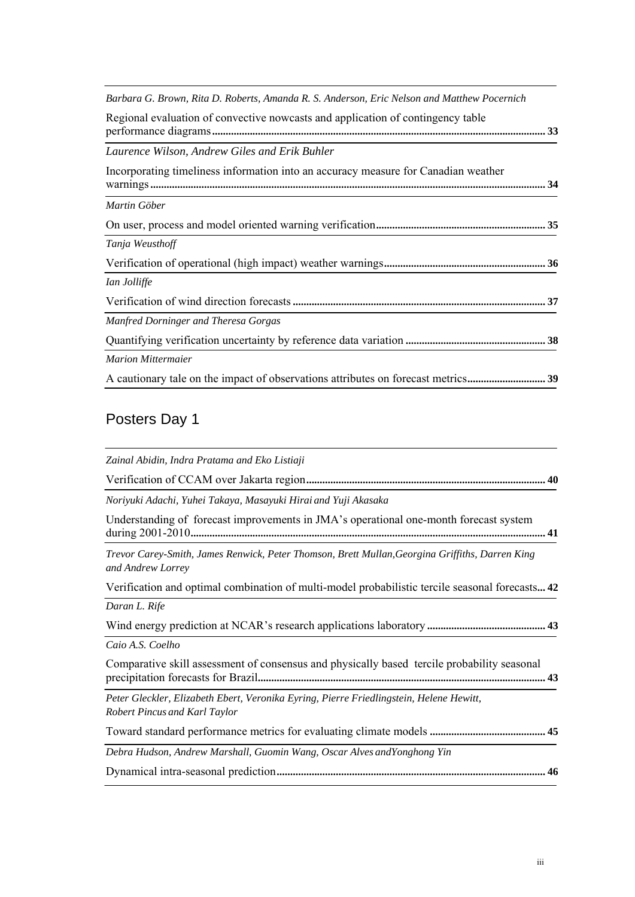| Barbara G. Brown, Rita D. Roberts, Amanda R. S. Anderson, Eric Nelson and Matthew Pocernich |
|---------------------------------------------------------------------------------------------|
| Regional evaluation of convective nowcasts and application of contingency table             |
| Laurence Wilson, Andrew Giles and Erik Buhler                                               |
| Incorporating timeliness information into an accuracy measure for Canadian weather          |
| Martin Göber                                                                                |
|                                                                                             |
| Tanja Weusthoff                                                                             |
|                                                                                             |
| Ian Jolliffe                                                                                |
|                                                                                             |
| Manfred Dorninger and Theresa Gorgas                                                        |
|                                                                                             |
| <b>Marion Mittermaier</b>                                                                   |
| A cautionary tale on the impact of observations attributes on forecast metrics 39           |

# Posters Day 1

| Zainal Abidin, Indra Pratama and Eko Listiaji                                                                                   |
|---------------------------------------------------------------------------------------------------------------------------------|
|                                                                                                                                 |
| Noriyuki Adachi, Yuhei Takaya, Masayuki Hirai and Yuji Akasaka                                                                  |
| Understanding of forecast improvements in JMA's operational one-month forecast system                                           |
| Trevor Carey-Smith, James Renwick, Peter Thomson, Brett Mullan, Georgina Griffiths, Darren King<br>and Andrew Lorrey            |
| Verification and optimal combination of multi-model probabilistic tercile seasonal forecasts 42                                 |
| Daran L. Rife                                                                                                                   |
|                                                                                                                                 |
| Caio A.S. Coelho                                                                                                                |
| Comparative skill assessment of consensus and physically based tercile probability seasonal                                     |
| Peter Gleckler, Elizabeth Ebert, Veronika Eyring, Pierre Friedlingstein, Helene Hewitt,<br><b>Robert Pincus and Karl Taylor</b> |
|                                                                                                                                 |
| Debra Hudson, Andrew Marshall, Guomin Wang, Oscar Alves andYonghong Yin                                                         |
|                                                                                                                                 |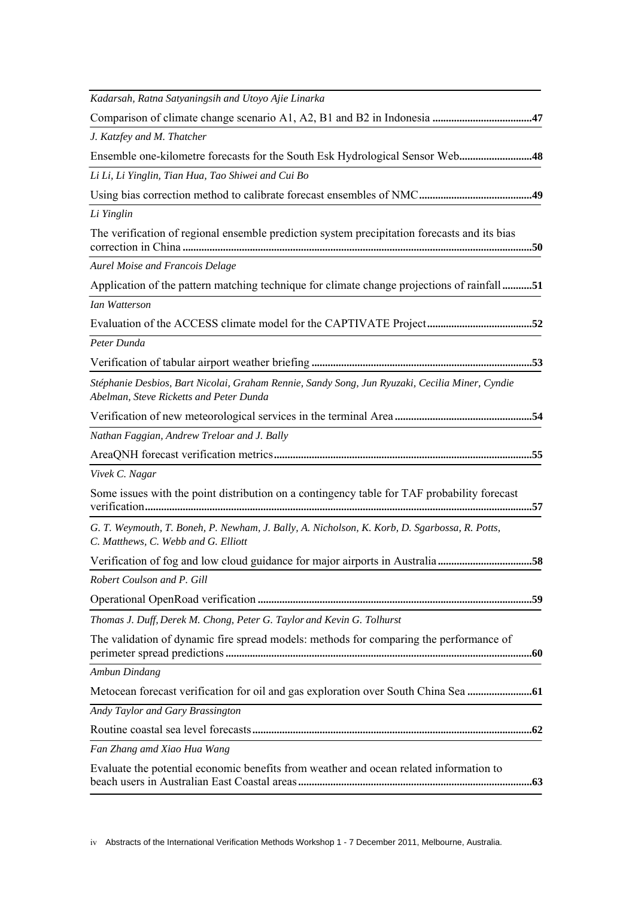| Kadarsah, Ratna Satyaningsih and Utoyo Ajie Linarka                                                                                       |
|-------------------------------------------------------------------------------------------------------------------------------------------|
|                                                                                                                                           |
| J. Katzfey and M. Thatcher                                                                                                                |
| Ensemble one-kilometre forecasts for the South Esk Hydrological Sensor Web48                                                              |
| Li Li, Li Yinglin, Tian Hua, Tao Shiwei and Cui Bo                                                                                        |
|                                                                                                                                           |
| Li Yinglin                                                                                                                                |
| The verification of regional ensemble prediction system precipitation forecasts and its bias                                              |
| <b>Aurel Moise and Francois Delage</b>                                                                                                    |
| Application of the pattern matching technique for climate change projections of rainfall51                                                |
| <b>Ian Watterson</b>                                                                                                                      |
|                                                                                                                                           |
| Peter Dunda                                                                                                                               |
|                                                                                                                                           |
| Stéphanie Desbios, Bart Nicolai, Graham Rennie, Sandy Song, Jun Ryuzaki, Cecilia Miner, Cyndie<br>Abelman, Steve Ricketts and Peter Dunda |
|                                                                                                                                           |
| Nathan Faggian, Andrew Treloar and J. Bally                                                                                               |
|                                                                                                                                           |
| Vivek C. Nagar                                                                                                                            |
| Some issues with the point distribution on a contingency table for TAF probability forecast                                               |
| G. T. Weymouth, T. Boneh, P. Newham, J. Bally, A. Nicholson, K. Korb, D. Sgarbossa, R. Potts,<br>C. Matthews, C. Webb and G. Elliott      |
| Verification of fog and low cloud guidance for major airports in Australia 58                                                             |
| Robert Coulson and P. Gill                                                                                                                |
|                                                                                                                                           |
| Thomas J. Duff, Derek M. Chong, Peter G. Taylor and Kevin G. Tolhurst                                                                     |
| The validation of dynamic fire spread models: methods for comparing the performance of                                                    |
| Ambun Dindang                                                                                                                             |
|                                                                                                                                           |
| Andy Taylor and Gary Brassington                                                                                                          |
|                                                                                                                                           |
| Fan Zhang amd Xiao Hua Wang                                                                                                               |
| Evaluate the potential economic benefits from weather and ocean related information to                                                    |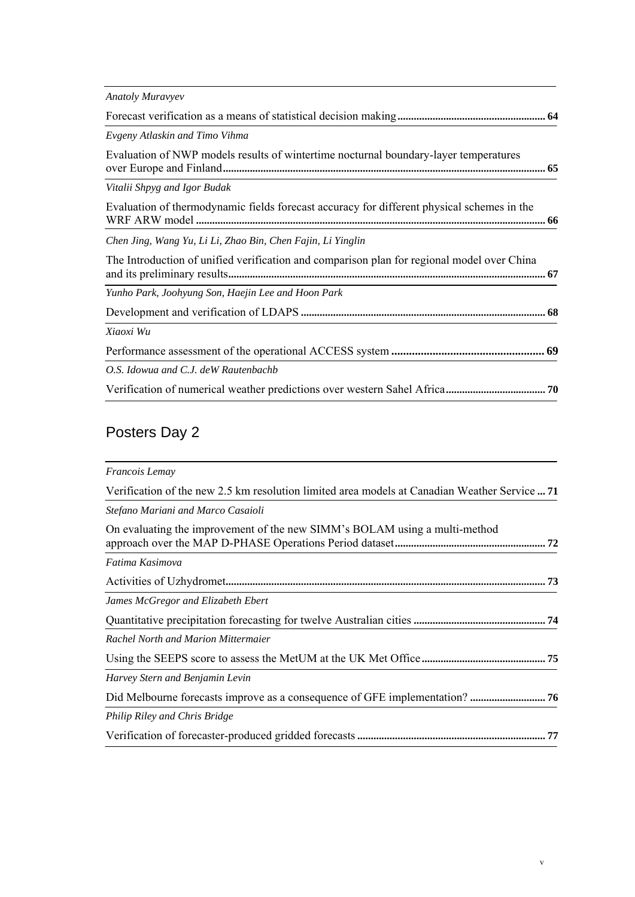| <b>Anatoly Muravyev</b>                                                                    |  |
|--------------------------------------------------------------------------------------------|--|
|                                                                                            |  |
| Evgeny Atlaskin and Timo Vihma                                                             |  |
| Evaluation of NWP models results of wintertime nocturnal boundary-layer temperatures       |  |
| Vitalii Shpyg and Igor Budak                                                               |  |
| Evaluation of thermodynamic fields forecast accuracy for different physical schemes in the |  |
| Chen Jing, Wang Yu, Li Li, Zhao Bin, Chen Fajin, Li Yinglin                                |  |
| The Introduction of unified verification and comparison plan for regional model over China |  |
| Yunho Park, Joohyung Son, Haejin Lee and Hoon Park                                         |  |
|                                                                                            |  |
| Xiaoxi Wu                                                                                  |  |
|                                                                                            |  |
| O.S. Idowua and C.J. deW Rautenbachb                                                       |  |
|                                                                                            |  |

# Posters Day 2

| Francois Lemay                                                                                |    |
|-----------------------------------------------------------------------------------------------|----|
| Verification of the new 2.5 km resolution limited area models at Canadian Weather Service  71 |    |
| Stefano Mariani and Marco Casaioli                                                            |    |
| On evaluating the improvement of the new SIMM's BOLAM using a multi-method                    |    |
| Fatima Kasimova                                                                               |    |
|                                                                                               |    |
| James McGregor and Elizabeth Ebert                                                            |    |
|                                                                                               |    |
| Rachel North and Marion Mittermaier                                                           |    |
|                                                                                               |    |
| Harvey Stern and Benjamin Levin                                                               |    |
|                                                                                               |    |
| Philip Riley and Chris Bridge                                                                 |    |
|                                                                                               | 77 |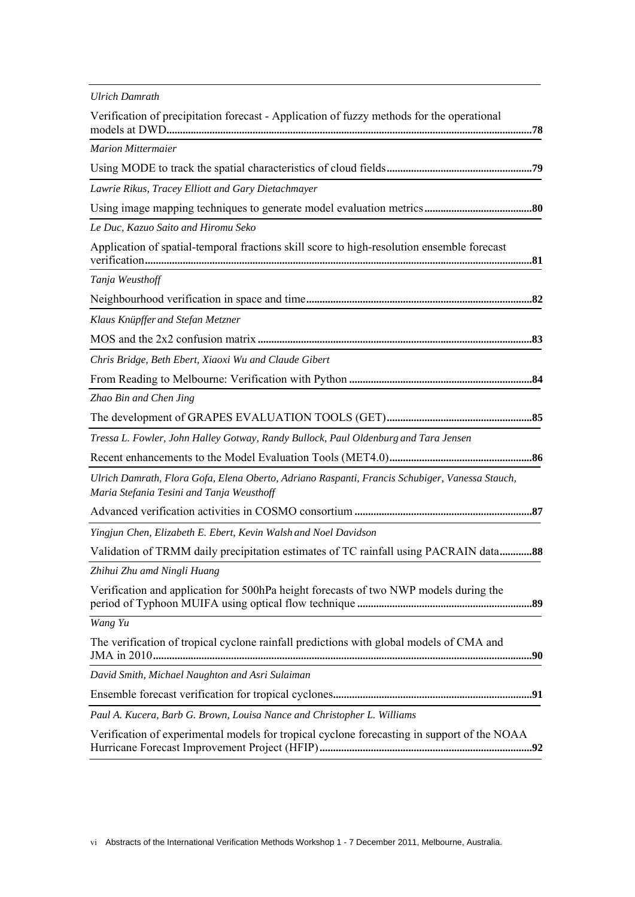| <b>Ulrich Damrath</b>                                                                                                                       |
|---------------------------------------------------------------------------------------------------------------------------------------------|
| Verification of precipitation forecast - Application of fuzzy methods for the operational                                                   |
| <b>Marion Mittermaier</b>                                                                                                                   |
|                                                                                                                                             |
| Lawrie Rikus, Tracey Elliott and Gary Dietachmayer                                                                                          |
|                                                                                                                                             |
| Le Duc, Kazuo Saito and Hiromu Seko                                                                                                         |
| Application of spatial-temporal fractions skill score to high-resolution ensemble forecast                                                  |
| Tanja Weusthoff                                                                                                                             |
|                                                                                                                                             |
| Klaus Knüpffer and Stefan Metzner                                                                                                           |
|                                                                                                                                             |
| Chris Bridge, Beth Ebert, Xiaoxi Wu and Claude Gibert                                                                                       |
|                                                                                                                                             |
| Zhao Bin and Chen Jing                                                                                                                      |
|                                                                                                                                             |
| Tressa L. Fowler, John Halley Gotway, Randy Bullock, Paul Oldenburg and Tara Jensen                                                         |
|                                                                                                                                             |
| Ulrich Damrath, Flora Gofa, Elena Oberto, Adriano Raspanti, Francis Schubiger, Vanessa Stauch,<br>Maria Stefania Tesini and Tanja Weusthoff |
|                                                                                                                                             |
| Yingjun Chen, Elizabeth E. Ebert, Kevin Walsh and Noel Davidson                                                                             |
| Validation of TRMM daily precipitation estimates of TC rainfall using PACRAIN data88                                                        |
| Zhihui Zhu amd Ningli Huang                                                                                                                 |
| Verification and application for 500hPa height forecasts of two NWP models during the                                                       |
| Wang Yu                                                                                                                                     |
| The verification of tropical cyclone rainfall predictions with global models of CMA and                                                     |
| David Smith, Michael Naughton and Asri Sulaiman                                                                                             |
|                                                                                                                                             |
| Paul A. Kucera, Barb G. Brown, Louisa Nance and Christopher L. Williams                                                                     |
| Verification of experimental models for tropical cyclone forecasting in support of the NOAA                                                 |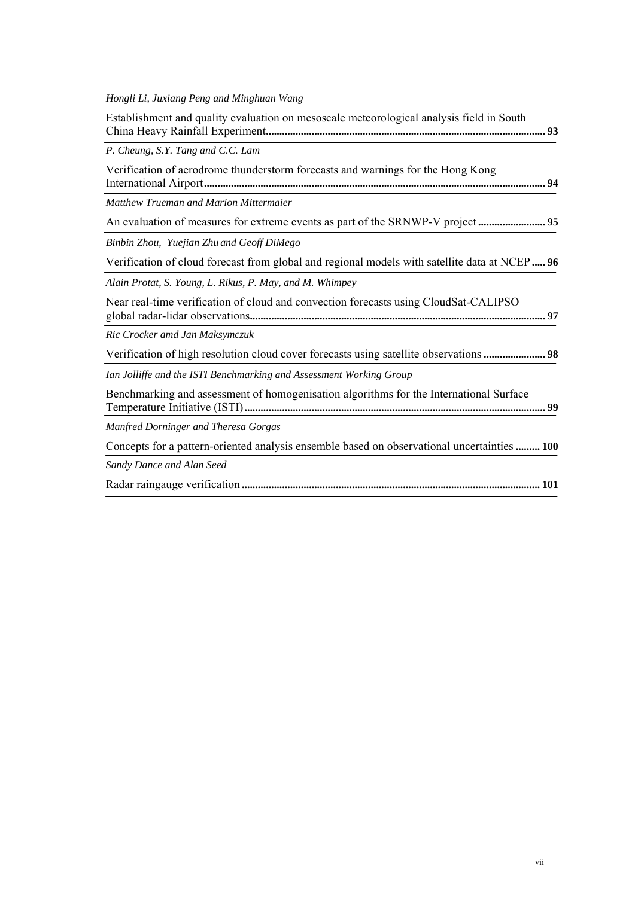| Hongli Li, Juxiang Peng and Minghuan Wang                                                      |
|------------------------------------------------------------------------------------------------|
| Establishment and quality evaluation on mesoscale meteorological analysis field in South       |
| P. Cheung, S.Y. Tang and C.C. Lam                                                              |
| Verification of aerodrome thunderstorm forecasts and warnings for the Hong Kong                |
| Matthew Trueman and Marion Mittermaier                                                         |
|                                                                                                |
| Binbin Zhou, Yuejian Zhu and Geoff DiMego                                                      |
| Verification of cloud forecast from global and regional models with satellite data at NCEP  96 |
| Alain Protat, S. Young, L. Rikus, P. May, and M. Whimpey                                       |
| Near real-time verification of cloud and convection forecasts using CloudSat-CALIPSO           |
| Ric Crocker amd Jan Maksymczuk                                                                 |
| Verification of high resolution cloud cover forecasts using satellite observations  98         |
| Ian Jolliffe and the ISTI Benchmarking and Assessment Working Group                            |
| Benchmarking and assessment of homogenisation algorithms for the International Surface         |
| Manfred Dorninger and Theresa Gorgas                                                           |
| Concepts for a pattern-oriented analysis ensemble based on observational uncertainties  100    |
| Sandy Dance and Alan Seed                                                                      |
|                                                                                                |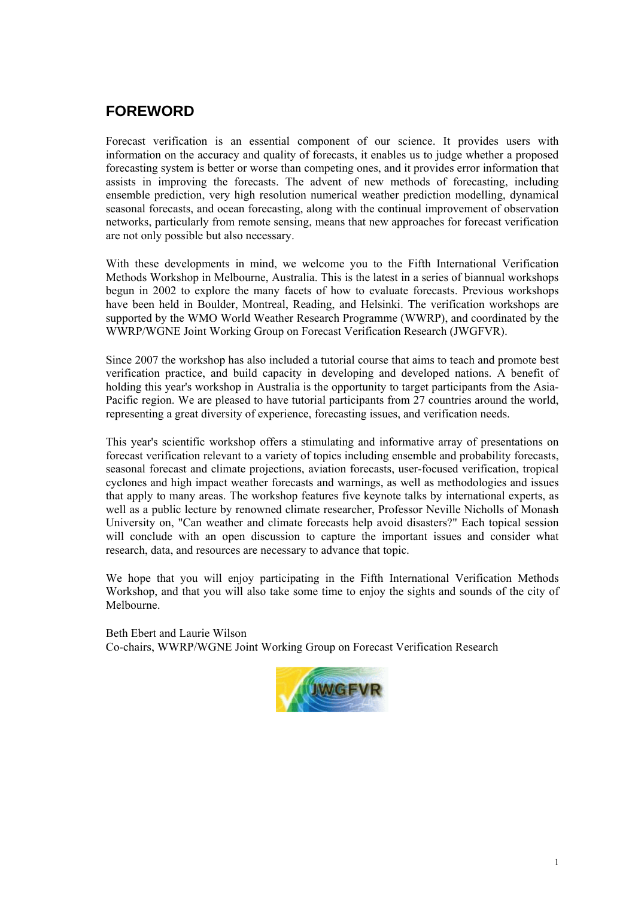# **FOREWORD**

Forecast verification is an essential component of our science. It provides users with information on the accuracy and quality of forecasts, it enables us to judge whether a proposed forecasting system is better or worse than competing ones, and it provides error information that assists in improving the forecasts. The advent of new methods of forecasting, including ensemble prediction, very high resolution numerical weather prediction modelling, dynamical seasonal forecasts, and ocean forecasting, along with the continual improvement of observation networks, particularly from remote sensing, means that new approaches for forecast verification are not only possible but also necessary.

With these developments in mind, we welcome you to the Fifth International Verification Methods Workshop in Melbourne, Australia. This is the latest in a series of biannual workshops begun in 2002 to explore the many facets of how to evaluate forecasts. Previous workshops have been held in Boulder, Montreal, Reading, and Helsinki. The verification workshops are supported by the WMO World Weather Research Programme (WWRP), and coordinated by the WWRP/WGNE Joint Working Group on Forecast Verification Research (JWGFVR).

Since 2007 the workshop has also included a tutorial course that aims to teach and promote best verification practice, and build capacity in developing and developed nations. A benefit of holding this year's workshop in Australia is the opportunity to target participants from the Asia-Pacific region. We are pleased to have tutorial participants from 27 countries around the world, representing a great diversity of experience, forecasting issues, and verification needs.

This year's scientific workshop offers a stimulating and informative array of presentations on forecast verification relevant to a variety of topics including ensemble and probability forecasts, seasonal forecast and climate projections, aviation forecasts, user-focused verification, tropical cyclones and high impact weather forecasts and warnings, as well as methodologies and issues that apply to many areas. The workshop features five keynote talks by international experts, as well as a public lecture by renowned climate researcher, Professor Neville Nicholls of Monash University on, "Can weather and climate forecasts help avoid disasters?" Each topical session will conclude with an open discussion to capture the important issues and consider what research, data, and resources are necessary to advance that topic.

We hope that you will enjoy participating in the Fifth International Verification Methods Workshop, and that you will also take some time to enjoy the sights and sounds of the city of Melbourne.

Beth Ebert and Laurie Wilson Co-chairs, WWRP/WGNE Joint Working Group on Forecast Verification Research

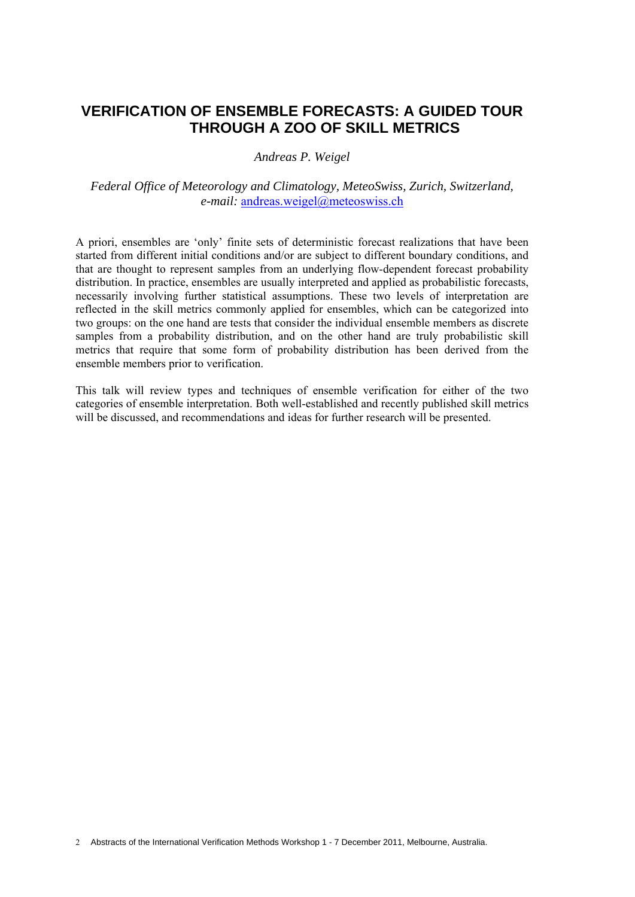# **VERIFICATION OF ENSEMBLE FORECASTS: A GUIDED TOUR THROUGH A ZOO OF SKILL METRICS**

#### *Andreas P. Weigel*

#### *Federal Office of Meteorology and Climatology, MeteoSwiss, Zurich, Switzerland, e-mail:* andreas.weigel@meteoswiss.ch

A priori, ensembles are 'only' finite sets of deterministic forecast realizations that have been started from different initial conditions and/or are subject to different boundary conditions, and that are thought to represent samples from an underlying flow-dependent forecast probability distribution. In practice, ensembles are usually interpreted and applied as probabilistic forecasts, necessarily involving further statistical assumptions. These two levels of interpretation are reflected in the skill metrics commonly applied for ensembles, which can be categorized into two groups: on the one hand are tests that consider the individual ensemble members as discrete samples from a probability distribution, and on the other hand are truly probabilistic skill metrics that require that some form of probability distribution has been derived from the ensemble members prior to verification.

This talk will review types and techniques of ensemble verification for either of the two categories of ensemble interpretation. Both well-established and recently published skill metrics will be discussed, and recommendations and ideas for further research will be presented.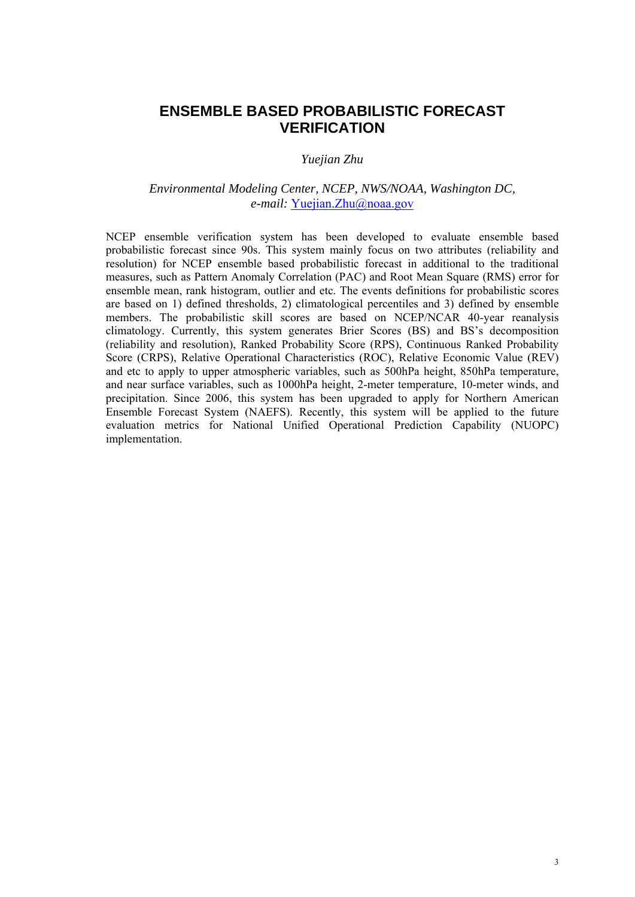# **ENSEMBLE BASED PROBABILISTIC FORECAST VERIFICATION**

#### *Yuejian Zhu*

#### *Environmental Modeling Center, NCEP, NWS/NOAA, Washington DC, e-mail:* Yuejian.Zhu@noaa.gov

NCEP ensemble verification system has been developed to evaluate ensemble based probabilistic forecast since 90s. This system mainly focus on two attributes (reliability and resolution) for NCEP ensemble based probabilistic forecast in additional to the traditional measures, such as Pattern Anomaly Correlation (PAC) and Root Mean Square (RMS) error for ensemble mean, rank histogram, outlier and etc. The events definitions for probabilistic scores are based on 1) defined thresholds, 2) climatological percentiles and 3) defined by ensemble members. The probabilistic skill scores are based on NCEP/NCAR 40-year reanalysis climatology. Currently, this system generates Brier Scores (BS) and BS's decomposition (reliability and resolution), Ranked Probability Score (RPS), Continuous Ranked Probability Score (CRPS), Relative Operational Characteristics (ROC), Relative Economic Value (REV) and etc to apply to upper atmospheric variables, such as 500hPa height, 850hPa temperature, and near surface variables, such as 1000hPa height, 2-meter temperature, 10-meter winds, and precipitation. Since 2006, this system has been upgraded to apply for Northern American Ensemble Forecast System (NAEFS). Recently, this system will be applied to the future evaluation metrics for National Unified Operational Prediction Capability (NUOPC) implementation.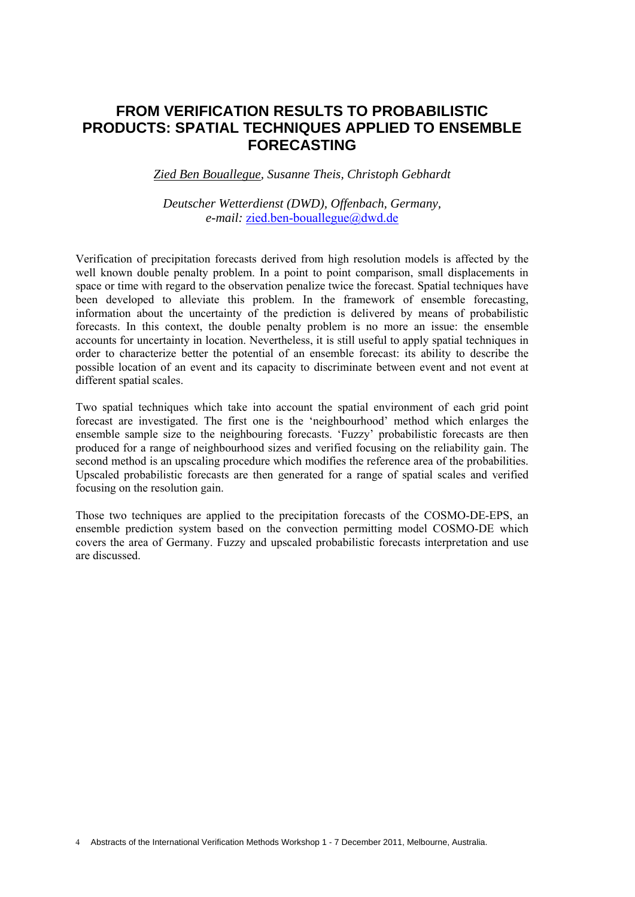# **FROM VERIFICATION RESULTS TO PROBABILISTIC PRODUCTS: SPATIAL TECHNIQUES APPLIED TO ENSEMBLE FORECASTING**

#### *Zied Ben Bouallegue, Susanne Theis, Christoph Gebhardt*

#### *Deutscher Wetterdienst (DWD), Offenbach, Germany, e-mail:* zied ben-bouallegue@dwd.de

Verification of precipitation forecasts derived from high resolution models is affected by the well known double penalty problem. In a point to point comparison, small displacements in space or time with regard to the observation penalize twice the forecast. Spatial techniques have been developed to alleviate this problem. In the framework of ensemble forecasting, information about the uncertainty of the prediction is delivered by means of probabilistic forecasts. In this context, the double penalty problem is no more an issue: the ensemble accounts for uncertainty in location. Nevertheless, it is still useful to apply spatial techniques in order to characterize better the potential of an ensemble forecast: its ability to describe the possible location of an event and its capacity to discriminate between event and not event at different spatial scales.

Two spatial techniques which take into account the spatial environment of each grid point forecast are investigated. The first one is the 'neighbourhood' method which enlarges the ensemble sample size to the neighbouring forecasts. 'Fuzzy' probabilistic forecasts are then produced for a range of neighbourhood sizes and verified focusing on the reliability gain. The second method is an upscaling procedure which modifies the reference area of the probabilities. Upscaled probabilistic forecasts are then generated for a range of spatial scales and verified focusing on the resolution gain.

Those two techniques are applied to the precipitation forecasts of the COSMO-DE-EPS, an ensemble prediction system based on the convection permitting model COSMO-DE which covers the area of Germany. Fuzzy and upscaled probabilistic forecasts interpretation and use are discussed.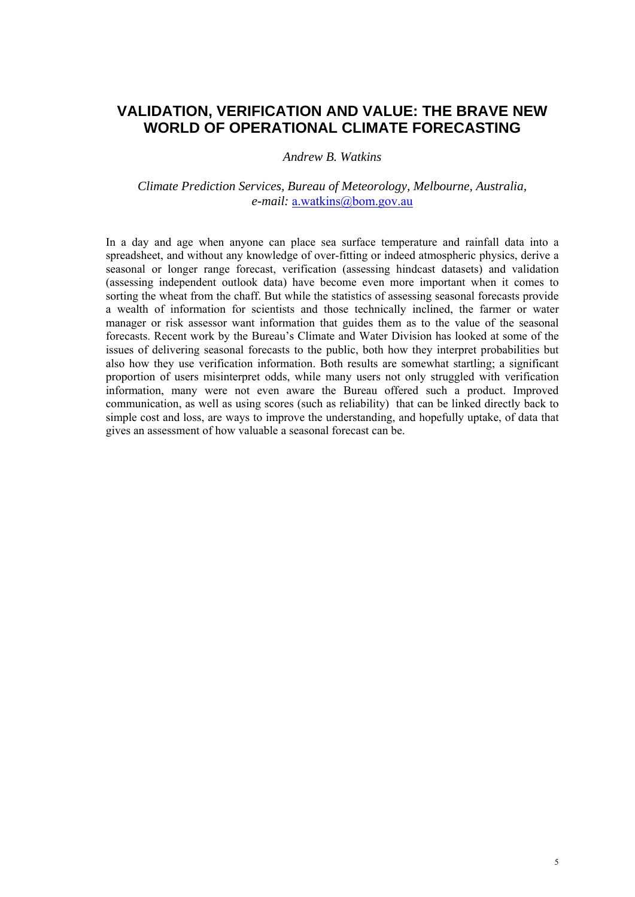# **VALIDATION, VERIFICATION AND VALUE: THE BRAVE NEW WORLD OF OPERATIONAL CLIMATE FORECASTING**

#### *Andrew B. Watkins*

#### *Climate Prediction Services, Bureau of Meteorology, Melbourne, Australia, e-mail:* a.watkins@bom.gov.au

In a day and age when anyone can place sea surface temperature and rainfall data into a spreadsheet, and without any knowledge of over-fitting or indeed atmospheric physics, derive a seasonal or longer range forecast, verification (assessing hindcast datasets) and validation (assessing independent outlook data) have become even more important when it comes to sorting the wheat from the chaff. But while the statistics of assessing seasonal forecasts provide a wealth of information for scientists and those technically inclined, the farmer or water manager or risk assessor want information that guides them as to the value of the seasonal forecasts. Recent work by the Bureau's Climate and Water Division has looked at some of the issues of delivering seasonal forecasts to the public, both how they interpret probabilities but also how they use verification information. Both results are somewhat startling; a significant proportion of users misinterpret odds, while many users not only struggled with verification information, many were not even aware the Bureau offered such a product. Improved communication, as well as using scores (such as reliability) that can be linked directly back to simple cost and loss, are ways to improve the understanding, and hopefully uptake, of data that gives an assessment of how valuable a seasonal forecast can be.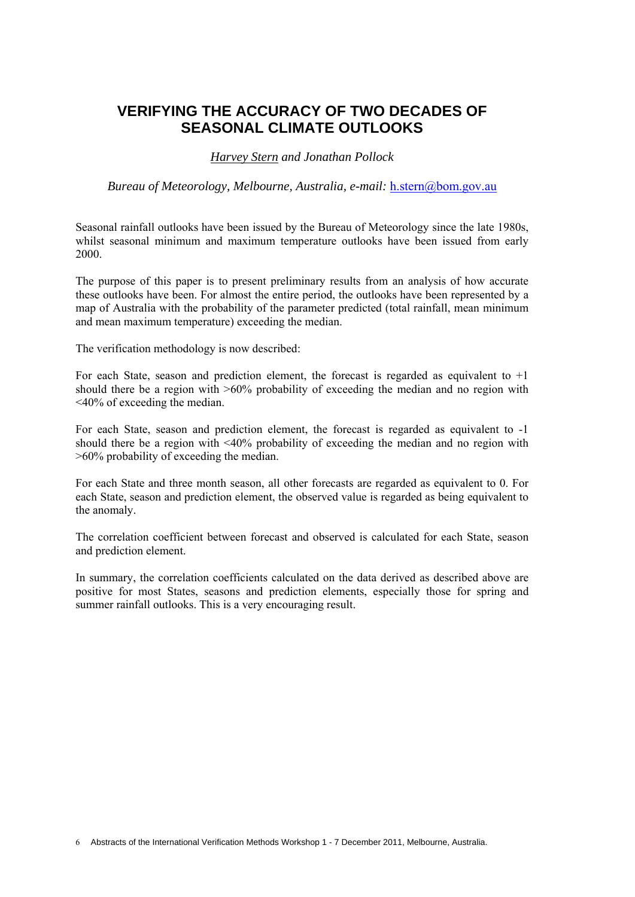# **VERIFYING THE ACCURACY OF TWO DECADES OF SEASONAL CLIMATE OUTLOOKS**

*Harvey Stern and Jonathan Pollock* 

*Bureau of Meteorology, Melbourne, Australia, e-mail:* h.stern@bom.gov.au

Seasonal rainfall outlooks have been issued by the Bureau of Meteorology since the late 1980s, whilst seasonal minimum and maximum temperature outlooks have been issued from early 2000.

The purpose of this paper is to present preliminary results from an analysis of how accurate these outlooks have been. For almost the entire period, the outlooks have been represented by a map of Australia with the probability of the parameter predicted (total rainfall, mean minimum and mean maximum temperature) exceeding the median.

The verification methodology is now described:

For each State, season and prediction element, the forecast is regarded as equivalent to +1 should there be a region with >60% probability of exceeding the median and no region with <40% of exceeding the median.

For each State, season and prediction element, the forecast is regarded as equivalent to -1 should there be a region with <40% probability of exceeding the median and no region with >60% probability of exceeding the median.

For each State and three month season, all other forecasts are regarded as equivalent to 0. For each State, season and prediction element, the observed value is regarded as being equivalent to the anomaly.

The correlation coefficient between forecast and observed is calculated for each State, season and prediction element.

In summary, the correlation coefficients calculated on the data derived as described above are positive for most States, seasons and prediction elements, especially those for spring and summer rainfall outlooks. This is a very encouraging result.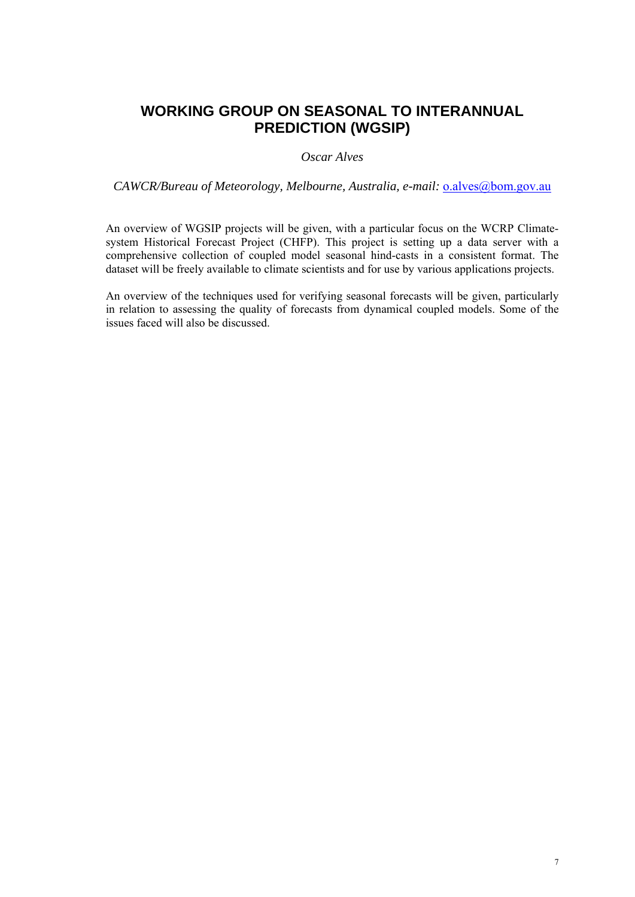# **WORKING GROUP ON SEASONAL TO INTERANNUAL PREDICTION (WGSIP)**

#### *Oscar Alves*

*CAWCR/Bureau of Meteorology, Melbourne, Australia, e-mail: o.alves@bom.gov.au* 

An overview of WGSIP projects will be given, with a particular focus on the WCRP Climatesystem Historical Forecast Project (CHFP). This project is setting up a data server with a comprehensive collection of coupled model seasonal hind-casts in a consistent format. The dataset will be freely available to climate scientists and for use by various applications projects.

An overview of the techniques used for verifying seasonal forecasts will be given, particularly in relation to assessing the quality of forecasts from dynamical coupled models. Some of the issues faced will also be discussed.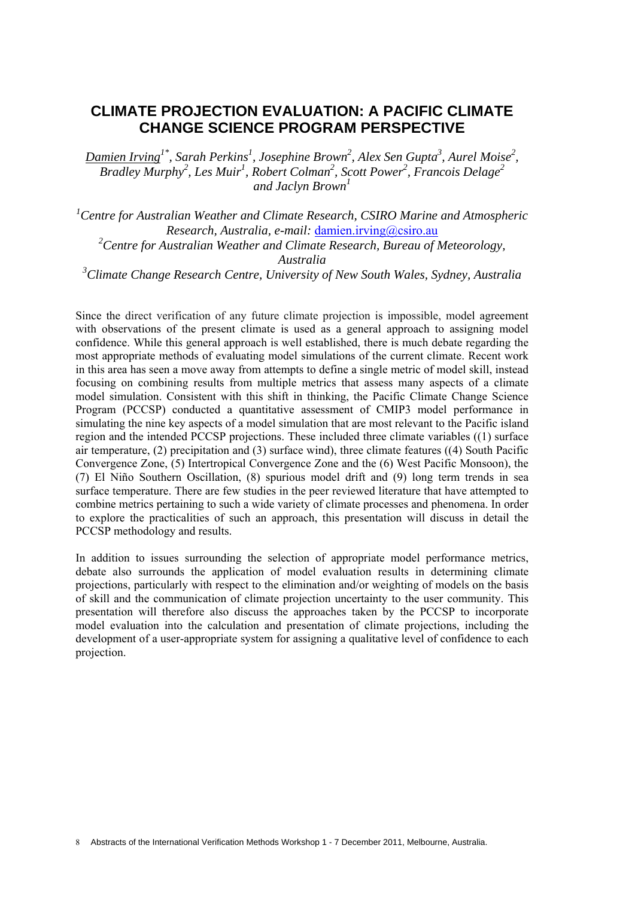## **CLIMATE PROJECTION EVALUATION: A PACIFIC CLIMATE CHANGE SCIENCE PROGRAM PERSPECTIVE**

*Damien Irving1\*, Sarah Perkins1 , Josephine Brown2 , Alex Sen Gupta3 , Aurel Moise2 , Bradley Murphy<sup>2</sup>, Les Muir<sup>1</sup>, Robert Colman<sup>2</sup>, Scott Power<sup>2</sup>, Francois Delage<sup>2</sup> and Jaclyn Brown<sup>1</sup>*

*1 Centre for Australian Weather and Climate Research, CSIRO Marine and Atmospheric Research, Australia, e-mail:* damien.irving@csiro.au <sup>2</sup> Centre for Australian Weather and Climate Research, Bureau of Meteorology, *Australia 3 Climate Change Research Centre, University of New South Wales, Sydney, Australia* 

Since the direct verification of any future climate projection is impossible, model agreement with observations of the present climate is used as a general approach to assigning model confidence. While this general approach is well established, there is much debate regarding the most appropriate methods of evaluating model simulations of the current climate. Recent work in this area has seen a move away from attempts to define a single metric of model skill, instead focusing on combining results from multiple metrics that assess many aspects of a climate model simulation. Consistent with this shift in thinking, the Pacific Climate Change Science Program (PCCSP) conducted a quantitative assessment of CMIP3 model performance in simulating the nine key aspects of a model simulation that are most relevant to the Pacific island region and the intended PCCSP projections. These included three climate variables ((1) surface air temperature, (2) precipitation and (3) surface wind), three climate features ((4) South Pacific Convergence Zone, (5) Intertropical Convergence Zone and the (6) West Pacific Monsoon), the (7) El Niño Southern Oscillation, (8) spurious model drift and (9) long term trends in sea surface temperature. There are few studies in the peer reviewed literature that have attempted to combine metrics pertaining to such a wide variety of climate processes and phenomena. In order to explore the practicalities of such an approach, this presentation will discuss in detail the PCCSP methodology and results.

In addition to issues surrounding the selection of appropriate model performance metrics, debate also surrounds the application of model evaluation results in determining climate projections, particularly with respect to the elimination and/or weighting of models on the basis of skill and the communication of climate projection uncertainty to the user community. This presentation will therefore also discuss the approaches taken by the PCCSP to incorporate model evaluation into the calculation and presentation of climate projections, including the development of a user-appropriate system for assigning a qualitative level of confidence to each projection.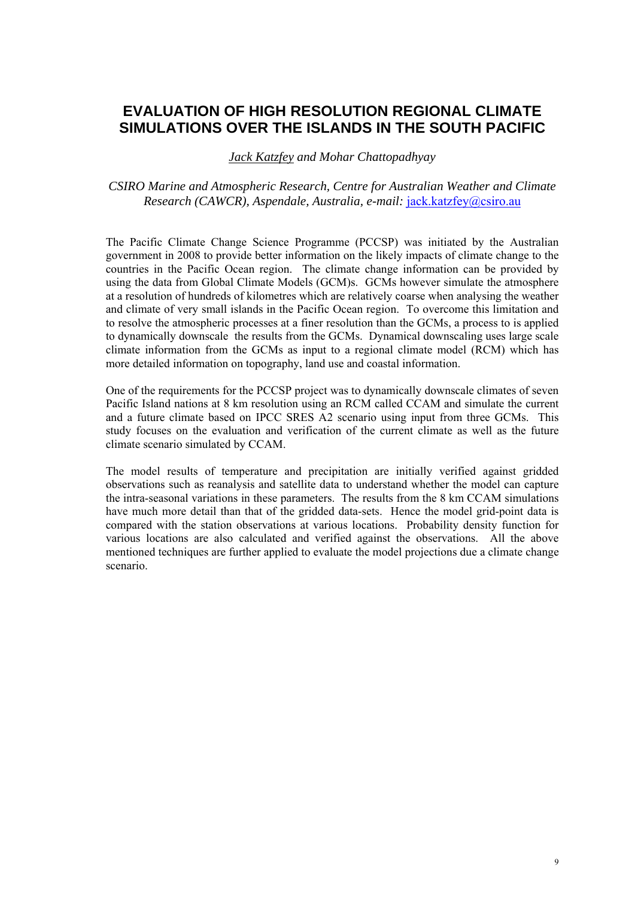# **EVALUATION OF HIGH RESOLUTION REGIONAL CLIMATE SIMULATIONS OVER THE ISLANDS IN THE SOUTH PACIFIC**

*Jack Katzfey and Mohar Chattopadhyay* 

*CSIRO Marine and Atmospheric Research, Centre for Australian Weather and Climate Research (CAWCR), Aspendale, Australia, e-mail:* jack.katzfey@csiro.au

The Pacific Climate Change Science Programme (PCCSP) was initiated by the Australian government in 2008 to provide better information on the likely impacts of climate change to the countries in the Pacific Ocean region. The climate change information can be provided by using the data from Global Climate Models (GCM)s. GCMs however simulate the atmosphere at a resolution of hundreds of kilometres which are relatively coarse when analysing the weather and climate of very small islands in the Pacific Ocean region. To overcome this limitation and to resolve the atmospheric processes at a finer resolution than the GCMs, a process to is applied to dynamically downscale the results from the GCMs. Dynamical downscaling uses large scale climate information from the GCMs as input to a regional climate model (RCM) which has more detailed information on topography, land use and coastal information.

One of the requirements for the PCCSP project was to dynamically downscale climates of seven Pacific Island nations at 8 km resolution using an RCM called CCAM and simulate the current and a future climate based on IPCC SRES A2 scenario using input from three GCMs. This study focuses on the evaluation and verification of the current climate as well as the future climate scenario simulated by CCAM.

The model results of temperature and precipitation are initially verified against gridded observations such as reanalysis and satellite data to understand whether the model can capture the intra-seasonal variations in these parameters. The results from the 8 km CCAM simulations have much more detail than that of the gridded data-sets. Hence the model grid-point data is compared with the station observations at various locations. Probability density function for various locations are also calculated and verified against the observations. All the above mentioned techniques are further applied to evaluate the model projections due a climate change scenario.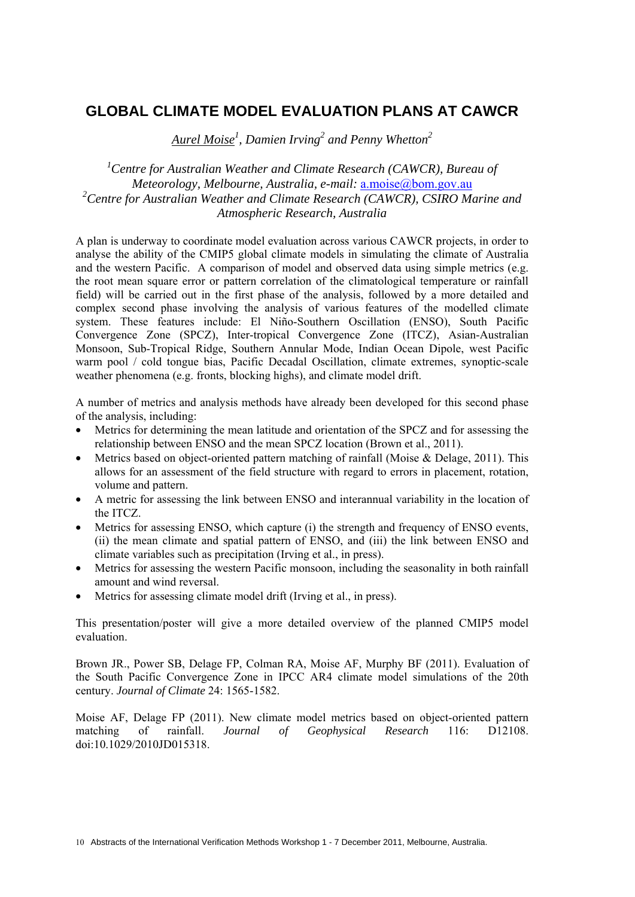# **GLOBAL CLIMATE MODEL EVALUATION PLANS AT CAWCR**

*Aurel Moise1 , Damien Irving<sup>2</sup> and Penny Whetton2*

<sup>1</sup> Centre for Australian Weather and Climate Research (CAWCR), Bureau of *Meteorology, Melbourne, Australia, e-mail:* a.moise@bom.gov.au *2 Centre for Australian Weather and Climate Research (CAWCR), CSIRO Marine and Atmospheric Research, Australia* 

A plan is underway to coordinate model evaluation across various CAWCR projects, in order to analyse the ability of the CMIP5 global climate models in simulating the climate of Australia and the western Pacific. A comparison of model and observed data using simple metrics (e.g. the root mean square error or pattern correlation of the climatological temperature or rainfall field) will be carried out in the first phase of the analysis, followed by a more detailed and complex second phase involving the analysis of various features of the modelled climate system. These features include: El Niño-Southern Oscillation (ENSO), South Pacific Convergence Zone (SPCZ), Inter-tropical Convergence Zone (ITCZ), Asian-Australian Monsoon, Sub-Tropical Ridge, Southern Annular Mode, Indian Ocean Dipole, west Pacific warm pool / cold tongue bias, Pacific Decadal Oscillation, climate extremes, synoptic-scale weather phenomena (e.g. fronts, blocking highs), and climate model drift.

A number of metrics and analysis methods have already been developed for this second phase of the analysis, including:

- Metrics for determining the mean latitude and orientation of the SPCZ and for assessing the relationship between ENSO and the mean SPCZ location (Brown et al., 2011).
- Metrics based on object-oriented pattern matching of rainfall (Moise & Delage, 2011). This allows for an assessment of the field structure with regard to errors in placement, rotation, volume and pattern.
- A metric for assessing the link between ENSO and interannual variability in the location of the ITCZ.
- Metrics for assessing ENSO, which capture (i) the strength and frequency of ENSO events, (ii) the mean climate and spatial pattern of ENSO, and (iii) the link between ENSO and climate variables such as precipitation (Irving et al., in press).
- Metrics for assessing the western Pacific monsoon, including the seasonality in both rainfall amount and wind reversal.
- Metrics for assessing climate model drift (Irving et al., in press).

This presentation/poster will give a more detailed overview of the planned CMIP5 model evaluation.

Brown JR., Power SB, Delage FP, Colman RA, Moise AF, Murphy BF (2011). Evaluation of the South Pacific Convergence Zone in IPCC AR4 climate model simulations of the 20th century. *Journal of Climate* 24: 1565-1582.

Moise AF, Delage FP (2011). New climate model metrics based on object-oriented pattern matching of rainfall. *Journal of Geophysical Research* 116: D12108. doi:10.1029/2010JD015318.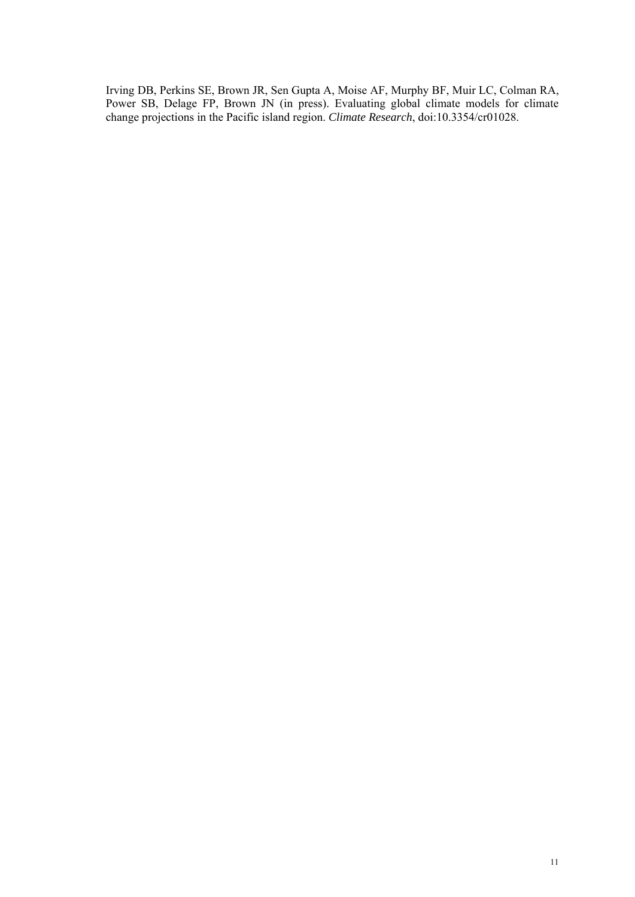Irving DB, Perkins SE, Brown JR, Sen Gupta A, Moise AF, Murphy BF, Muir LC, Colman RA, Power SB, Delage FP, Brown JN (in press). Evaluating global climate models for climate change projections in the Pacific island region. *Climate Research*, doi:10.3354/cr01028.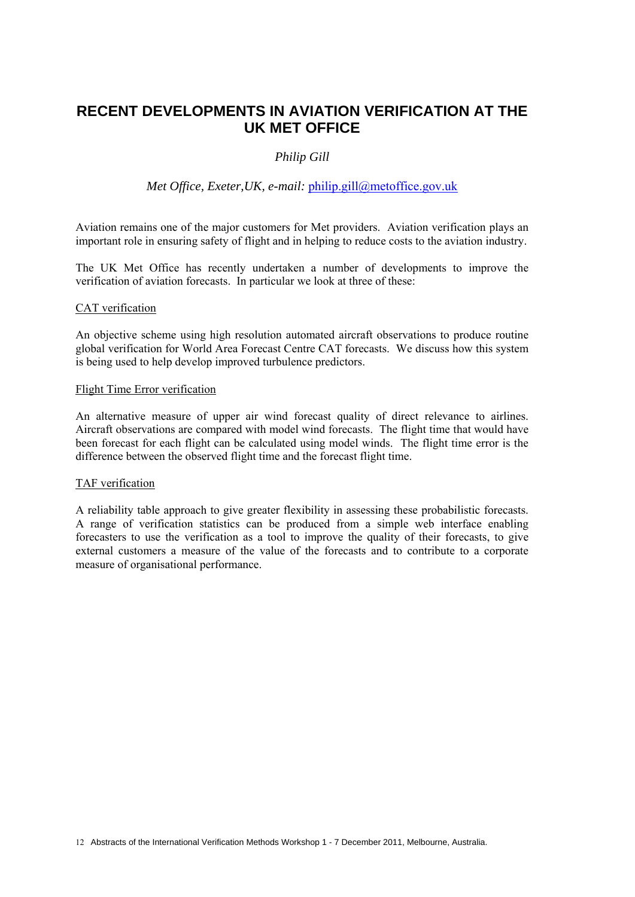# **RECENT DEVELOPMENTS IN AVIATION VERIFICATION AT THE UK MET OFFICE**

#### *Philip Gill*

#### *Met Office, Exeter, UK, e-mail: philip.gill@metoffice.gov.uk*

Aviation remains one of the major customers for Met providers. Aviation verification plays an important role in ensuring safety of flight and in helping to reduce costs to the aviation industry.

The UK Met Office has recently undertaken a number of developments to improve the verification of aviation forecasts. In particular we look at three of these:

#### CAT verification

An objective scheme using high resolution automated aircraft observations to produce routine global verification for World Area Forecast Centre CAT forecasts. We discuss how this system is being used to help develop improved turbulence predictors.

#### Flight Time Error verification

An alternative measure of upper air wind forecast quality of direct relevance to airlines. Aircraft observations are compared with model wind forecasts. The flight time that would have been forecast for each flight can be calculated using model winds. The flight time error is the difference between the observed flight time and the forecast flight time.

#### TAF verification

A reliability table approach to give greater flexibility in assessing these probabilistic forecasts. A range of verification statistics can be produced from a simple web interface enabling forecasters to use the verification as a tool to improve the quality of their forecasts, to give external customers a measure of the value of the forecasts and to contribute to a corporate measure of organisational performance.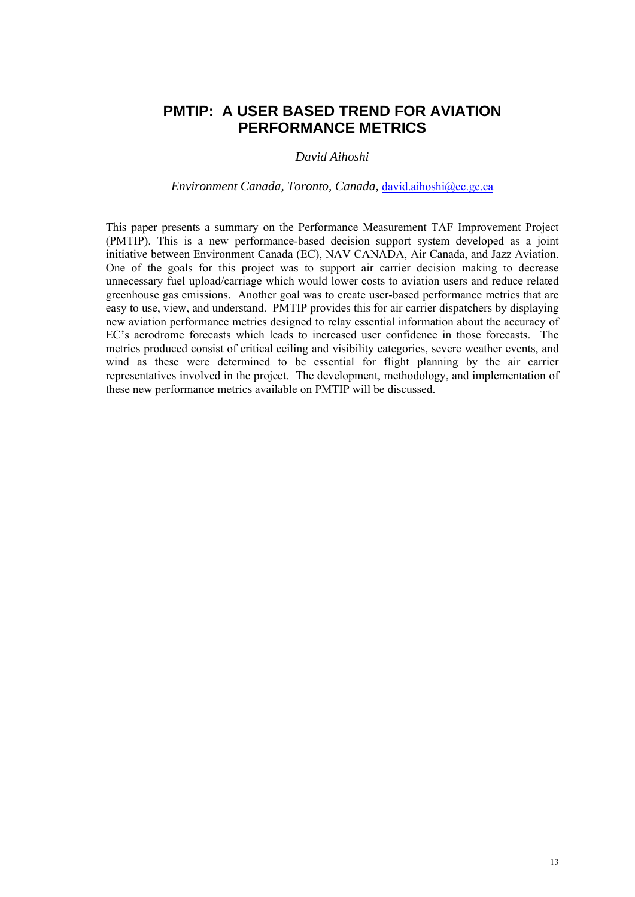## **PMTIP: A USER BASED TREND FOR AVIATION PERFORMANCE METRICS**

#### *David Aihoshi*

#### *Environment Canada, Toronto, Canada,* david.aihoshi@ec.gc.ca

This paper presents a summary on the Performance Measurement TAF Improvement Project (PMTIP). This is a new performance-based decision support system developed as a joint initiative between Environment Canada (EC), NAV CANADA, Air Canada, and Jazz Aviation. One of the goals for this project was to support air carrier decision making to decrease unnecessary fuel upload/carriage which would lower costs to aviation users and reduce related greenhouse gas emissions. Another goal was to create user-based performance metrics that are easy to use, view, and understand. PMTIP provides this for air carrier dispatchers by displaying new aviation performance metrics designed to relay essential information about the accuracy of EC's aerodrome forecasts which leads to increased user confidence in those forecasts. The metrics produced consist of critical ceiling and visibility categories, severe weather events, and wind as these were determined to be essential for flight planning by the air carrier representatives involved in the project. The development, methodology, and implementation of these new performance metrics available on PMTIP will be discussed.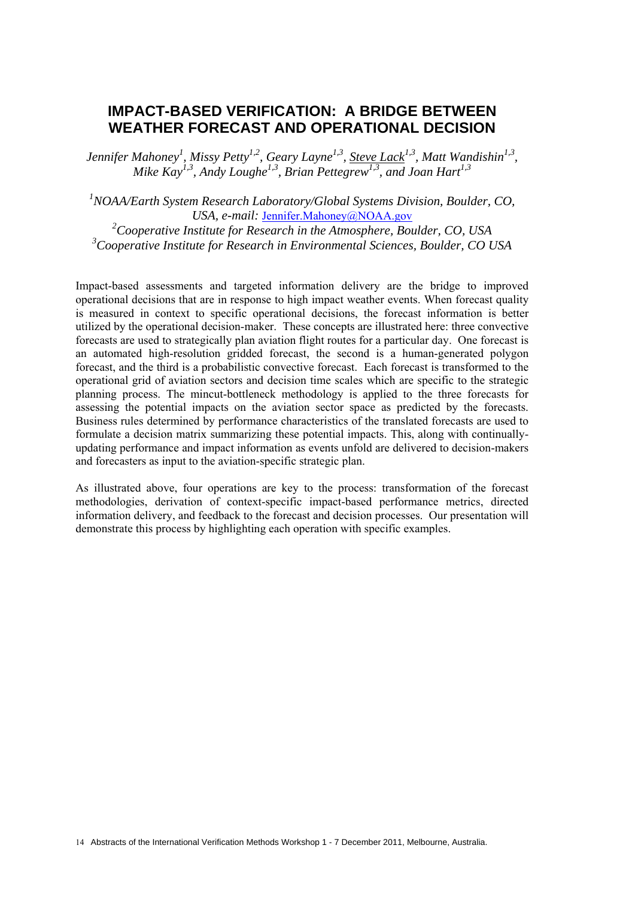# **IMPACT-BASED VERIFICATION: A BRIDGE BETWEEN WEATHER FORECAST AND OPERATIONAL DECISION**

Jennifer Mahoney<sup>1</sup>, Missy Petty<sup>1,2</sup>, Geary Layne<sup>1,3</sup>, <u>Steve Lack<sup>1,3</sup></u>, Matt Wandishin<sup>1,3</sup>, *Mike Kay*<sup>1,3</sup>, *Andy Loughe*<sup>1,3</sup>, *Brian Pettegrew*<sup>1,3</sup>, *and Joan Hart*<sup>1,3</sup>

*1 NOAA/Earth System Research Laboratory/Global Systems Division, Boulder, CO, USA, e-mail:* Jennifer.Mahoney@NOAA.gov

*2 Cooperative Institute for Research in the Atmosphere, Boulder, CO, USA 3 Cooperative Institute for Research in Environmental Sciences, Boulder, CO USA* 

Impact-based assessments and targeted information delivery are the bridge to improved operational decisions that are in response to high impact weather events. When forecast quality is measured in context to specific operational decisions, the forecast information is better utilized by the operational decision-maker. These concepts are illustrated here: three convective forecasts are used to strategically plan aviation flight routes for a particular day. One forecast is an automated high-resolution gridded forecast, the second is a human-generated polygon forecast, and the third is a probabilistic convective forecast. Each forecast is transformed to the operational grid of aviation sectors and decision time scales which are specific to the strategic planning process. The mincut-bottleneck methodology is applied to the three forecasts for assessing the potential impacts on the aviation sector space as predicted by the forecasts. Business rules determined by performance characteristics of the translated forecasts are used to formulate a decision matrix summarizing these potential impacts. This, along with continuallyupdating performance and impact information as events unfold are delivered to decision-makers and forecasters as input to the aviation-specific strategic plan.

As illustrated above, four operations are key to the process: transformation of the forecast methodologies, derivation of context-specific impact-based performance metrics, directed information delivery, and feedback to the forecast and decision processes. Our presentation will demonstrate this process by highlighting each operation with specific examples.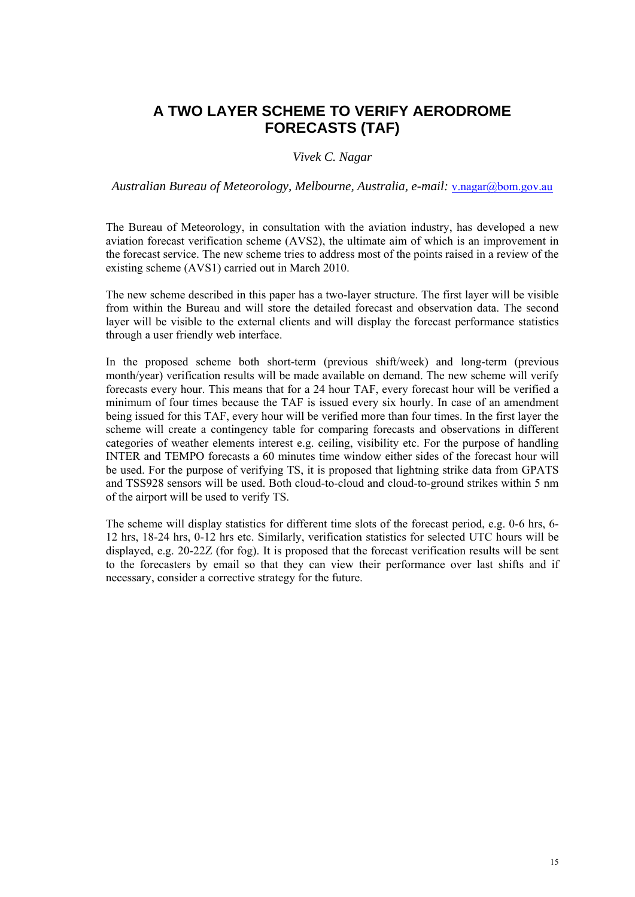# **A TWO LAYER SCHEME TO VERIFY AERODROME FORECASTS (TAF)**

#### *Vivek C. Nagar*

*Australian Bureau of Meteorology, Melbourne, Australia, e-mail:* v.nagar@bom.gov.au

The Bureau of Meteorology, in consultation with the aviation industry, has developed a new aviation forecast verification scheme (AVS2), the ultimate aim of which is an improvement in the forecast service. The new scheme tries to address most of the points raised in a review of the existing scheme (AVS1) carried out in March 2010.

The new scheme described in this paper has a two-layer structure. The first layer will be visible from within the Bureau and will store the detailed forecast and observation data. The second layer will be visible to the external clients and will display the forecast performance statistics through a user friendly web interface.

In the proposed scheme both short-term (previous shift/week) and long-term (previous month/year) verification results will be made available on demand. The new scheme will verify forecasts every hour. This means that for a 24 hour TAF, every forecast hour will be verified a minimum of four times because the TAF is issued every six hourly. In case of an amendment being issued for this TAF, every hour will be verified more than four times. In the first layer the scheme will create a contingency table for comparing forecasts and observations in different categories of weather elements interest e.g. ceiling, visibility etc. For the purpose of handling INTER and TEMPO forecasts a 60 minutes time window either sides of the forecast hour will be used. For the purpose of verifying TS, it is proposed that lightning strike data from GPATS and TSS928 sensors will be used. Both cloud-to-cloud and cloud-to-ground strikes within 5 nm of the airport will be used to verify TS.

The scheme will display statistics for different time slots of the forecast period, e.g. 0-6 hrs, 6- 12 hrs, 18-24 hrs, 0-12 hrs etc. Similarly, verification statistics for selected UTC hours will be displayed, e.g. 20-22Z (for fog). It is proposed that the forecast verification results will be sent to the forecasters by email so that they can view their performance over last shifts and if necessary, consider a corrective strategy for the future.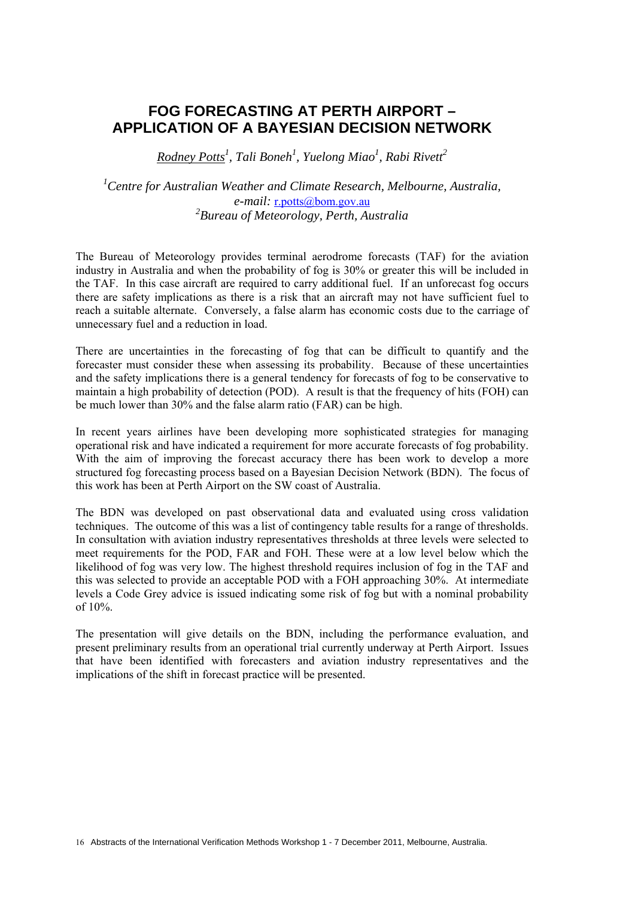# **FOG FORECASTING AT PERTH AIRPORT – APPLICATION OF A BAYESIAN DECISION NETWORK**

*Rodney Potts1 , Tali Boneh1 , Yuelong Miao1 , Rabi Rivett2*

<sup>1</sup> Centre for Australian Weather and Climate Research, Melbourne, Australia, *e-mail:* r.potts@bom.gov.au *2 Bureau of Meteorology, Perth, Australia* 

The Bureau of Meteorology provides terminal aerodrome forecasts (TAF) for the aviation industry in Australia and when the probability of fog is 30% or greater this will be included in the TAF. In this case aircraft are required to carry additional fuel. If an unforecast fog occurs there are safety implications as there is a risk that an aircraft may not have sufficient fuel to reach a suitable alternate. Conversely, a false alarm has economic costs due to the carriage of unnecessary fuel and a reduction in load.

There are uncertainties in the forecasting of fog that can be difficult to quantify and the forecaster must consider these when assessing its probability. Because of these uncertainties and the safety implications there is a general tendency for forecasts of fog to be conservative to maintain a high probability of detection (POD). A result is that the frequency of hits (FOH) can be much lower than 30% and the false alarm ratio (FAR) can be high.

In recent years airlines have been developing more sophisticated strategies for managing operational risk and have indicated a requirement for more accurate forecasts of fog probability. With the aim of improving the forecast accuracy there has been work to develop a more structured fog forecasting process based on a Bayesian Decision Network (BDN). The focus of this work has been at Perth Airport on the SW coast of Australia.

The BDN was developed on past observational data and evaluated using cross validation techniques. The outcome of this was a list of contingency table results for a range of thresholds. In consultation with aviation industry representatives thresholds at three levels were selected to meet requirements for the POD, FAR and FOH. These were at a low level below which the likelihood of fog was very low. The highest threshold requires inclusion of fog in the TAF and this was selected to provide an acceptable POD with a FOH approaching 30%. At intermediate levels a Code Grey advice is issued indicating some risk of fog but with a nominal probability of 10%.

The presentation will give details on the BDN, including the performance evaluation, and present preliminary results from an operational trial currently underway at Perth Airport. Issues that have been identified with forecasters and aviation industry representatives and the implications of the shift in forecast practice will be presented.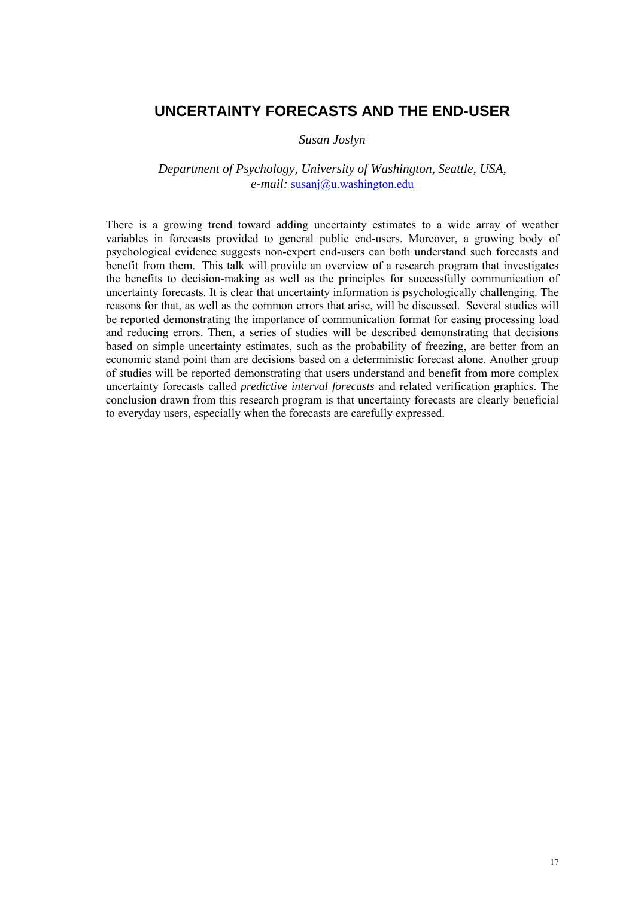### **UNCERTAINTY FORECASTS AND THE END-USER**

#### *Susan Joslyn*

#### *Department of Psychology, University of Washington, Seattle, USA, e-mail:* susanj@u.washington.edu

There is a growing trend toward adding uncertainty estimates to a wide array of weather variables in forecasts provided to general public end-users. Moreover, a growing body of psychological evidence suggests non-expert end-users can both understand such forecasts and benefit from them. This talk will provide an overview of a research program that investigates the benefits to decision-making as well as the principles for successfully communication of uncertainty forecasts. It is clear that uncertainty information is psychologically challenging. The reasons for that, as well as the common errors that arise, will be discussed. Several studies will be reported demonstrating the importance of communication format for easing processing load and reducing errors. Then, a series of studies will be described demonstrating that decisions based on simple uncertainty estimates, such as the probability of freezing, are better from an economic stand point than are decisions based on a deterministic forecast alone. Another group of studies will be reported demonstrating that users understand and benefit from more complex uncertainty forecasts called *predictive interval forecasts* and related verification graphics. The conclusion drawn from this research program is that uncertainty forecasts are clearly beneficial to everyday users, especially when the forecasts are carefully expressed.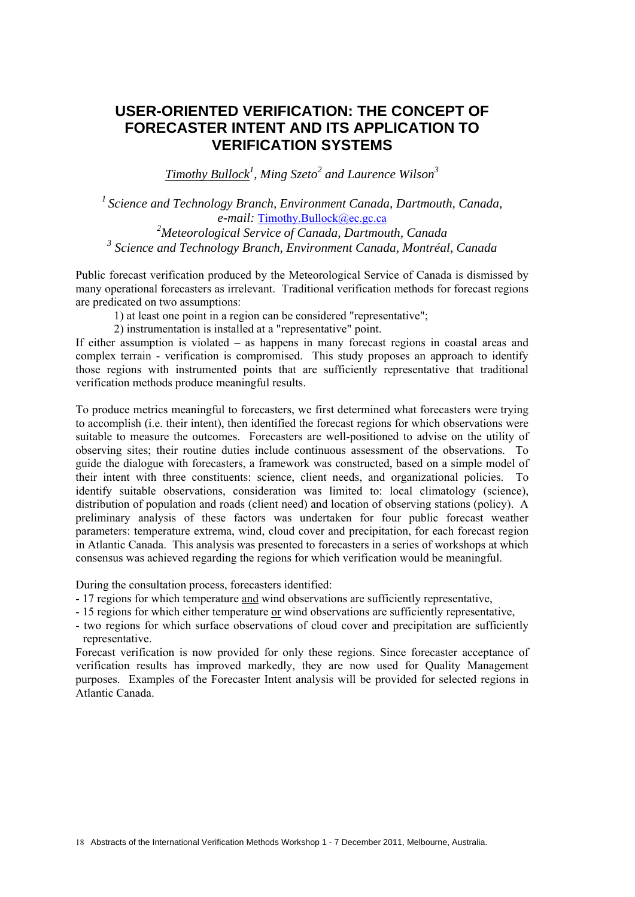# **USER-ORIENTED VERIFICATION: THE CONCEPT OF FORECASTER INTENT AND ITS APPLICATION TO VERIFICATION SYSTEMS**

*Timothy Bullock1 , Ming Szeto<sup>2</sup> and Laurence Wilson3*

*1 Science and Technology Branch, Environment Canada, Dartmouth, Canada, e-mail:* Timothy.Bullock@ec.gc.ca *2 Meteorological Service of Canada, Dartmouth, Canada 3 Science and Technology Branch, Environment Canada, Montréal, Canada* 

Public forecast verification produced by the Meteorological Service of Canada is dismissed by many operational forecasters as irrelevant. Traditional verification methods for forecast regions are predicated on two assumptions:

1) at least one point in a region can be considered "representative";

2) instrumentation is installed at a "representative" point.

If either assumption is violated – as happens in many forecast regions in coastal areas and complex terrain - verification is compromised. This study proposes an approach to identify those regions with instrumented points that are sufficiently representative that traditional verification methods produce meaningful results.

To produce metrics meaningful to forecasters, we first determined what forecasters were trying to accomplish (i.e. their intent), then identified the forecast regions for which observations were suitable to measure the outcomes. Forecasters are well-positioned to advise on the utility of observing sites; their routine duties include continuous assessment of the observations. To guide the dialogue with forecasters, a framework was constructed, based on a simple model of their intent with three constituents: science, client needs, and organizational policies. To identify suitable observations, consideration was limited to: local climatology (science), distribution of population and roads (client need) and location of observing stations (policy). A preliminary analysis of these factors was undertaken for four public forecast weather parameters: temperature extrema, wind, cloud cover and precipitation, for each forecast region in Atlantic Canada. This analysis was presented to forecasters in a series of workshops at which consensus was achieved regarding the regions for which verification would be meaningful.

During the consultation process, forecasters identified:

- 17 regions for which temperature and wind observations are sufficiently representative,
- 15 regions for which either temperature or wind observations are sufficiently representative,
- two regions for which surface observations of cloud cover and precipitation are sufficiently representative.

Forecast verification is now provided for only these regions. Since forecaster acceptance of verification results has improved markedly, they are now used for Quality Management purposes. Examples of the Forecaster Intent analysis will be provided for selected regions in Atlantic Canada.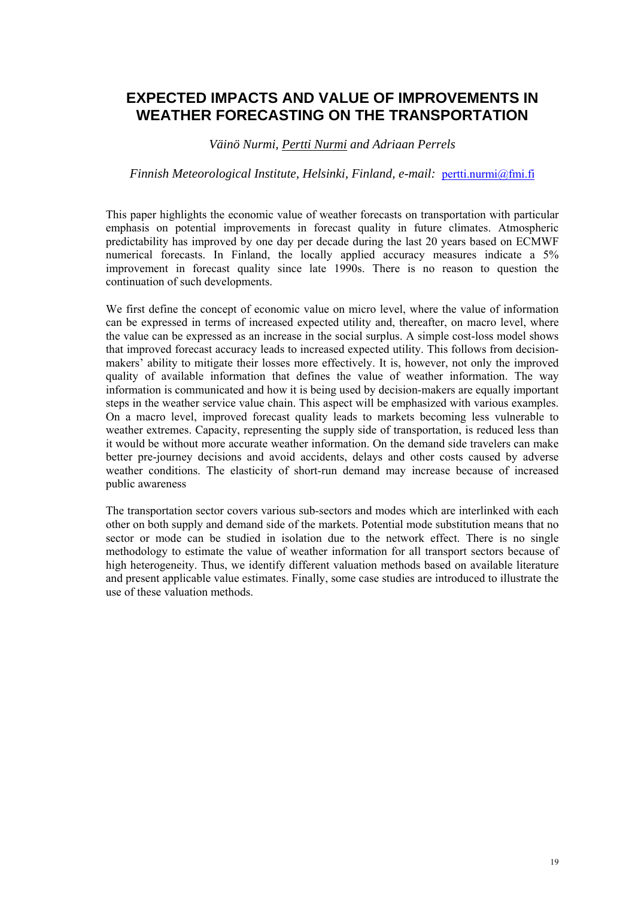# **EXPECTED IMPACTS AND VALUE OF IMPROVEMENTS IN WEATHER FORECASTING ON THE TRANSPORTATION**

#### *Väinö Nurmi, Pertti Nurmi and Adriaan Perrels*

#### *Finnish Meteorological Institute, Helsinki, Finland, e-mail:* pertti.nurmi@fmi.fi

This paper highlights the economic value of weather forecasts on transportation with particular emphasis on potential improvements in forecast quality in future climates. Atmospheric predictability has improved by one day per decade during the last 20 years based on ECMWF numerical forecasts. In Finland, the locally applied accuracy measures indicate a 5% improvement in forecast quality since late 1990s. There is no reason to question the continuation of such developments.

We first define the concept of economic value on micro level, where the value of information can be expressed in terms of increased expected utility and, thereafter, on macro level, where the value can be expressed as an increase in the social surplus. A simple cost-loss model shows that improved forecast accuracy leads to increased expected utility. This follows from decisionmakers' ability to mitigate their losses more effectively. It is, however, not only the improved quality of available information that defines the value of weather information. The way information is communicated and how it is being used by decision-makers are equally important steps in the weather service value chain. This aspect will be emphasized with various examples. On a macro level, improved forecast quality leads to markets becoming less vulnerable to weather extremes. Capacity, representing the supply side of transportation, is reduced less than it would be without more accurate weather information. On the demand side travelers can make better pre-journey decisions and avoid accidents, delays and other costs caused by adverse weather conditions. The elasticity of short-run demand may increase because of increased public awareness

The transportation sector covers various sub-sectors and modes which are interlinked with each other on both supply and demand side of the markets. Potential mode substitution means that no sector or mode can be studied in isolation due to the network effect. There is no single methodology to estimate the value of weather information for all transport sectors because of high heterogeneity. Thus, we identify different valuation methods based on available literature and present applicable value estimates. Finally, some case studies are introduced to illustrate the use of these valuation methods.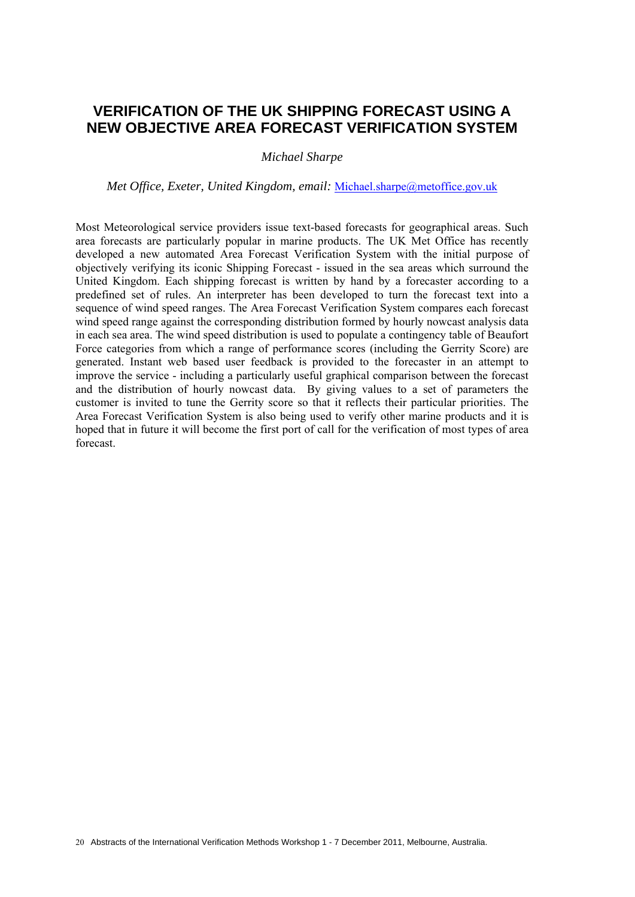# **VERIFICATION OF THE UK SHIPPING FORECAST USING A NEW OBJECTIVE AREA FORECAST VERIFICATION SYSTEM**

*Michael Sharpe* 

*Met Office, Exeter, United Kingdom, email:* Michael.sharpe@metoffice.gov.uk

Most Meteorological service providers issue text-based forecasts for geographical areas. Such area forecasts are particularly popular in marine products. The UK Met Office has recently developed a new automated Area Forecast Verification System with the initial purpose of objectively verifying its iconic Shipping Forecast - issued in the sea areas which surround the United Kingdom. Each shipping forecast is written by hand by a forecaster according to a predefined set of rules. An interpreter has been developed to turn the forecast text into a sequence of wind speed ranges. The Area Forecast Verification System compares each forecast wind speed range against the corresponding distribution formed by hourly nowcast analysis data in each sea area. The wind speed distribution is used to populate a contingency table of Beaufort Force categories from which a range of performance scores (including the Gerrity Score) are generated. Instant web based user feedback is provided to the forecaster in an attempt to improve the service - including a particularly useful graphical comparison between the forecast and the distribution of hourly nowcast data. By giving values to a set of parameters the customer is invited to tune the Gerrity score so that it reflects their particular priorities. The Area Forecast Verification System is also being used to verify other marine products and it is hoped that in future it will become the first port of call for the verification of most types of area forecast.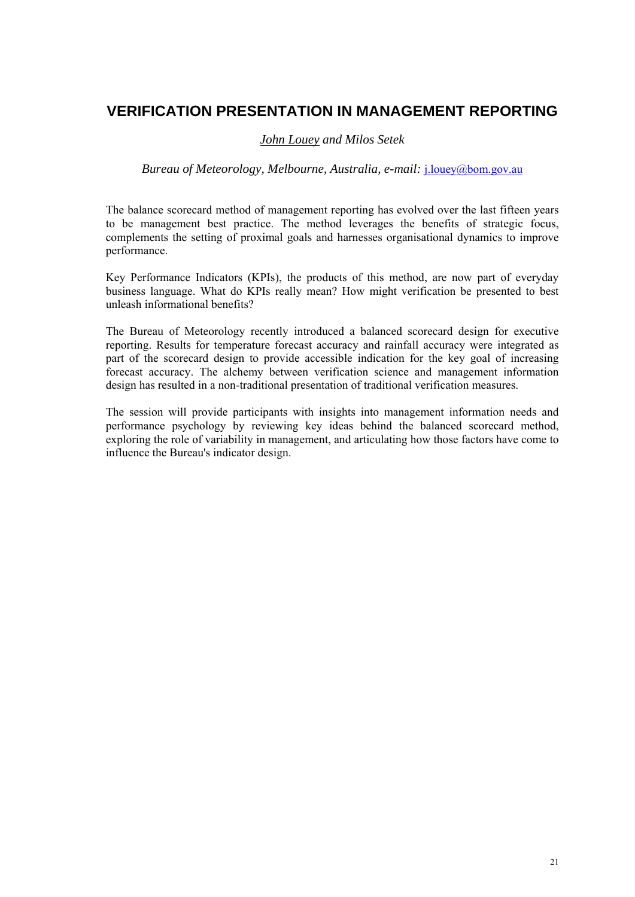# **VERIFICATION PRESENTATION IN MANAGEMENT REPORTING**

#### *John Louey and Milos Setek*

#### *Bureau of Meteorology, Melbourne, Australia, e-mail:* j.louey@bom.gov.au

The balance scorecard method of management reporting has evolved over the last fifteen years to be management best practice. The method leverages the benefits of strategic focus, complements the setting of proximal goals and harnesses organisational dynamics to improve performance.

Key Performance Indicators (KPIs), the products of this method, are now part of everyday business language. What do KPIs really mean? How might verification be presented to best unleash informational benefits?

The Bureau of Meteorology recently introduced a balanced scorecard design for executive reporting. Results for temperature forecast accuracy and rainfall accuracy were integrated as part of the scorecard design to provide accessible indication for the key goal of increasing forecast accuracy. The alchemy between verification science and management information design has resulted in a non-traditional presentation of traditional verification measures.

The session will provide participants with insights into management information needs and performance psychology by reviewing key ideas behind the balanced scorecard method, exploring the role of variability in management, and articulating how those factors have come to influence the Bureau's indicator design.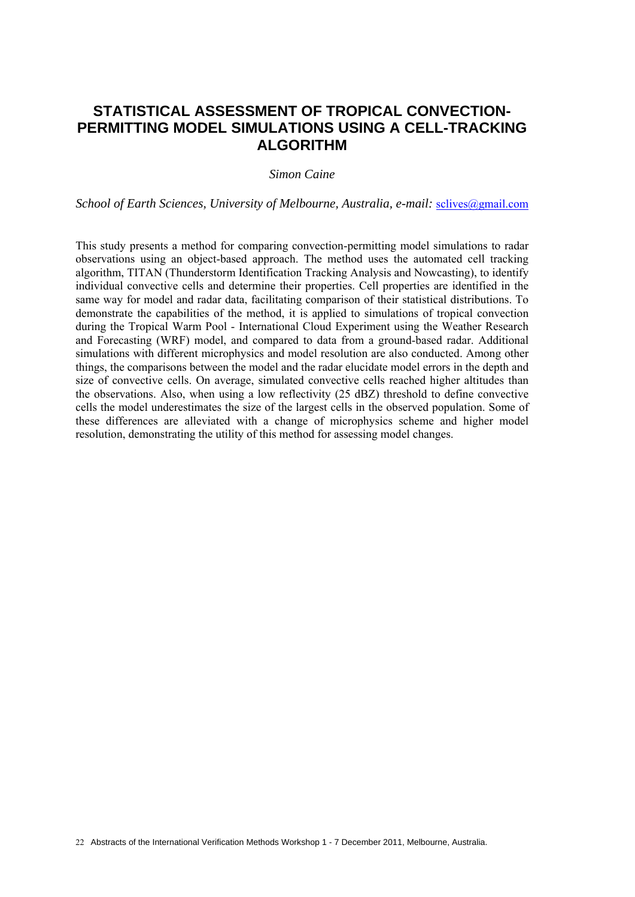## **STATISTICAL ASSESSMENT OF TROPICAL CONVECTION-PERMITTING MODEL SIMULATIONS USING A CELL-TRACKING ALGORITHM**

#### *Simon Caine*

*School of Earth Sciences, University of Melbourne, Australia, e-mail: sclives@gmail.com* 

This study presents a method for comparing convection-permitting model simulations to radar observations using an object-based approach. The method uses the automated cell tracking algorithm, TITAN (Thunderstorm Identification Tracking Analysis and Nowcasting), to identify individual convective cells and determine their properties. Cell properties are identified in the same way for model and radar data, facilitating comparison of their statistical distributions. To demonstrate the capabilities of the method, it is applied to simulations of tropical convection during the Tropical Warm Pool - International Cloud Experiment using the Weather Research and Forecasting (WRF) model, and compared to data from a ground-based radar. Additional simulations with different microphysics and model resolution are also conducted. Among other things, the comparisons between the model and the radar elucidate model errors in the depth and size of convective cells. On average, simulated convective cells reached higher altitudes than the observations. Also, when using a low reflectivity (25 dBZ) threshold to define convective cells the model underestimates the size of the largest cells in the observed population. Some of these differences are alleviated with a change of microphysics scheme and higher model resolution, demonstrating the utility of this method for assessing model changes.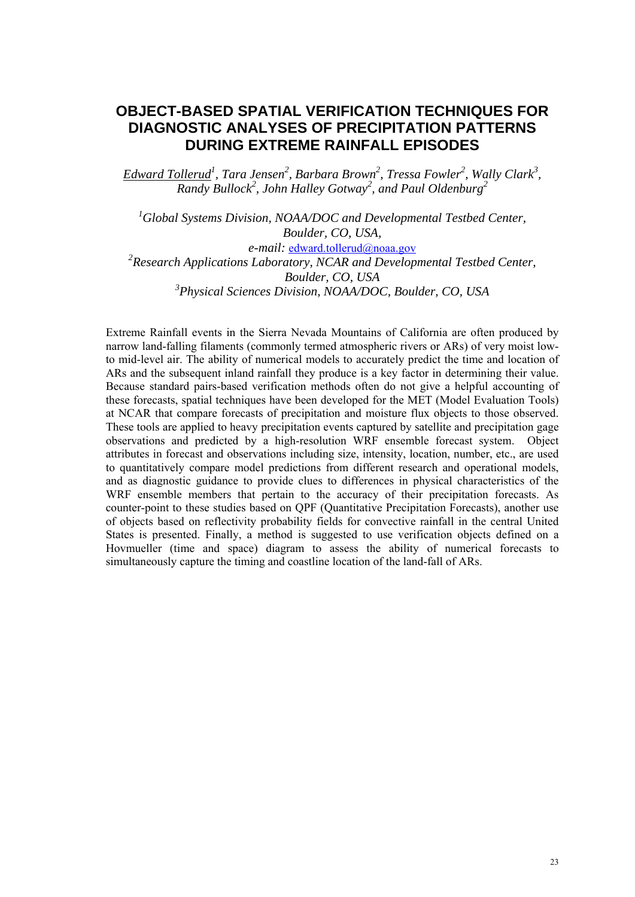## **OBJECT-BASED SPATIAL VERIFICATION TECHNIQUES FOR DIAGNOSTIC ANALYSES OF PRECIPITATION PATTERNS DURING EXTREME RAINFALL EPISODES**

*Edward Tollerud<sup>1</sup> , Tara Jensen2 , Barbara Brown2 , Tressa Fowler<sup>2</sup> , Wally Clark<sup>3</sup> , Randy Bullock2 , John Halley Gotway<sup>2</sup> , and Paul Oldenburg2*

<sup>1</sup> Global Systems Division, NOAA/DOC and Developmental Testbed Center, *Boulder, CO, USA, e-mail:* edward.tollerud@noaa.gov <sup>2</sup> Research Applications Laboratory, NCAR and Developmental Testbed Center,

*Boulder, CO, USA* 

*3 Physical Sciences Division, NOAA/DOC, Boulder, CO, USA* 

Extreme Rainfall events in the Sierra Nevada Mountains of California are often produced by narrow land-falling filaments (commonly termed atmospheric rivers or ARs) of very moist lowto mid-level air. The ability of numerical models to accurately predict the time and location of ARs and the subsequent inland rainfall they produce is a key factor in determining their value. Because standard pairs-based verification methods often do not give a helpful accounting of these forecasts, spatial techniques have been developed for the MET (Model Evaluation Tools) at NCAR that compare forecasts of precipitation and moisture flux objects to those observed. These tools are applied to heavy precipitation events captured by satellite and precipitation gage observations and predicted by a high-resolution WRF ensemble forecast system. Object attributes in forecast and observations including size, intensity, location, number, etc., are used to quantitatively compare model predictions from different research and operational models, and as diagnostic guidance to provide clues to differences in physical characteristics of the WRF ensemble members that pertain to the accuracy of their precipitation forecasts. As counter-point to these studies based on QPF (Quantitative Precipitation Forecasts), another use of objects based on reflectivity probability fields for convective rainfall in the central United States is presented. Finally, a method is suggested to use verification objects defined on a Hovmueller (time and space) diagram to assess the ability of numerical forecasts to simultaneously capture the timing and coastline location of the land-fall of ARs.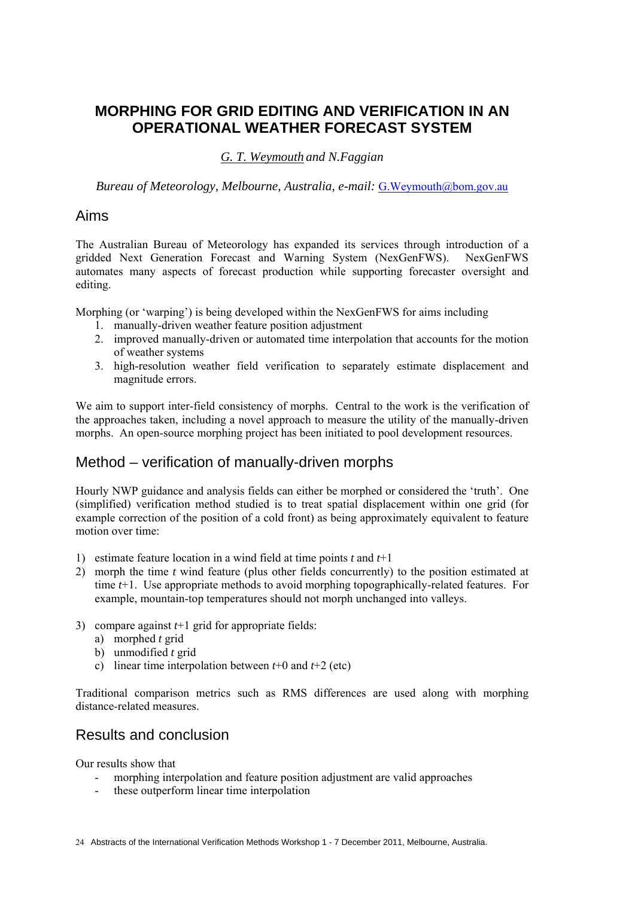# **MORPHING FOR GRID EDITING AND VERIFICATION IN AN OPERATIONAL WEATHER FORECAST SYSTEM**

### *G. T. Weymouth and N.Faggian*

*Bureau of Meteorology, Melbourne, Australia, e-mail:* G.Weymouth@bom.gov.au

### Aims

The Australian Bureau of Meteorology has expanded its services through introduction of a gridded Next Generation Forecast and Warning System (NexGenFWS). NexGenFWS automates many aspects of forecast production while supporting forecaster oversight and editing.

Morphing (or 'warping') is being developed within the NexGenFWS for aims including

- 1. manually-driven weather feature position adjustment
- 2. improved manually-driven or automated time interpolation that accounts for the motion of weather systems
- 3. high-resolution weather field verification to separately estimate displacement and magnitude errors.

We aim to support inter-field consistency of morphs. Central to the work is the verification of the approaches taken, including a novel approach to measure the utility of the manually-driven morphs. An open-source morphing project has been initiated to pool development resources.

## Method – verification of manually-driven morphs

Hourly NWP guidance and analysis fields can either be morphed or considered the 'truth'. One (simplified) verification method studied is to treat spatial displacement within one grid (for example correction of the position of a cold front) as being approximately equivalent to feature motion over time:

- 1) estimate feature location in a wind field at time points *t* and *t*+1
- 2) morph the time *t* wind feature (plus other fields concurrently) to the position estimated at time *t*+1. Use appropriate methods to avoid morphing topographically-related features. For example, mountain-top temperatures should not morph unchanged into valleys.
- 3) compare against *t*+1 grid for appropriate fields:
	- a) morphed *t* grid
	- b) unmodified *t* grid
	- c) linear time interpolation between *t*+0 and *t*+2 (etc)

Traditional comparison metrics such as RMS differences are used along with morphing distance-related measures.

### Results and conclusion

Our results show that

- morphing interpolation and feature position adjustment are valid approaches
- these outperform linear time interpolation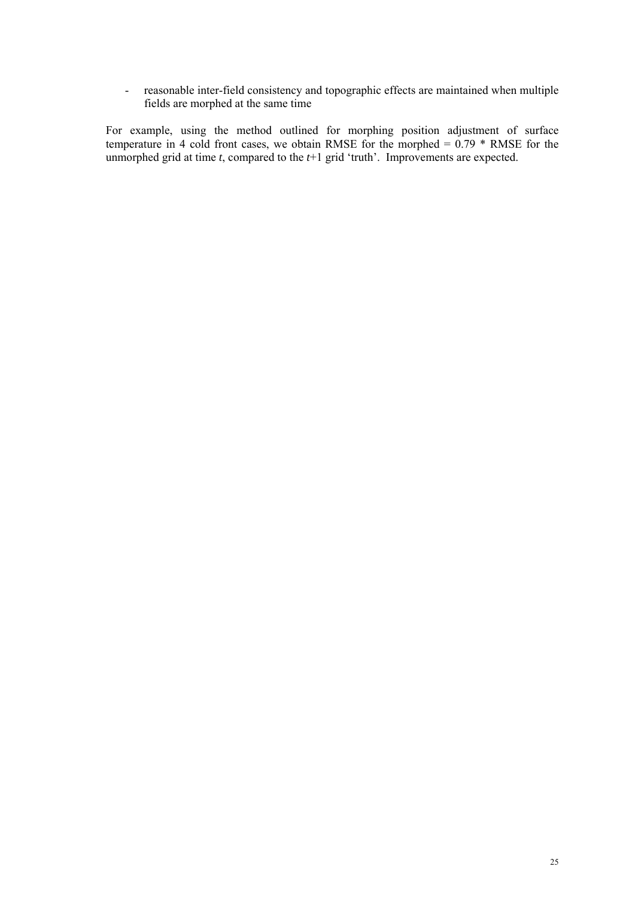- reasonable inter-field consistency and topographic effects are maintained when multiple fields are morphed at the same time

For example, using the method outlined for morphing position adjustment of surface temperature in 4 cold front cases, we obtain RMSE for the morphed  $= 0.79 * RMSE$  for the unmorphed grid at time *t*, compared to the *t*+1 grid 'truth'. Improvements are expected.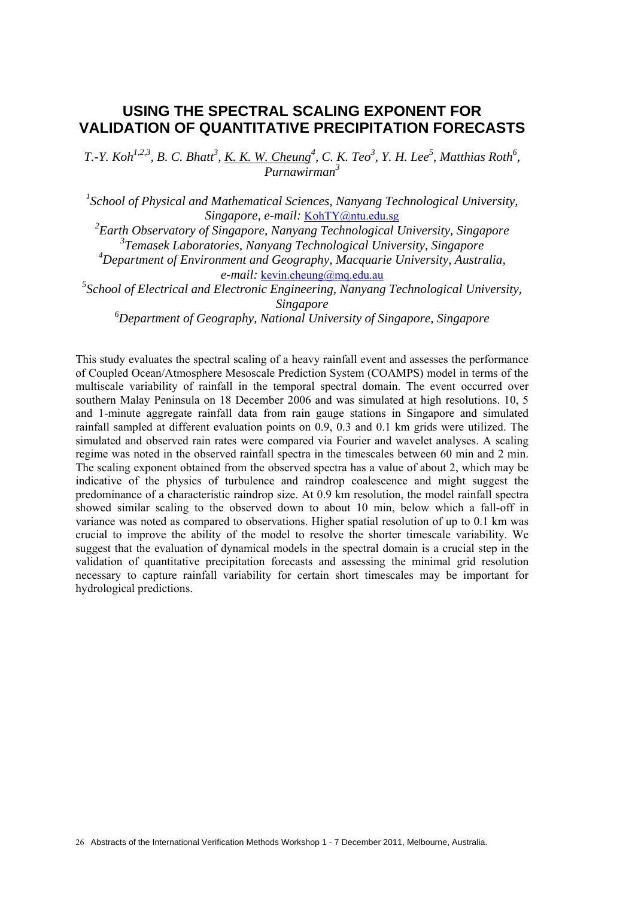### **USING THE SPECTRAL SCALING EXPONENT FOR VALIDATION OF QUANTITATIVE PRECIPITATION FORECASTS**

*T.*-*Y. Koh<sup>1,2,3</sup>, B. C. Bhatt<sup>3</sup>, <u>K. K. W. Cheung</u><sup>4</sup>, C. K. Teo<sup>3</sup>, Y. H. Lee<sup>5</sup>, Matthias Roth<sup>6</sup>, Purnawirman<sup>3</sup>*

<sup>1</sup> School of Physical and Mathematical Sciences, Nanyang Technological University, *Singapore, e-mail:* KohTY@ntu.edu.sg

*2 Earth Observatory of Singapore, Nanyang Technological University, Singapore 3 Temasek Laboratories, Nanyang Technological University, Singapore* 

*4 Department of Environment and Geography, Macquarie University, Australia, e-mail:* kevin.cheung@mq.edu.au

<sup>5</sup> School of Electrical and Electronic Engineering, Nanyang Technological University, *Singapore* 

*6 Department of Geography, National University of Singapore, Singapore* 

This study evaluates the spectral scaling of a heavy rainfall event and assesses the performance of Coupled Ocean/Atmosphere Mesoscale Prediction System (COAMPS) model in terms of the multiscale variability of rainfall in the temporal spectral domain. The event occurred over southern Malay Peninsula on 18 December 2006 and was simulated at high resolutions. 10, 5 and 1-minute aggregate rainfall data from rain gauge stations in Singapore and simulated rainfall sampled at different evaluation points on 0.9, 0.3 and 0.1 km grids were utilized. The simulated and observed rain rates were compared via Fourier and wavelet analyses. A scaling regime was noted in the observed rainfall spectra in the timescales between 60 min and 2 min. The scaling exponent obtained from the observed spectra has a value of about 2, which may be indicative of the physics of turbulence and raindrop coalescence and might suggest the predominance of a characteristic raindrop size. At 0.9 km resolution, the model rainfall spectra showed similar scaling to the observed down to about 10 min, below which a fall-off in variance was noted as compared to observations. Higher spatial resolution of up to 0.1 km was crucial to improve the ability of the model to resolve the shorter timescale variability. We suggest that the evaluation of dynamical models in the spectral domain is a crucial step in the validation of quantitative precipitation forecasts and assessing the minimal grid resolution necessary to capture rainfall variability for certain short timescales may be important for hydrological predictions.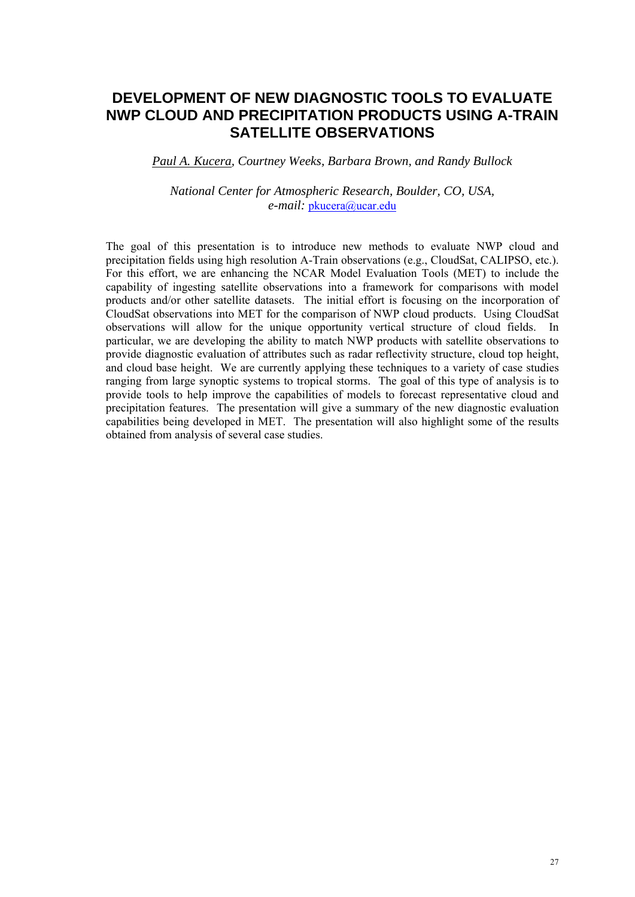## **DEVELOPMENT OF NEW DIAGNOSTIC TOOLS TO EVALUATE NWP CLOUD AND PRECIPITATION PRODUCTS USING A-TRAIN SATELLITE OBSERVATIONS**

*Paul A. Kucera, Courtney Weeks, Barbara Brown, and Randy Bullock* 

*National Center for Atmospheric Research, Boulder, CO, USA, e-mail:* pkucera@ucar.edu

The goal of this presentation is to introduce new methods to evaluate NWP cloud and precipitation fields using high resolution A-Train observations (e.g., CloudSat, CALIPSO, etc.). For this effort, we are enhancing the NCAR Model Evaluation Tools (MET) to include the capability of ingesting satellite observations into a framework for comparisons with model products and/or other satellite datasets. The initial effort is focusing on the incorporation of CloudSat observations into MET for the comparison of NWP cloud products. Using CloudSat observations will allow for the unique opportunity vertical structure of cloud fields. In particular, we are developing the ability to match NWP products with satellite observations to provide diagnostic evaluation of attributes such as radar reflectivity structure, cloud top height, and cloud base height. We are currently applying these techniques to a variety of case studies ranging from large synoptic systems to tropical storms. The goal of this type of analysis is to provide tools to help improve the capabilities of models to forecast representative cloud and precipitation features. The presentation will give a summary of the new diagnostic evaluation capabilities being developed in MET. The presentation will also highlight some of the results obtained from analysis of several case studies.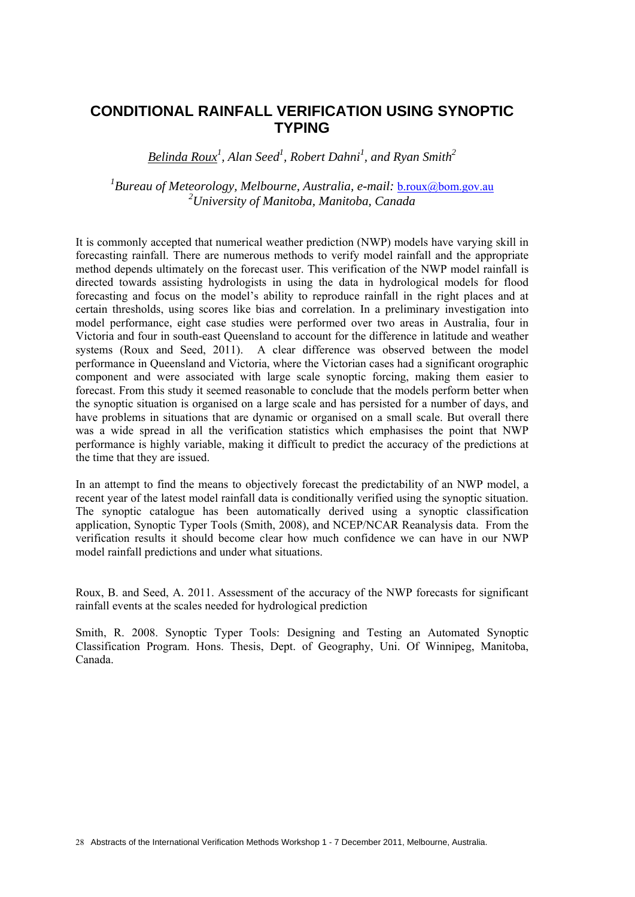### **CONDITIONAL RAINFALL VERIFICATION USING SYNOPTIC TYPING**

*Belinda Roux<sup>1</sup> , Alan Seed<sup>1</sup> , Robert Dahni<sup>1</sup> , and Ryan Smith2*

<sup>1</sup> Bureau of Meteorology, Melbourne, Australia, e-mail: <u>b.roux@bom.gov.au</u> *2 University of Manitoba, Manitoba, Canada* 

It is commonly accepted that numerical weather prediction (NWP) models have varying skill in forecasting rainfall. There are numerous methods to verify model rainfall and the appropriate method depends ultimately on the forecast user. This verification of the NWP model rainfall is directed towards assisting hydrologists in using the data in hydrological models for flood forecasting and focus on the model's ability to reproduce rainfall in the right places and at certain thresholds, using scores like bias and correlation. In a preliminary investigation into model performance, eight case studies were performed over two areas in Australia, four in Victoria and four in south-east Queensland to account for the difference in latitude and weather systems (Roux and Seed, 2011). A clear difference was observed between the model performance in Queensland and Victoria, where the Victorian cases had a significant orographic component and were associated with large scale synoptic forcing, making them easier to forecast. From this study it seemed reasonable to conclude that the models perform better when the synoptic situation is organised on a large scale and has persisted for a number of days, and have problems in situations that are dynamic or organised on a small scale. But overall there was a wide spread in all the verification statistics which emphasises the point that NWP performance is highly variable, making it difficult to predict the accuracy of the predictions at the time that they are issued.

In an attempt to find the means to objectively forecast the predictability of an NWP model, a recent year of the latest model rainfall data is conditionally verified using the synoptic situation. The synoptic catalogue has been automatically derived using a synoptic classification application, Synoptic Typer Tools (Smith, 2008), and NCEP/NCAR Reanalysis data. From the verification results it should become clear how much confidence we can have in our NWP model rainfall predictions and under what situations.

Roux, B. and Seed, A. 2011. Assessment of the accuracy of the NWP forecasts for significant rainfall events at the scales needed for hydrological prediction

Smith, R. 2008. Synoptic Typer Tools: Designing and Testing an Automated Synoptic Classification Program. Hons. Thesis, Dept. of Geography, Uni. Of Winnipeg, Manitoba, Canada.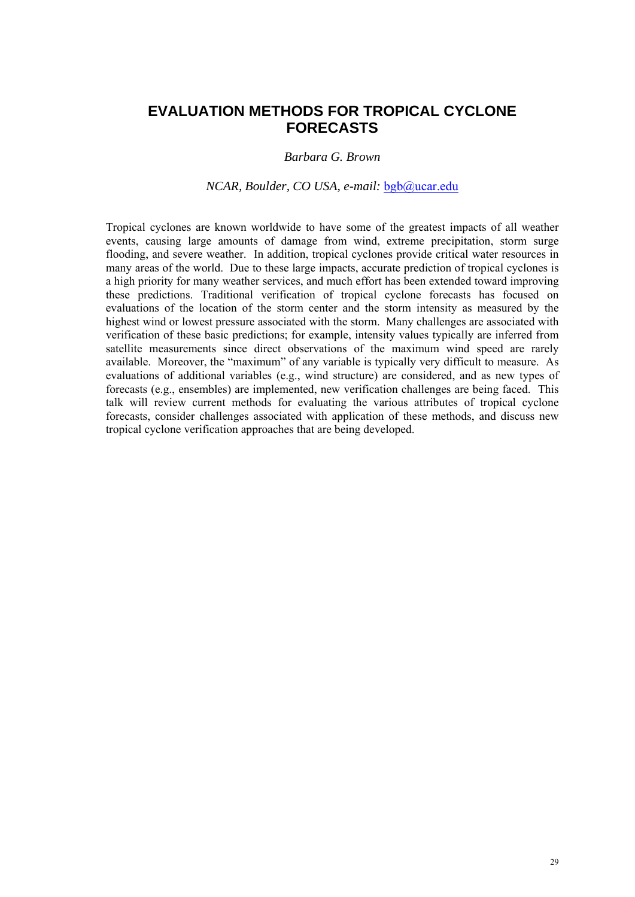## **EVALUATION METHODS FOR TROPICAL CYCLONE FORECASTS**

### *Barbara G. Brown*

#### *NCAR, Boulder, CO USA, e-mail:* bgb@ucar.edu

Tropical cyclones are known worldwide to have some of the greatest impacts of all weather events, causing large amounts of damage from wind, extreme precipitation, storm surge flooding, and severe weather. In addition, tropical cyclones provide critical water resources in many areas of the world. Due to these large impacts, accurate prediction of tropical cyclones is a high priority for many weather services, and much effort has been extended toward improving these predictions. Traditional verification of tropical cyclone forecasts has focused on evaluations of the location of the storm center and the storm intensity as measured by the highest wind or lowest pressure associated with the storm. Many challenges are associated with verification of these basic predictions; for example, intensity values typically are inferred from satellite measurements since direct observations of the maximum wind speed are rarely available. Moreover, the "maximum" of any variable is typically very difficult to measure. As evaluations of additional variables (e.g., wind structure) are considered, and as new types of forecasts (e.g., ensembles) are implemented, new verification challenges are being faced. This talk will review current methods for evaluating the various attributes of tropical cyclone forecasts, consider challenges associated with application of these methods, and discuss new tropical cyclone verification approaches that are being developed.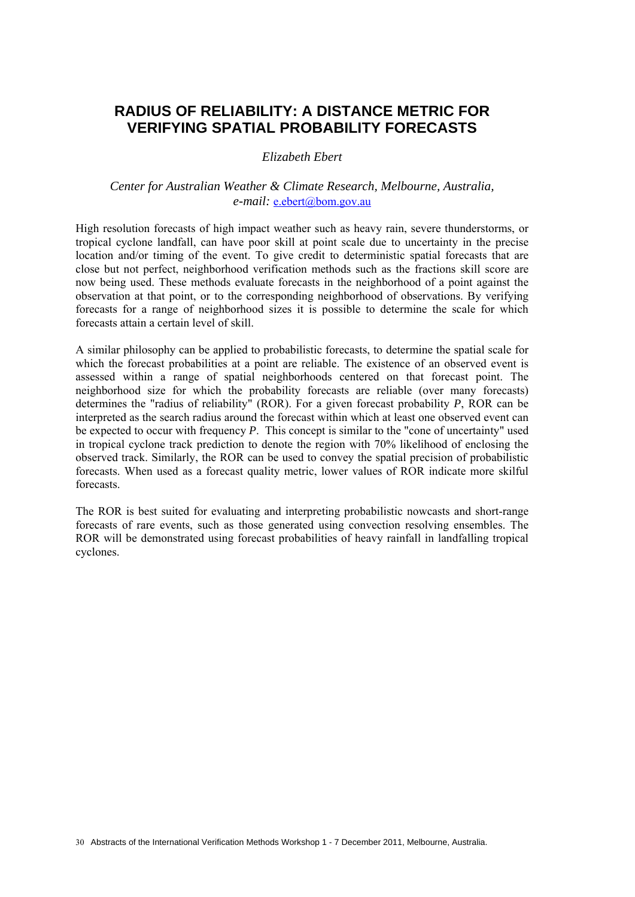## **RADIUS OF RELIABILITY: A DISTANCE METRIC FOR VERIFYING SPATIAL PROBABILITY FORECASTS**

#### *Elizabeth Ebert*

### *Center for Australian Weather & Climate Research, Melbourne, Australia, e-mail:* e.ebert@bom.gov.au

High resolution forecasts of high impact weather such as heavy rain, severe thunderstorms, or tropical cyclone landfall, can have poor skill at point scale due to uncertainty in the precise location and/or timing of the event. To give credit to deterministic spatial forecasts that are close but not perfect, neighborhood verification methods such as the fractions skill score are now being used. These methods evaluate forecasts in the neighborhood of a point against the observation at that point, or to the corresponding neighborhood of observations. By verifying forecasts for a range of neighborhood sizes it is possible to determine the scale for which forecasts attain a certain level of skill.

A similar philosophy can be applied to probabilistic forecasts, to determine the spatial scale for which the forecast probabilities at a point are reliable. The existence of an observed event is assessed within a range of spatial neighborhoods centered on that forecast point. The neighborhood size for which the probability forecasts are reliable (over many forecasts) determines the "radius of reliability" (ROR). For a given forecast probability *P*, ROR can be interpreted as the search radius around the forecast within which at least one observed event can be expected to occur with frequency *P*. This concept is similar to the "cone of uncertainty" used in tropical cyclone track prediction to denote the region with 70% likelihood of enclosing the observed track. Similarly, the ROR can be used to convey the spatial precision of probabilistic forecasts. When used as a forecast quality metric, lower values of ROR indicate more skilful forecasts.

The ROR is best suited for evaluating and interpreting probabilistic nowcasts and short-range forecasts of rare events, such as those generated using convection resolving ensembles. The ROR will be demonstrated using forecast probabilities of heavy rainfall in landfalling tropical cyclones.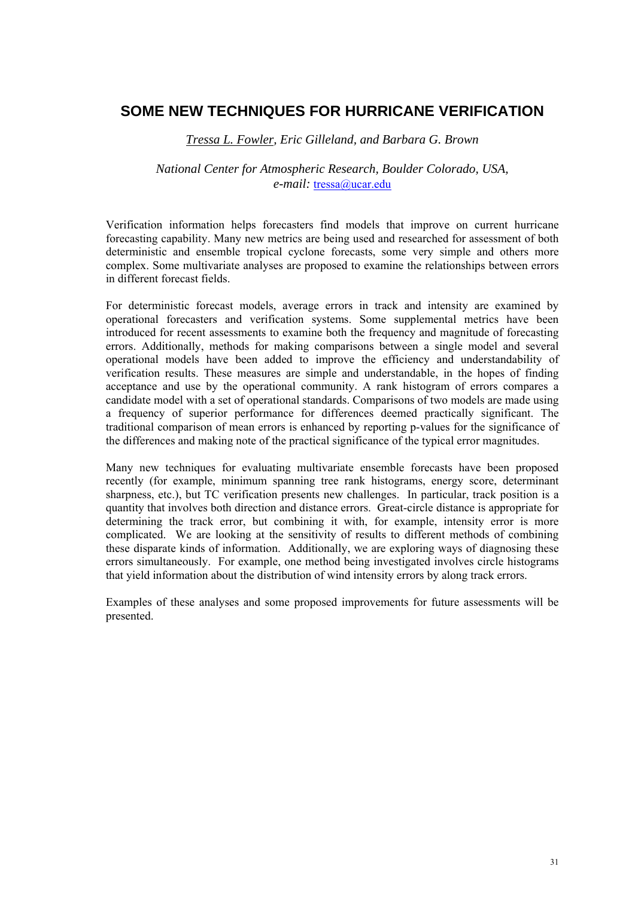### **SOME NEW TECHNIQUES FOR HURRICANE VERIFICATION**

*Tressa L. Fowler, Eric Gilleland, and Barbara G. Brown* 

### *National Center for Atmospheric Research, Boulder Colorado, USA, e-mail:* tressa@ucar.edu

Verification information helps forecasters find models that improve on current hurricane forecasting capability. Many new metrics are being used and researched for assessment of both deterministic and ensemble tropical cyclone forecasts, some very simple and others more complex. Some multivariate analyses are proposed to examine the relationships between errors in different forecast fields.

For deterministic forecast models, average errors in track and intensity are examined by operational forecasters and verification systems. Some supplemental metrics have been introduced for recent assessments to examine both the frequency and magnitude of forecasting errors. Additionally, methods for making comparisons between a single model and several operational models have been added to improve the efficiency and understandability of verification results. These measures are simple and understandable, in the hopes of finding acceptance and use by the operational community. A rank histogram of errors compares a candidate model with a set of operational standards. Comparisons of two models are made using a frequency of superior performance for differences deemed practically significant. The traditional comparison of mean errors is enhanced by reporting p-values for the significance of the differences and making note of the practical significance of the typical error magnitudes.

Many new techniques for evaluating multivariate ensemble forecasts have been proposed recently (for example, minimum spanning tree rank histograms, energy score, determinant sharpness, etc.), but TC verification presents new challenges. In particular, track position is a quantity that involves both direction and distance errors. Great-circle distance is appropriate for determining the track error, but combining it with, for example, intensity error is more complicated. We are looking at the sensitivity of results to different methods of combining these disparate kinds of information. Additionally, we are exploring ways of diagnosing these errors simultaneously. For example, one method being investigated involves circle histograms that yield information about the distribution of wind intensity errors by along track errors.

Examples of these analyses and some proposed improvements for future assessments will be presented.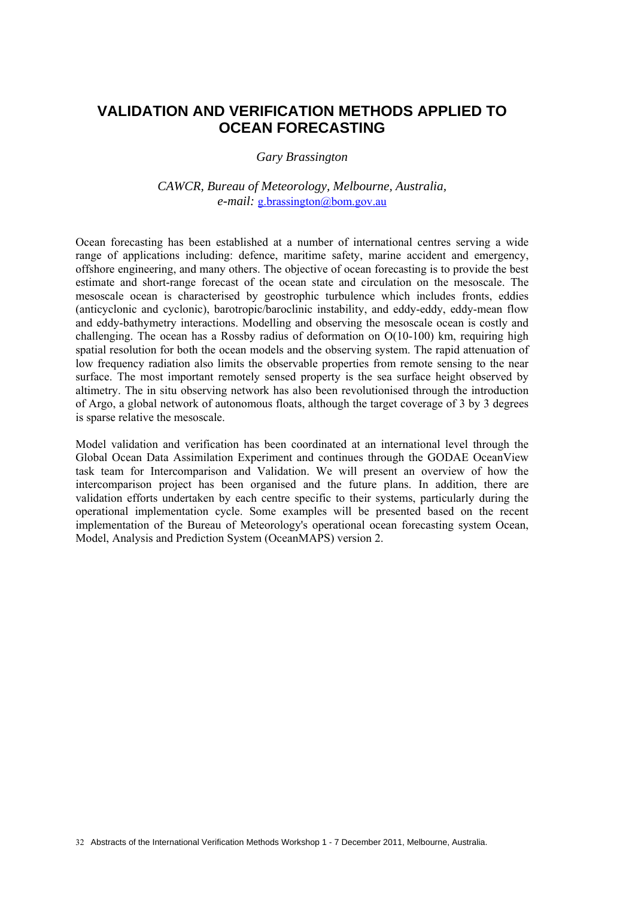## **VALIDATION AND VERIFICATION METHODS APPLIED TO OCEAN FORECASTING**

*Gary Brassington* 

*CAWCR, Bureau of Meteorology, Melbourne, Australia, e-mail:* g.brassington@bom.gov.au

Ocean forecasting has been established at a number of international centres serving a wide range of applications including: defence, maritime safety, marine accident and emergency, offshore engineering, and many others. The objective of ocean forecasting is to provide the best estimate and short-range forecast of the ocean state and circulation on the mesoscale. The mesoscale ocean is characterised by geostrophic turbulence which includes fronts, eddies (anticyclonic and cyclonic), barotropic/baroclinic instability, and eddy-eddy, eddy-mean flow and eddy-bathymetry interactions. Modelling and observing the mesoscale ocean is costly and challenging. The ocean has a Rossby radius of deformation on O(10-100) km, requiring high spatial resolution for both the ocean models and the observing system. The rapid attenuation of low frequency radiation also limits the observable properties from remote sensing to the near surface. The most important remotely sensed property is the sea surface height observed by altimetry. The in situ observing network has also been revolutionised through the introduction of Argo, a global network of autonomous floats, although the target coverage of 3 by 3 degrees is sparse relative the mesoscale.

Model validation and verification has been coordinated at an international level through the Global Ocean Data Assimilation Experiment and continues through the GODAE OceanView task team for Intercomparison and Validation. We will present an overview of how the intercomparison project has been organised and the future plans. In addition, there are validation efforts undertaken by each centre specific to their systems, particularly during the operational implementation cycle. Some examples will be presented based on the recent implementation of the Bureau of Meteorology's operational ocean forecasting system Ocean, Model, Analysis and Prediction System (OceanMAPS) version 2.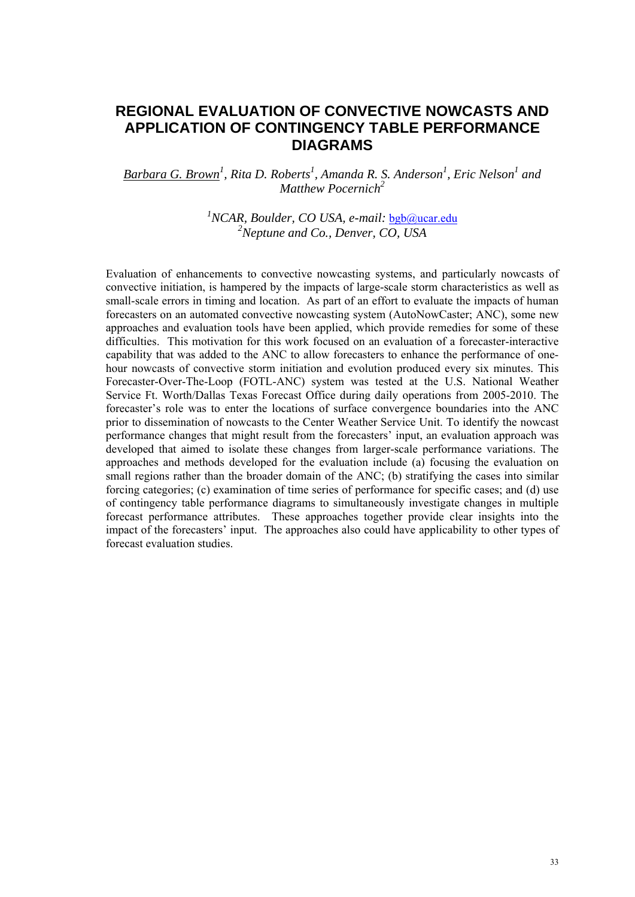## **REGIONAL EVALUATION OF CONVECTIVE NOWCASTS AND APPLICATION OF CONTINGENCY TABLE PERFORMANCE DIAGRAMS**

### Barbara G. Brown<sup>1</sup>, Rita D. Roberts<sup>1</sup>, Amanda R. S. Anderson<sup>1</sup>, Eric Nelson<sup>1</sup> and *Matthew Pocernich2*

<sup>1</sup> NCAR, Boulder, CO USA, e-mail: **bgb@ucar.edu** *2 Neptune and Co., Denver, CO, USA* 

Evaluation of enhancements to convective nowcasting systems, and particularly nowcasts of convective initiation, is hampered by the impacts of large-scale storm characteristics as well as small-scale errors in timing and location. As part of an effort to evaluate the impacts of human forecasters on an automated convective nowcasting system (AutoNowCaster; ANC), some new approaches and evaluation tools have been applied, which provide remedies for some of these difficulties. This motivation for this work focused on an evaluation of a forecaster-interactive capability that was added to the ANC to allow forecasters to enhance the performance of onehour nowcasts of convective storm initiation and evolution produced every six minutes. This Forecaster-Over-The-Loop (FOTL-ANC) system was tested at the U.S. National Weather Service Ft. Worth/Dallas Texas Forecast Office during daily operations from 2005-2010. The forecaster's role was to enter the locations of surface convergence boundaries into the ANC prior to dissemination of nowcasts to the Center Weather Service Unit. To identify the nowcast performance changes that might result from the forecasters' input, an evaluation approach was developed that aimed to isolate these changes from larger-scale performance variations. The approaches and methods developed for the evaluation include (a) focusing the evaluation on small regions rather than the broader domain of the ANC; (b) stratifying the cases into similar forcing categories; (c) examination of time series of performance for specific cases; and (d) use of contingency table performance diagrams to simultaneously investigate changes in multiple forecast performance attributes. These approaches together provide clear insights into the impact of the forecasters' input. The approaches also could have applicability to other types of forecast evaluation studies.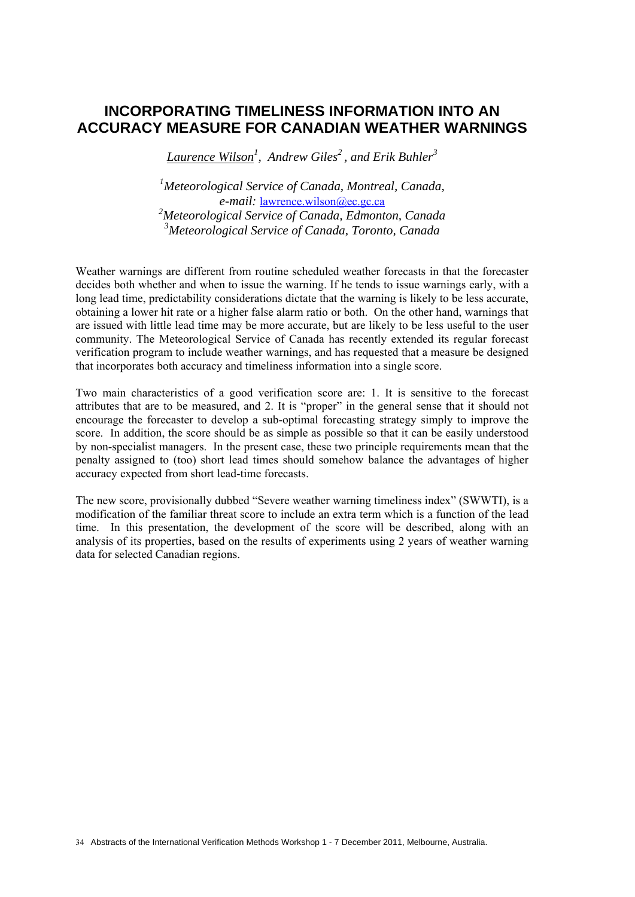## **INCORPORATING TIMELINESS INFORMATION INTO AN ACCURACY MEASURE FOR CANADIAN WEATHER WARNINGS**

*Laurence Wilson1 , Andrew Giles2 , and Erik Buhler3*

 *Meteorological Service of Canada, Montreal, Canada, e-mail:* lawrence.wilson@ec.gc.ca *Meteorological Service of Canada, Edmonton, Canada Meteorological Service of Canada, Toronto, Canada* 

Weather warnings are different from routine scheduled weather forecasts in that the forecaster decides both whether and when to issue the warning. If he tends to issue warnings early, with a long lead time, predictability considerations dictate that the warning is likely to be less accurate, obtaining a lower hit rate or a higher false alarm ratio or both. On the other hand, warnings that are issued with little lead time may be more accurate, but are likely to be less useful to the user community. The Meteorological Service of Canada has recently extended its regular forecast verification program to include weather warnings, and has requested that a measure be designed that incorporates both accuracy and timeliness information into a single score.

Two main characteristics of a good verification score are: 1. It is sensitive to the forecast attributes that are to be measured, and 2. It is "proper" in the general sense that it should not encourage the forecaster to develop a sub-optimal forecasting strategy simply to improve the score. In addition, the score should be as simple as possible so that it can be easily understood by non-specialist managers. In the present case, these two principle requirements mean that the penalty assigned to (too) short lead times should somehow balance the advantages of higher accuracy expected from short lead-time forecasts.

The new score, provisionally dubbed "Severe weather warning timeliness index" (SWWTI), is a modification of the familiar threat score to include an extra term which is a function of the lead time. In this presentation, the development of the score will be described, along with an analysis of its properties, based on the results of experiments using 2 years of weather warning data for selected Canadian regions.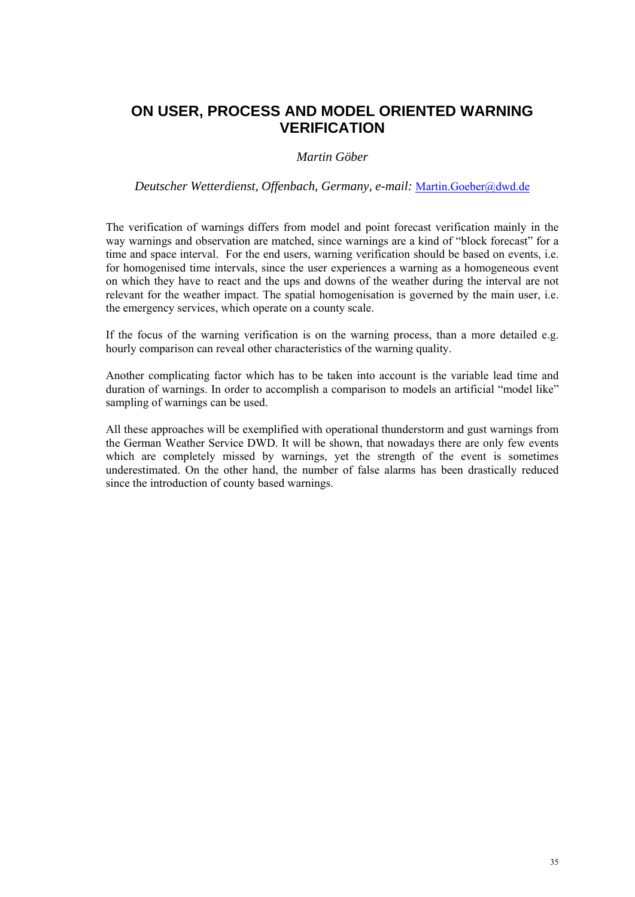# **ON USER, PROCESS AND MODEL ORIENTED WARNING VERIFICATION**

### *Martin Göber*

*Deutscher Wetterdienst, Offenbach, Germany, e-mail:* Martin.Goeber@dwd.de

The verification of warnings differs from model and point forecast verification mainly in the way warnings and observation are matched, since warnings are a kind of "block forecast" for a time and space interval. For the end users, warning verification should be based on events, i.e. for homogenised time intervals, since the user experiences a warning as a homogeneous event on which they have to react and the ups and downs of the weather during the interval are not relevant for the weather impact. The spatial homogenisation is governed by the main user, i.e. the emergency services, which operate on a county scale.

If the focus of the warning verification is on the warning process, than a more detailed e.g. hourly comparison can reveal other characteristics of the warning quality.

Another complicating factor which has to be taken into account is the variable lead time and duration of warnings. In order to accomplish a comparison to models an artificial "model like" sampling of warnings can be used.

All these approaches will be exemplified with operational thunderstorm and gust warnings from the German Weather Service DWD. It will be shown, that nowadays there are only few events which are completely missed by warnings, yet the strength of the event is sometimes underestimated. On the other hand, the number of false alarms has been drastically reduced since the introduction of county based warnings.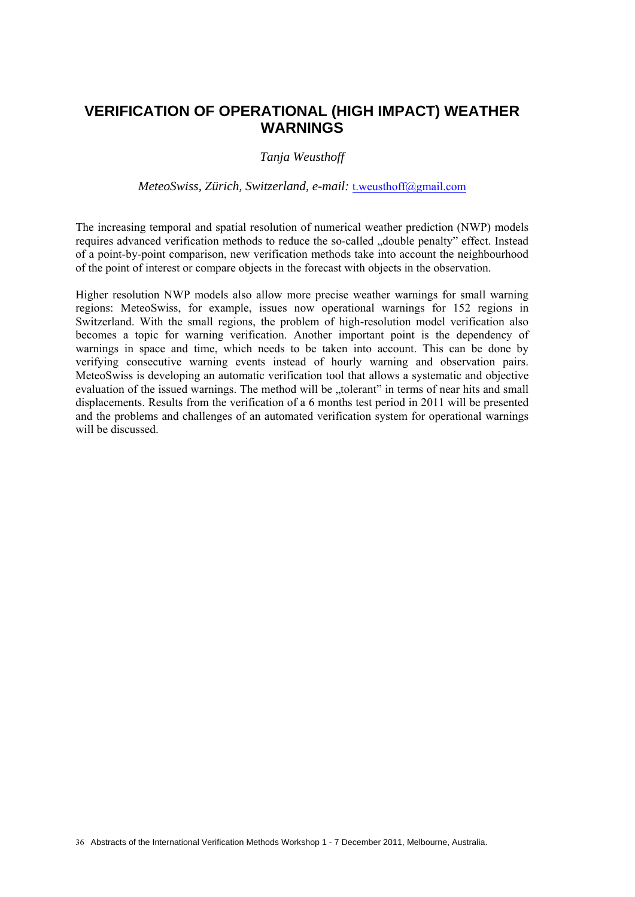## **VERIFICATION OF OPERATIONAL (HIGH IMPACT) WEATHER WARNINGS**

#### *Tanja Weusthoff*

#### *MeteoSwiss, Zürich, Switzerland, e-mail:* t.weusthoff@gmail.com

The increasing temporal and spatial resolution of numerical weather prediction (NWP) models requires advanced verification methods to reduce the so-called ..double penalty" effect. Instead of a point-by-point comparison, new verification methods take into account the neighbourhood of the point of interest or compare objects in the forecast with objects in the observation.

Higher resolution NWP models also allow more precise weather warnings for small warning regions: MeteoSwiss, for example, issues now operational warnings for 152 regions in Switzerland. With the small regions, the problem of high-resolution model verification also becomes a topic for warning verification. Another important point is the dependency of warnings in space and time, which needs to be taken into account. This can be done by verifying consecutive warning events instead of hourly warning and observation pairs. MeteoSwiss is developing an automatic verification tool that allows a systematic and objective evaluation of the issued warnings. The method will be "tolerant" in terms of near hits and small displacements. Results from the verification of a 6 months test period in 2011 will be presented and the problems and challenges of an automated verification system for operational warnings will be discussed.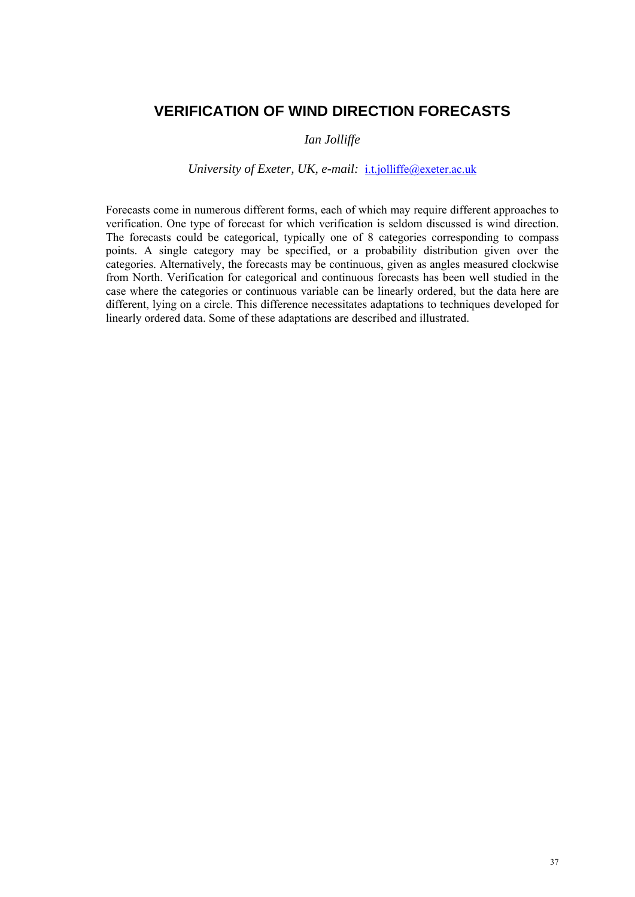### **VERIFICATION OF WIND DIRECTION FORECASTS**

### *Ian Jolliffe*

### *University of Exeter, UK, e-mail: i.t.jolliffe@exeter.ac.uk*

Forecasts come in numerous different forms, each of which may require different approaches to verification. One type of forecast for which verification is seldom discussed is wind direction. The forecasts could be categorical, typically one of 8 categories corresponding to compass points. A single category may be specified, or a probability distribution given over the categories. Alternatively, the forecasts may be continuous, given as angles measured clockwise from North. Verification for categorical and continuous forecasts has been well studied in the case where the categories or continuous variable can be linearly ordered, but the data here are different, lying on a circle. This difference necessitates adaptations to techniques developed for linearly ordered data. Some of these adaptations are described and illustrated.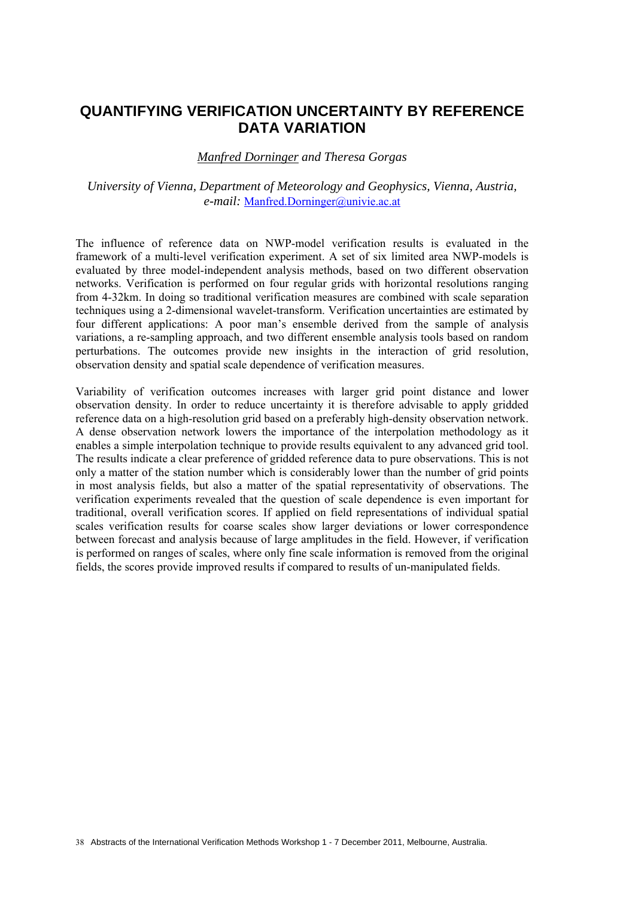## **QUANTIFYING VERIFICATION UNCERTAINTY BY REFERENCE DATA VARIATION**

#### *Manfred Dorninger and Theresa Gorgas*

### *University of Vienna, Department of Meteorology and Geophysics, Vienna, Austria, e-mail:* Manfred.Dorninger@univie.ac.at

The influence of reference data on NWP-model verification results is evaluated in the framework of a multi-level verification experiment. A set of six limited area NWP-models is evaluated by three model-independent analysis methods, based on two different observation networks. Verification is performed on four regular grids with horizontal resolutions ranging from 4-32km. In doing so traditional verification measures are combined with scale separation techniques using a 2-dimensional wavelet-transform. Verification uncertainties are estimated by four different applications: A poor man's ensemble derived from the sample of analysis variations, a re-sampling approach, and two different ensemble analysis tools based on random perturbations. The outcomes provide new insights in the interaction of grid resolution, observation density and spatial scale dependence of verification measures.

Variability of verification outcomes increases with larger grid point distance and lower observation density. In order to reduce uncertainty it is therefore advisable to apply gridded reference data on a high-resolution grid based on a preferably high-density observation network. A dense observation network lowers the importance of the interpolation methodology as it enables a simple interpolation technique to provide results equivalent to any advanced grid tool. The results indicate a clear preference of gridded reference data to pure observations. This is not only a matter of the station number which is considerably lower than the number of grid points in most analysis fields, but also a matter of the spatial representativity of observations. The verification experiments revealed that the question of scale dependence is even important for traditional, overall verification scores. If applied on field representations of individual spatial scales verification results for coarse scales show larger deviations or lower correspondence between forecast and analysis because of large amplitudes in the field. However, if verification is performed on ranges of scales, where only fine scale information is removed from the original fields, the scores provide improved results if compared to results of un-manipulated fields.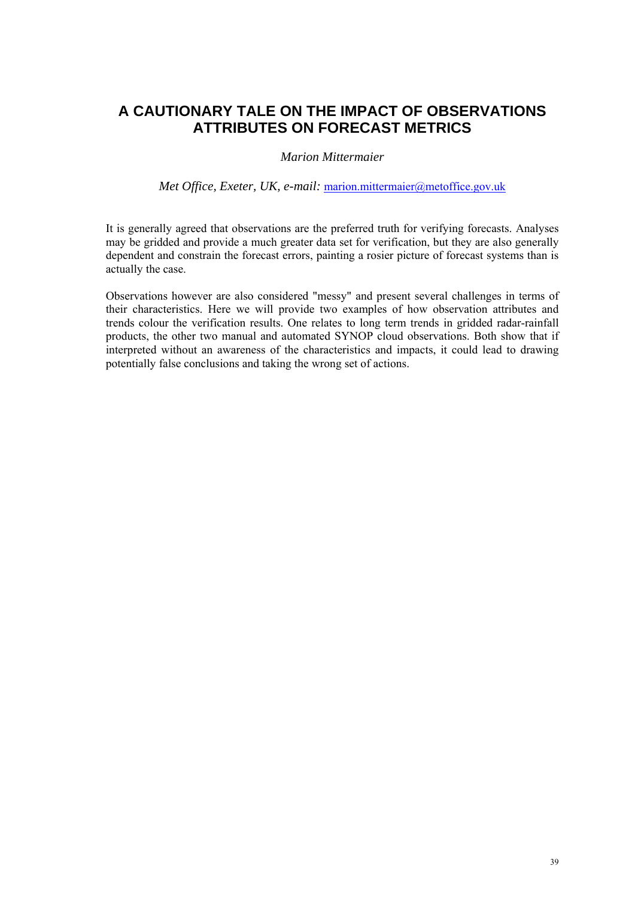# **A CAUTIONARY TALE ON THE IMPACT OF OBSERVATIONS ATTRIBUTES ON FORECAST METRICS**

### *Marion Mittermaier*

#### *Met Office, Exeter, UK, e-mail:* marion.mittermaier@metoffice.gov.uk

It is generally agreed that observations are the preferred truth for verifying forecasts. Analyses may be gridded and provide a much greater data set for verification, but they are also generally dependent and constrain the forecast errors, painting a rosier picture of forecast systems than is actually the case.

Observations however are also considered "messy" and present several challenges in terms of their characteristics. Here we will provide two examples of how observation attributes and trends colour the verification results. One relates to long term trends in gridded radar-rainfall products, the other two manual and automated SYNOP cloud observations. Both show that if interpreted without an awareness of the characteristics and impacts, it could lead to drawing potentially false conclusions and taking the wrong set of actions.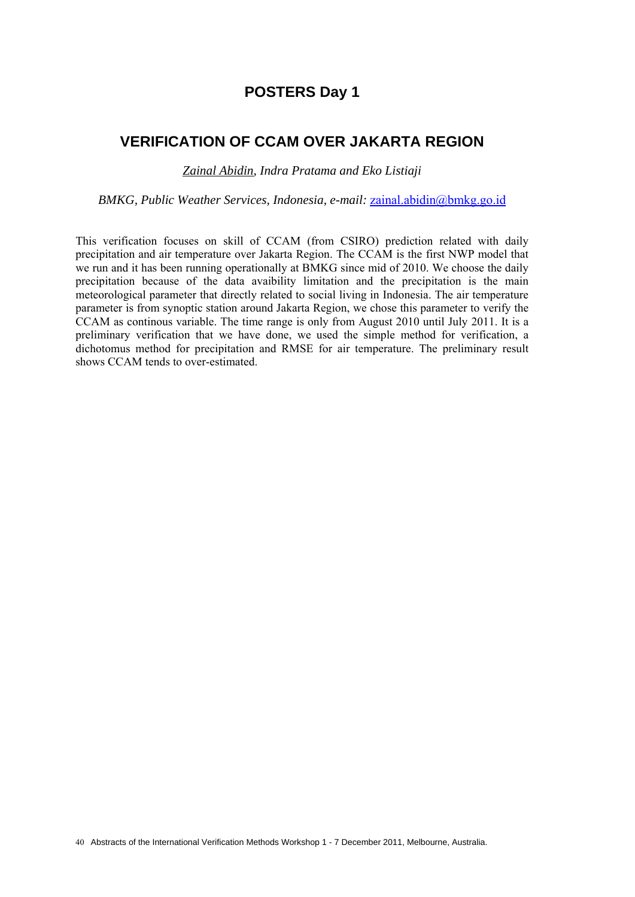## **POSTERS Day 1**

## **VERIFICATION OF CCAM OVER JAKARTA REGION**

*Zainal Abidin, Indra Pratama and Eko Listiaji* 

*BMKG, Public Weather Services, Indonesia, e-mail:* zainal.abidin@bmkg.go.id

This verification focuses on skill of CCAM (from CSIRO) prediction related with daily precipitation and air temperature over Jakarta Region. The CCAM is the first NWP model that we run and it has been running operationally at BMKG since mid of 2010. We choose the daily precipitation because of the data avaibility limitation and the precipitation is the main meteorological parameter that directly related to social living in Indonesia. The air temperature parameter is from synoptic station around Jakarta Region, we chose this parameter to verify the CCAM as continous variable. The time range is only from August 2010 until July 2011. It is a preliminary verification that we have done, we used the simple method for verification, a dichotomus method for precipitation and RMSE for air temperature. The preliminary result shows CCAM tends to over-estimated.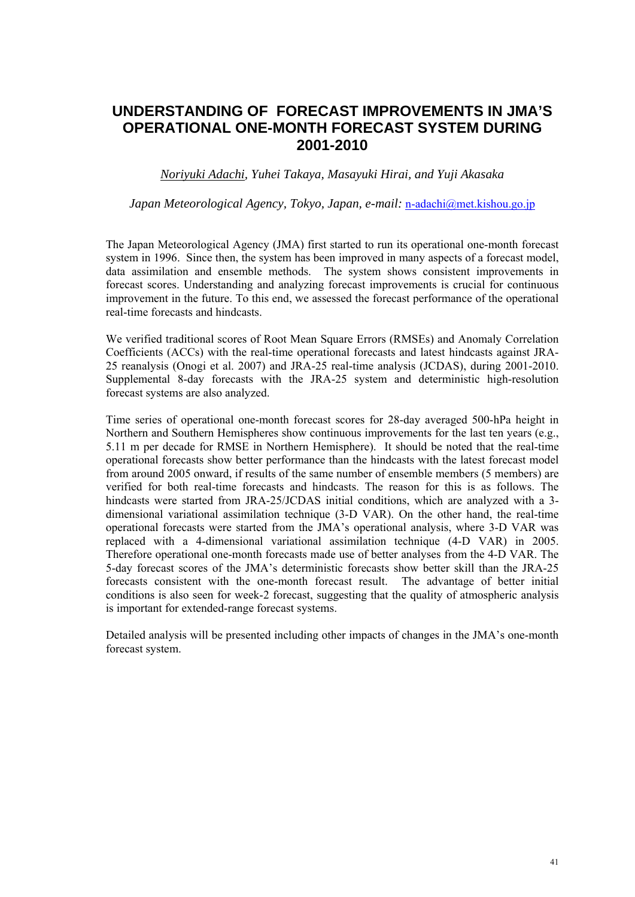# **UNDERSTANDING OF FORECAST IMPROVEMENTS IN JMA'S OPERATIONAL ONE-MONTH FORECAST SYSTEM DURING 2001-2010**

*Noriyuki Adachi, Yuhei Takaya, Masayuki Hirai, and Yuji Akasaka*

*Japan Meteorological Agency, Tokyo, Japan, e-mail:* n-adachi@met.kishou.go.jp

The Japan Meteorological Agency (JMA) first started to run its operational one-month forecast system in 1996. Since then, the system has been improved in many aspects of a forecast model, data assimilation and ensemble methods. The system shows consistent improvements in forecast scores. Understanding and analyzing forecast improvements is crucial for continuous improvement in the future. To this end, we assessed the forecast performance of the operational real-time forecasts and hindcasts.

We verified traditional scores of Root Mean Square Errors (RMSEs) and Anomaly Correlation Coefficients (ACCs) with the real-time operational forecasts and latest hindcasts against JRA-25 reanalysis (Onogi et al. 2007) and JRA-25 real-time analysis (JCDAS), during 2001-2010. Supplemental 8-day forecasts with the JRA-25 system and deterministic high-resolution forecast systems are also analyzed.

Time series of operational one-month forecast scores for 28-day averaged 500-hPa height in Northern and Southern Hemispheres show continuous improvements for the last ten years (e.g., 5.11 m per decade for RMSE in Northern Hemisphere). It should be noted that the real-time operational forecasts show better performance than the hindcasts with the latest forecast model from around 2005 onward, if results of the same number of ensemble members (5 members) are verified for both real-time forecasts and hindcasts. The reason for this is as follows. The hindcasts were started from JRA-25/JCDAS initial conditions, which are analyzed with a 3 dimensional variational assimilation technique (3-D VAR). On the other hand, the real-time operational forecasts were started from the JMA's operational analysis, where 3-D VAR was replaced with a 4-dimensional variational assimilation technique (4-D VAR) in 2005. Therefore operational one-month forecasts made use of better analyses from the 4-D VAR. The 5-day forecast scores of the JMA's deterministic forecasts show better skill than the JRA-25 forecasts consistent with the one-month forecast result. The advantage of better initial conditions is also seen for week-2 forecast, suggesting that the quality of atmospheric analysis is important for extended-range forecast systems.

Detailed analysis will be presented including other impacts of changes in the JMA's one-month forecast system.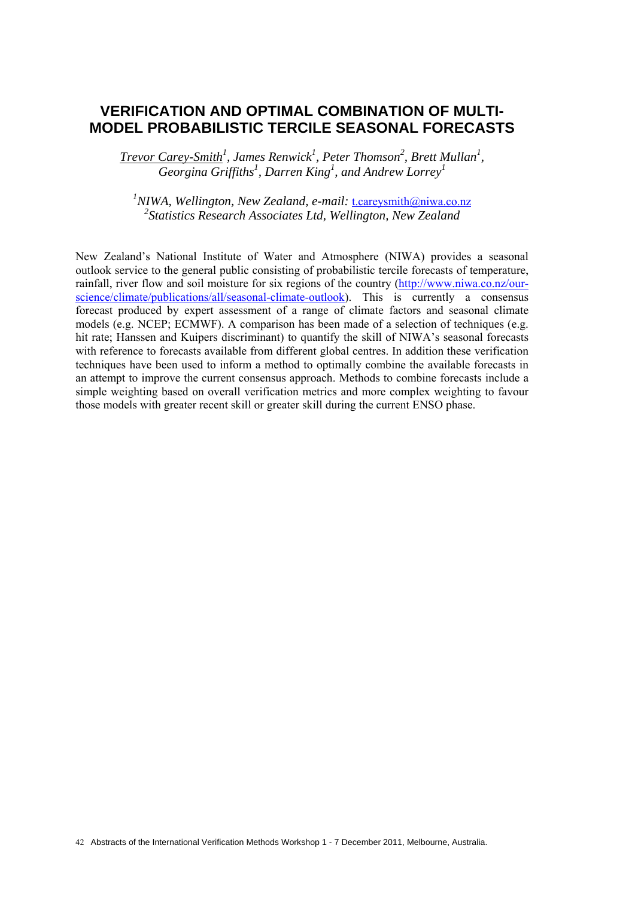## **VERIFICATION AND OPTIMAL COMBINATION OF MULTI-MODEL PROBABILISTIC TERCILE SEASONAL FORECASTS**

*Trevor Carey-Smith<sup>1</sup>, James Renwick<sup>1</sup>, Peter Thomson<sup>2</sup>, Brett Mullan<sup>1</sup>, Georgina Griffiths<sup>1</sup> , Darren King1 , and Andrew Lorrey1*

<sup>1</sup>NIWA, Wellington, New Zealand, e-mail: t.careysmith@niwa.co.nz *2 Statistics Research Associates Ltd, Wellington, New Zealand* 

New Zealand's National Institute of Water and Atmosphere (NIWA) provides a seasonal outlook service to the general public consisting of probabilistic tercile forecasts of temperature, rainfall, river flow and soil moisture for six regions of the country (http://www.niwa.co.nz/ourscience/climate/publications/all/seasonal-climate-outlook). This is currently a consensus forecast produced by expert assessment of a range of climate factors and seasonal climate models (e.g. NCEP; ECMWF). A comparison has been made of a selection of techniques (e.g. hit rate; Hanssen and Kuipers discriminant) to quantify the skill of NIWA's seasonal forecasts with reference to forecasts available from different global centres. In addition these verification techniques have been used to inform a method to optimally combine the available forecasts in an attempt to improve the current consensus approach. Methods to combine forecasts include a simple weighting based on overall verification metrics and more complex weighting to favour those models with greater recent skill or greater skill during the current ENSO phase.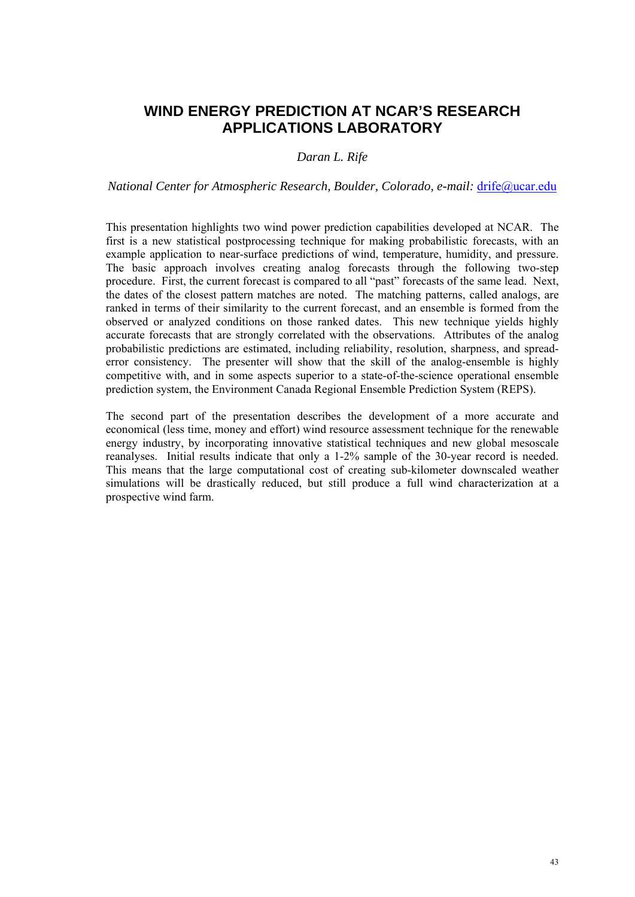## **WIND ENERGY PREDICTION AT NCAR'S RESEARCH APPLICATIONS LABORATORY**

### *Daran L. Rife*

*National Center for Atmospheric Research, Boulder, Colorado, e-mail: drife@ucar.edu* 

This presentation highlights two wind power prediction capabilities developed at NCAR. The first is a new statistical postprocessing technique for making probabilistic forecasts, with an example application to near-surface predictions of wind, temperature, humidity, and pressure. The basic approach involves creating analog forecasts through the following two-step procedure. First, the current forecast is compared to all "past" forecasts of the same lead. Next, the dates of the closest pattern matches are noted. The matching patterns, called analogs, are ranked in terms of their similarity to the current forecast, and an ensemble is formed from the observed or analyzed conditions on those ranked dates. This new technique yields highly accurate forecasts that are strongly correlated with the observations. Attributes of the analog probabilistic predictions are estimated, including reliability, resolution, sharpness, and spreaderror consistency. The presenter will show that the skill of the analog-ensemble is highly competitive with, and in some aspects superior to a state-of-the-science operational ensemble prediction system, the Environment Canada Regional Ensemble Prediction System (REPS).

The second part of the presentation describes the development of a more accurate and economical (less time, money and effort) wind resource assessment technique for the renewable energy industry, by incorporating innovative statistical techniques and new global mesoscale reanalyses. Initial results indicate that only a 1-2% sample of the 30-year record is needed. This means that the large computational cost of creating sub-kilometer downscaled weather simulations will be drastically reduced, but still produce a full wind characterization at a prospective wind farm.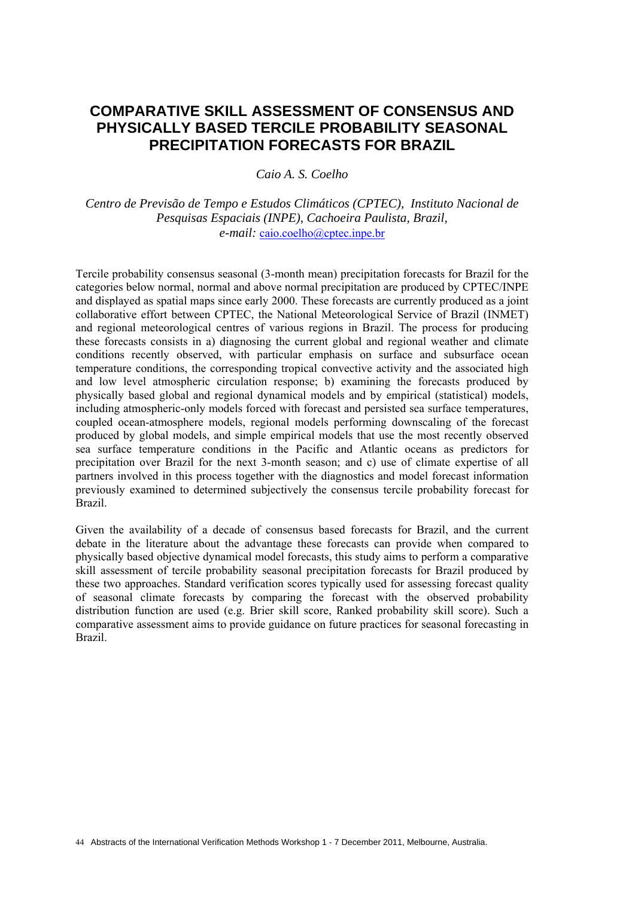## **COMPARATIVE SKILL ASSESSMENT OF CONSENSUS AND PHYSICALLY BASED TERCILE PROBABILITY SEASONAL PRECIPITATION FORECASTS FOR BRAZIL**

*Caio A. S. Coelho* 

*Centro de Previsão de Tempo e Estudos Climáticos (CPTEC), Instituto Nacional de Pesquisas Espaciais (INPE), Cachoeira Paulista, Brazil, e-mail:* caio.coelho@cptec.inpe.br

Tercile probability consensus seasonal (3-month mean) precipitation forecasts for Brazil for the categories below normal, normal and above normal precipitation are produced by CPTEC/INPE and displayed as spatial maps since early 2000. These forecasts are currently produced as a joint collaborative effort between CPTEC, the National Meteorological Service of Brazil (INMET) and regional meteorological centres of various regions in Brazil. The process for producing these forecasts consists in a) diagnosing the current global and regional weather and climate conditions recently observed, with particular emphasis on surface and subsurface ocean temperature conditions, the corresponding tropical convective activity and the associated high and low level atmospheric circulation response; b) examining the forecasts produced by physically based global and regional dynamical models and by empirical (statistical) models, including atmospheric-only models forced with forecast and persisted sea surface temperatures, coupled ocean-atmosphere models, regional models performing downscaling of the forecast produced by global models, and simple empirical models that use the most recently observed sea surface temperature conditions in the Pacific and Atlantic oceans as predictors for precipitation over Brazil for the next 3-month season; and c) use of climate expertise of all partners involved in this process together with the diagnostics and model forecast information previously examined to determined subjectively the consensus tercile probability forecast for Brazil.

Given the availability of a decade of consensus based forecasts for Brazil, and the current debate in the literature about the advantage these forecasts can provide when compared to physically based objective dynamical model forecasts, this study aims to perform a comparative skill assessment of tercile probability seasonal precipitation forecasts for Brazil produced by these two approaches. Standard verification scores typically used for assessing forecast quality of seasonal climate forecasts by comparing the forecast with the observed probability distribution function are used (e.g. Brier skill score, Ranked probability skill score). Such a comparative assessment aims to provide guidance on future practices for seasonal forecasting in Brazil.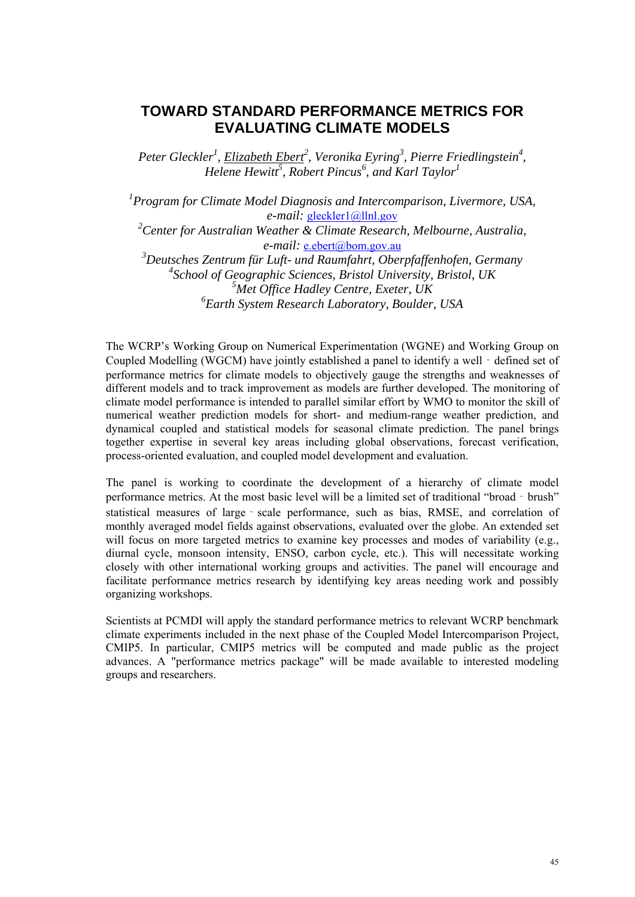## **TOWARD STANDARD PERFORMANCE METRICS FOR EVALUATING CLIMATE MODELS**

*Peter Gleckler<sup>1</sup>, Elizabeth Ebert<sup>2</sup>, Veronika Eyring<sup>3</sup>, Pierre Friedlingstein<sup>4</sup>, Helene Hewitt<sup>5</sup>*, *Robert Pincus<sup>6</sup>*, and *Karl Taylor*<sup>1</sup>

*1 Program for Climate Model Diagnosis and Intercomparison, Livermore, USA, e-mail:* gleckler1@llnl.gov

*2 Center for Australian Weather & Climate Research, Melbourne, Australia, e-mail:* e.ebert@bom.gov.au

 *Deutsches Zentrum für Luft- und Raumfahrt, Oberpfaffenhofen, Germany School of Geographic Sciences, Bristol University, Bristol, UK Met Office Hadley Centre, Exeter, UK Earth System Research Laboratory, Boulder, USA* 

The WCRP's Working Group on Numerical Experimentation (WGNE) and Working Group on Coupled Modelling (WGCM) have jointly established a panel to identify a well - defined set of performance metrics for climate models to objectively gauge the strengths and weaknesses of different models and to track improvement as models are further developed. The monitoring of climate model performance is intended to parallel similar effort by WMO to monitor the skill of numerical weather prediction models for short- and medium-range weather prediction, and dynamical coupled and statistical models for seasonal climate prediction. The panel brings together expertise in several key areas including global observations, forecast verification, process-oriented evaluation, and coupled model development and evaluation.

The panel is working to coordinate the development of a hierarchy of climate model performance metrics. At the most basic level will be a limited set of traditional "broad - brush" statistical measures of large - scale performance, such as bias, RMSE, and correlation of monthly averaged model fields against observations, evaluated over the globe. An extended set will focus on more targeted metrics to examine key processes and modes of variability (e.g., diurnal cycle, monsoon intensity, ENSO, carbon cycle, etc.). This will necessitate working closely with other international working groups and activities. The panel will encourage and facilitate performance metrics research by identifying key areas needing work and possibly organizing workshops.

Scientists at PCMDI will apply the standard performance metrics to relevant WCRP benchmark climate experiments included in the next phase of the Coupled Model Intercomparison Project, CMIP5. In particular, CMIP5 metrics will be computed and made public as the project advances. A "performance metrics package" will be made available to interested modeling groups and researchers.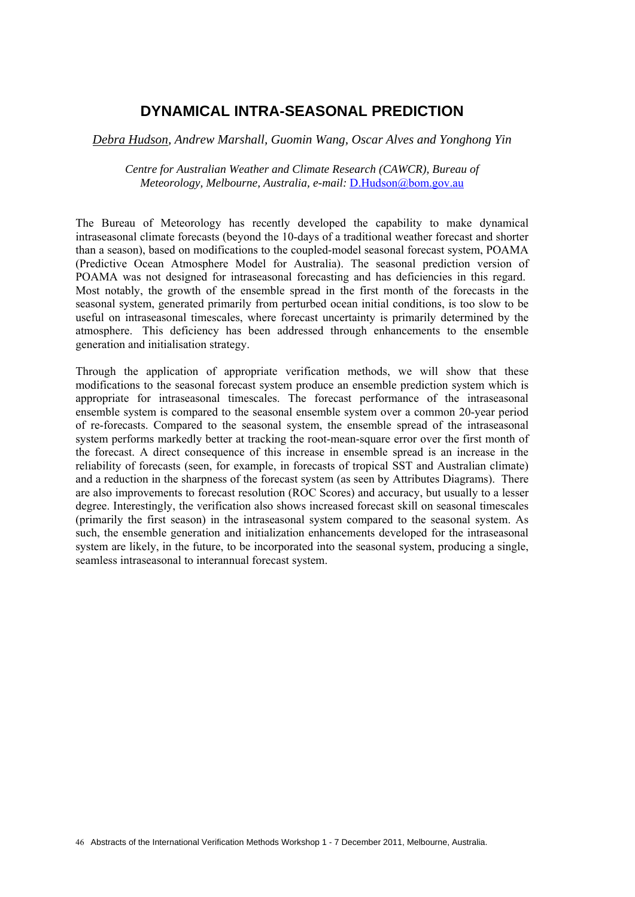### **DYNAMICAL INTRA-SEASONAL PREDICTION**

*Debra Hudson, Andrew Marshall, Guomin Wang, Oscar Alves and Yonghong Yin*

*Centre for Australian Weather and Climate Research (CAWCR), Bureau of Meteorology, Melbourne, Australia, e-mail:* D.Hudson@bom.gov.au

The Bureau of Meteorology has recently developed the capability to make dynamical intraseasonal climate forecasts (beyond the 10-days of a traditional weather forecast and shorter than a season), based on modifications to the coupled-model seasonal forecast system, POAMA (Predictive Ocean Atmosphere Model for Australia). The seasonal prediction version of POAMA was not designed for intraseasonal forecasting and has deficiencies in this regard. Most notably, the growth of the ensemble spread in the first month of the forecasts in the seasonal system, generated primarily from perturbed ocean initial conditions, is too slow to be useful on intraseasonal timescales, where forecast uncertainty is primarily determined by the atmosphere. This deficiency has been addressed through enhancements to the ensemble generation and initialisation strategy.

Through the application of appropriate verification methods, we will show that these modifications to the seasonal forecast system produce an ensemble prediction system which is appropriate for intraseasonal timescales. The forecast performance of the intraseasonal ensemble system is compared to the seasonal ensemble system over a common 20-year period of re-forecasts. Compared to the seasonal system, the ensemble spread of the intraseasonal system performs markedly better at tracking the root-mean-square error over the first month of the forecast. A direct consequence of this increase in ensemble spread is an increase in the reliability of forecasts (seen, for example, in forecasts of tropical SST and Australian climate) and a reduction in the sharpness of the forecast system (as seen by Attributes Diagrams). There are also improvements to forecast resolution (ROC Scores) and accuracy, but usually to a lesser degree. Interestingly, the verification also shows increased forecast skill on seasonal timescales (primarily the first season) in the intraseasonal system compared to the seasonal system. As such, the ensemble generation and initialization enhancements developed for the intraseasonal system are likely, in the future, to be incorporated into the seasonal system, producing a single, seamless intraseasonal to interannual forecast system.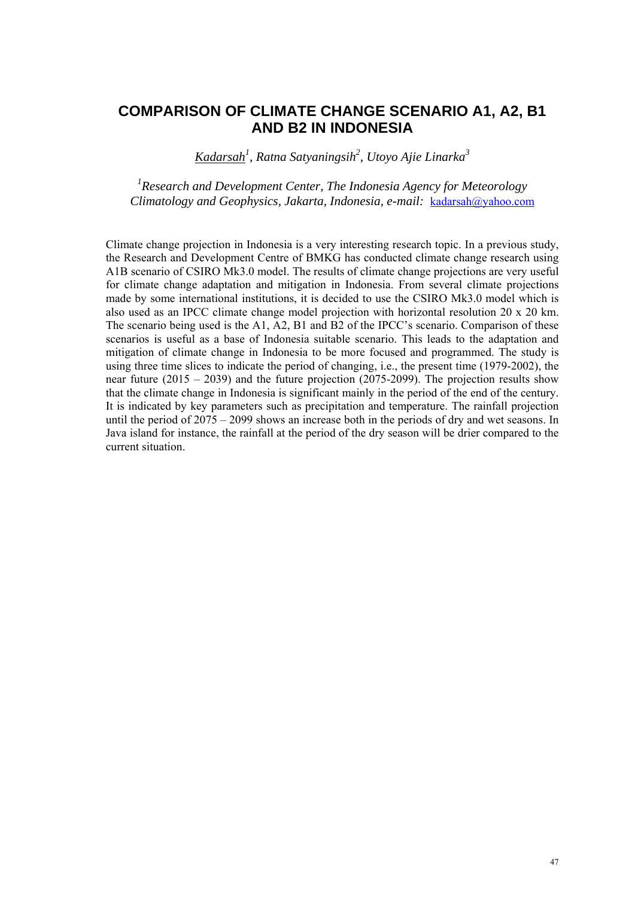# **COMPARISON OF CLIMATE CHANGE SCENARIO A1, A2, B1 AND B2 IN INDONESIA**

*Kadarsah<sup>1</sup> , Ratna Satyaningsih2 , Utoyo Ajie Linarka3*

*1 Research and Development Center, The Indonesia Agency for Meteorology Climatology and Geophysics, Jakarta, Indonesia, e-mail:* kadarsah@yahoo.com

Climate change projection in Indonesia is a very interesting research topic. In a previous study, the Research and Development Centre of BMKG has conducted climate change research using A1B scenario of CSIRO Mk3.0 model. The results of climate change projections are very useful for climate change adaptation and mitigation in Indonesia. From several climate projections made by some international institutions, it is decided to use the CSIRO Mk3.0 model which is also used as an IPCC climate change model projection with horizontal resolution 20 x 20 km. The scenario being used is the A1, A2, B1 and B2 of the IPCC's scenario. Comparison of these scenarios is useful as a base of Indonesia suitable scenario. This leads to the adaptation and mitigation of climate change in Indonesia to be more focused and programmed. The study is using three time slices to indicate the period of changing, i.e., the present time (1979-2002), the near future (2015 – 2039) and the future projection (2075-2099). The projection results show that the climate change in Indonesia is significant mainly in the period of the end of the century. It is indicated by key parameters such as precipitation and temperature. The rainfall projection until the period of 2075 – 2099 shows an increase both in the periods of dry and wet seasons. In Java island for instance, the rainfall at the period of the dry season will be drier compared to the current situation.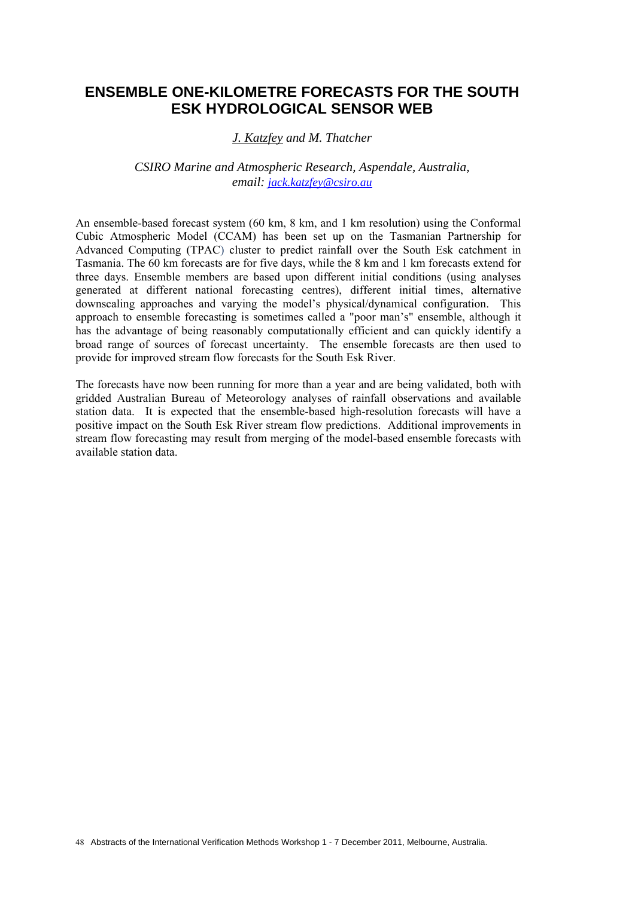## **ENSEMBLE ONE-KILOMETRE FORECASTS FOR THE SOUTH ESK HYDROLOGICAL SENSOR WEB**

### *J. Katzfey and M. Thatcher*

#### *CSIRO Marine and Atmospheric Research, Aspendale, Australia, email: jack.katzfey@csiro.au*

An ensemble-based forecast system (60 km, 8 km, and 1 km resolution) using the Conformal Cubic Atmospheric Model (CCAM) has been set up on the Tasmanian Partnership for Advanced Computing (TPAC) cluster to predict rainfall over the South Esk catchment in Tasmania. The 60 km forecasts are for five days, while the 8 km and 1 km forecasts extend for three days. Ensemble members are based upon different initial conditions (using analyses generated at different national forecasting centres), different initial times, alternative downscaling approaches and varying the model's physical/dynamical configuration. This approach to ensemble forecasting is sometimes called a "poor man's" ensemble, although it has the advantage of being reasonably computationally efficient and can quickly identify a broad range of sources of forecast uncertainty. The ensemble forecasts are then used to provide for improved stream flow forecasts for the South Esk River.

The forecasts have now been running for more than a year and are being validated, both with gridded Australian Bureau of Meteorology analyses of rainfall observations and available station data. It is expected that the ensemble-based high-resolution forecasts will have a positive impact on the South Esk River stream flow predictions. Additional improvements in stream flow forecasting may result from merging of the model-based ensemble forecasts with available station data.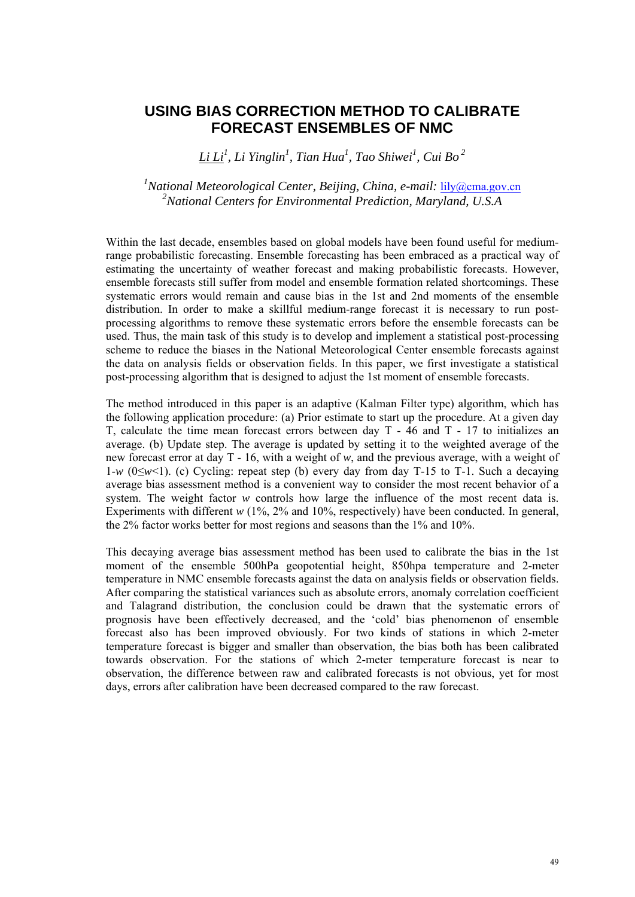### **USING BIAS CORRECTION METHOD TO CALIBRATE FORECAST ENSEMBLES OF NMC**

*Li Li<sup>1</sup> , Li Yinglin1 , Tian Hua1 , Tao Shiwei<sup>1</sup> , Cui Bo 2* 

<sup>1</sup> National Meteorological Center, Beijing, China, e-mail: <u>lily@cma.gov.cn</u> *2 National Centers for Environmental Prediction, Maryland, U.S.A* 

Within the last decade, ensembles based on global models have been found useful for mediumrange probabilistic forecasting. Ensemble forecasting has been embraced as a practical way of estimating the uncertainty of weather forecast and making probabilistic forecasts. However, ensemble forecasts still suffer from model and ensemble formation related shortcomings. These systematic errors would remain and cause bias in the 1st and 2nd moments of the ensemble distribution. In order to make a skillful medium-range forecast it is necessary to run postprocessing algorithms to remove these systematic errors before the ensemble forecasts can be used. Thus, the main task of this study is to develop and implement a statistical post-processing scheme to reduce the biases in the National Meteorological Center ensemble forecasts against the data on analysis fields or observation fields. In this paper, we first investigate a statistical post-processing algorithm that is designed to adjust the 1st moment of ensemble forecasts.

The method introduced in this paper is an adaptive (Kalman Filter type) algorithm, which has the following application procedure: (a) Prior estimate to start up the procedure. At a given day T, calculate the time mean forecast errors between day T - 46 and T - 17 to initializes an average. (b) Update step. The average is updated by setting it to the weighted average of the new forecast error at day T - 16, with a weight of *w*, and the previous average, with a weight of 1-*w* (0≤*w*<1). (c) Cycling: repeat step (b) every day from day T-15 to T-1. Such a decaying average bias assessment method is a convenient way to consider the most recent behavior of a system. The weight factor *w* controls how large the influence of the most recent data is. Experiments with different  $w$  (1%, 2% and 10%, respectively) have been conducted. In general, the 2% factor works better for most regions and seasons than the 1% and 10%.

This decaying average bias assessment method has been used to calibrate the bias in the 1st moment of the ensemble 500hPa geopotential height, 850hpa temperature and 2-meter temperature in NMC ensemble forecasts against the data on analysis fields or observation fields. After comparing the statistical variances such as absolute errors, anomaly correlation coefficient and Talagrand distribution, the conclusion could be drawn that the systematic errors of prognosis have been effectively decreased, and the 'cold' bias phenomenon of ensemble forecast also has been improved obviously. For two kinds of stations in which 2-meter temperature forecast is bigger and smaller than observation, the bias both has been calibrated towards observation. For the stations of which 2-meter temperature forecast is near to observation, the difference between raw and calibrated forecasts is not obvious, yet for most days, errors after calibration have been decreased compared to the raw forecast.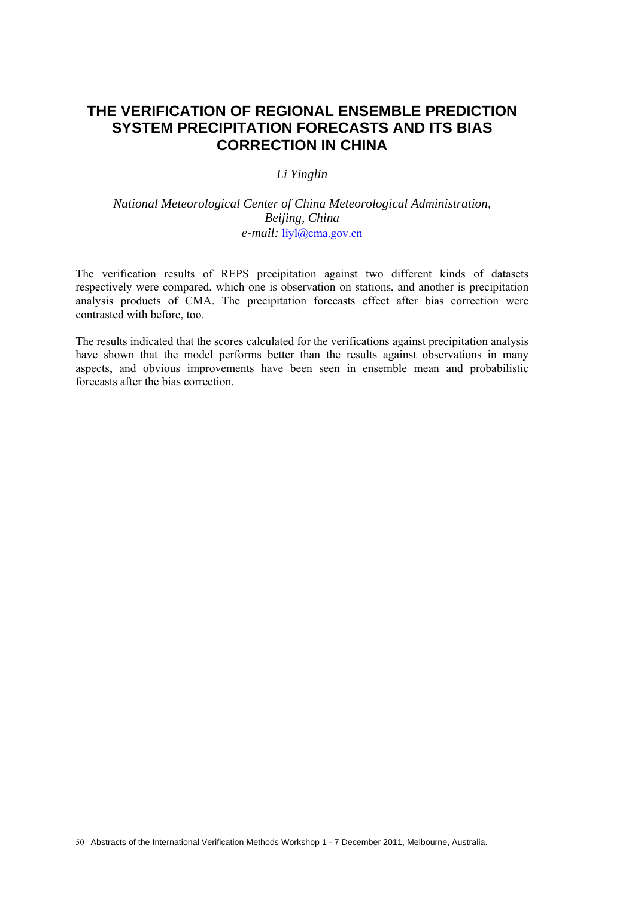### **THE VERIFICATION OF REGIONAL ENSEMBLE PREDICTION SYSTEM PRECIPITATION FORECASTS AND ITS BIAS CORRECTION IN CHINA**

#### *Li Yinglin*

### *National Meteorological Center of China Meteorological Administration, Beijing, China e-mail:* liyl@cma.gov.cn

The verification results of REPS precipitation against two different kinds of datasets respectively were compared, which one is observation on stations, and another is precipitation analysis products of CMA. The precipitation forecasts effect after bias correction were contrasted with before, too.

The results indicated that the scores calculated for the verifications against precipitation analysis have shown that the model performs better than the results against observations in many aspects, and obvious improvements have been seen in ensemble mean and probabilistic forecasts after the bias correction.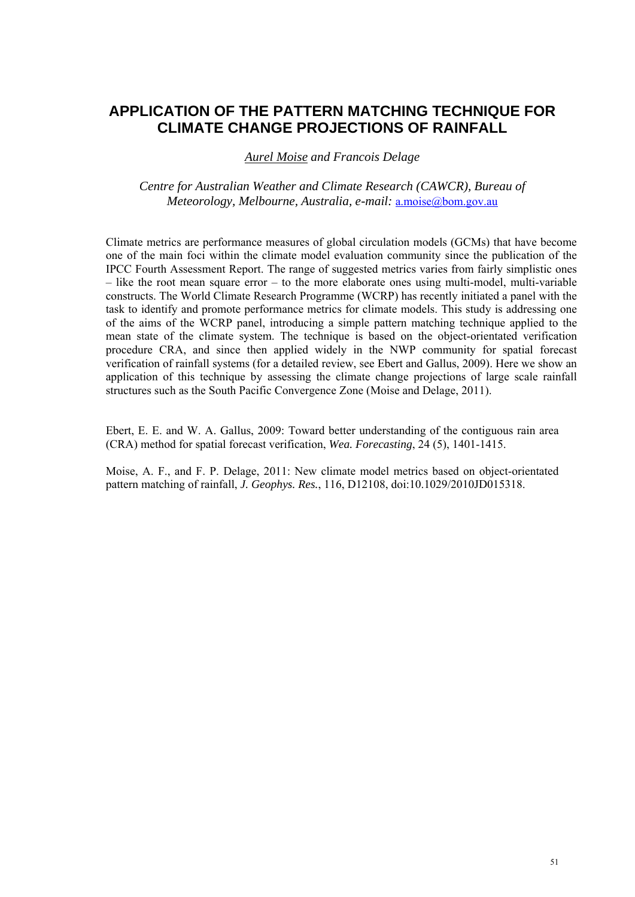## **APPLICATION OF THE PATTERN MATCHING TECHNIQUE FOR CLIMATE CHANGE PROJECTIONS OF RAINFALL**

*Aurel Moise and Francois Delage* 

*Centre for Australian Weather and Climate Research (CAWCR), Bureau of Meteorology, Melbourne, Australia, e-mail:* a.moise@bom.gov.au

Climate metrics are performance measures of global circulation models (GCMs) that have become one of the main foci within the climate model evaluation community since the publication of the IPCC Fourth Assessment Report. The range of suggested metrics varies from fairly simplistic ones – like the root mean square error – to the more elaborate ones using multi-model, multi-variable constructs. The World Climate Research Programme (WCRP) has recently initiated a panel with the task to identify and promote performance metrics for climate models. This study is addressing one of the aims of the WCRP panel, introducing a simple pattern matching technique applied to the mean state of the climate system. The technique is based on the object-orientated verification procedure CRA, and since then applied widely in the NWP community for spatial forecast verification of rainfall systems (for a detailed review, see Ebert and Gallus, 2009). Here we show an application of this technique by assessing the climate change projections of large scale rainfall structures such as the South Pacific Convergence Zone (Moise and Delage, 2011).

Ebert, E. E. and W. A. Gallus, 2009: Toward better understanding of the contiguous rain area (CRA) method for spatial forecast verification, *Wea. Forecasting*, 24 (5), 1401-1415.

Moise, A. F., and F. P. Delage, 2011: New climate model metrics based on object-orientated pattern matching of rainfall, *J. Geophys. Res.*, 116, D12108, doi:10.1029/2010JD015318.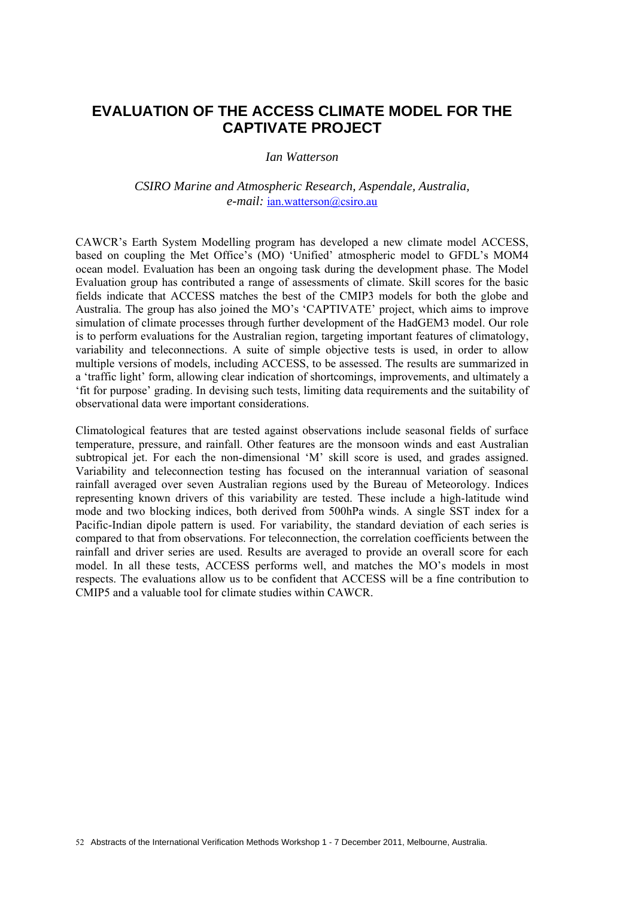## **EVALUATION OF THE ACCESS CLIMATE MODEL FOR THE CAPTIVATE PROJECT**

*Ian Watterson* 

*CSIRO Marine and Atmospheric Research, Aspendale, Australia, e-mail:* ian.watterson@csiro.au

CAWCR's Earth System Modelling program has developed a new climate model ACCESS, based on coupling the Met Office's (MO) 'Unified' atmospheric model to GFDL's MOM4 ocean model. Evaluation has been an ongoing task during the development phase. The Model Evaluation group has contributed a range of assessments of climate. Skill scores for the basic fields indicate that ACCESS matches the best of the CMIP3 models for both the globe and Australia. The group has also joined the MO's 'CAPTIVATE' project, which aims to improve simulation of climate processes through further development of the HadGEM3 model. Our role is to perform evaluations for the Australian region, targeting important features of climatology, variability and teleconnections. A suite of simple objective tests is used, in order to allow multiple versions of models, including ACCESS, to be assessed. The results are summarized in a 'traffic light' form, allowing clear indication of shortcomings, improvements, and ultimately a 'fit for purpose' grading. In devising such tests, limiting data requirements and the suitability of observational data were important considerations.

Climatological features that are tested against observations include seasonal fields of surface temperature, pressure, and rainfall. Other features are the monsoon winds and east Australian subtropical jet. For each the non-dimensional 'M' skill score is used, and grades assigned. Variability and teleconnection testing has focused on the interannual variation of seasonal rainfall averaged over seven Australian regions used by the Bureau of Meteorology. Indices representing known drivers of this variability are tested. These include a high-latitude wind mode and two blocking indices, both derived from 500hPa winds. A single SST index for a Pacific-Indian dipole pattern is used. For variability, the standard deviation of each series is compared to that from observations. For teleconnection, the correlation coefficients between the rainfall and driver series are used. Results are averaged to provide an overall score for each model. In all these tests, ACCESS performs well, and matches the MO's models in most respects. The evaluations allow us to be confident that ACCESS will be a fine contribution to CMIP5 and a valuable tool for climate studies within CAWCR.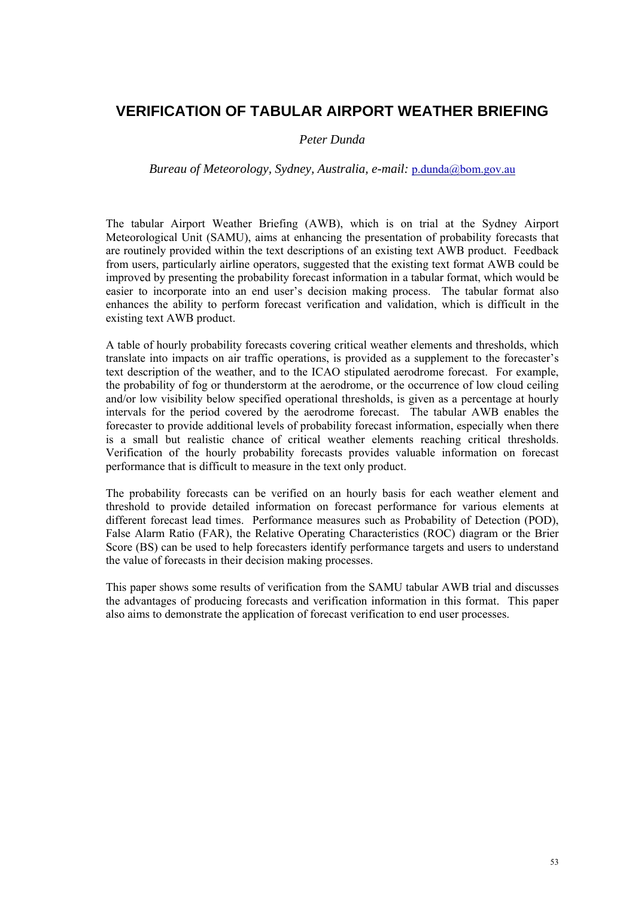## **VERIFICATION OF TABULAR AIRPORT WEATHER BRIEFING**

### *Peter Dunda*

### *Bureau of Meteorology, Sydney, Australia, e-mail:* p.dunda@bom.gov.au

The tabular Airport Weather Briefing (AWB), which is on trial at the Sydney Airport Meteorological Unit (SAMU), aims at enhancing the presentation of probability forecasts that are routinely provided within the text descriptions of an existing text AWB product. Feedback from users, particularly airline operators, suggested that the existing text format AWB could be improved by presenting the probability forecast information in a tabular format, which would be easier to incorporate into an end user's decision making process. The tabular format also enhances the ability to perform forecast verification and validation, which is difficult in the existing text AWB product.

A table of hourly probability forecasts covering critical weather elements and thresholds, which translate into impacts on air traffic operations, is provided as a supplement to the forecaster's text description of the weather, and to the ICAO stipulated aerodrome forecast. For example, the probability of fog or thunderstorm at the aerodrome, or the occurrence of low cloud ceiling and/or low visibility below specified operational thresholds, is given as a percentage at hourly intervals for the period covered by the aerodrome forecast. The tabular AWB enables the forecaster to provide additional levels of probability forecast information, especially when there is a small but realistic chance of critical weather elements reaching critical thresholds. Verification of the hourly probability forecasts provides valuable information on forecast performance that is difficult to measure in the text only product.

The probability forecasts can be verified on an hourly basis for each weather element and threshold to provide detailed information on forecast performance for various elements at different forecast lead times. Performance measures such as Probability of Detection (POD), False Alarm Ratio (FAR), the Relative Operating Characteristics (ROC) diagram or the Brier Score (BS) can be used to help forecasters identify performance targets and users to understand the value of forecasts in their decision making processes.

This paper shows some results of verification from the SAMU tabular AWB trial and discusses the advantages of producing forecasts and verification information in this format. This paper also aims to demonstrate the application of forecast verification to end user processes.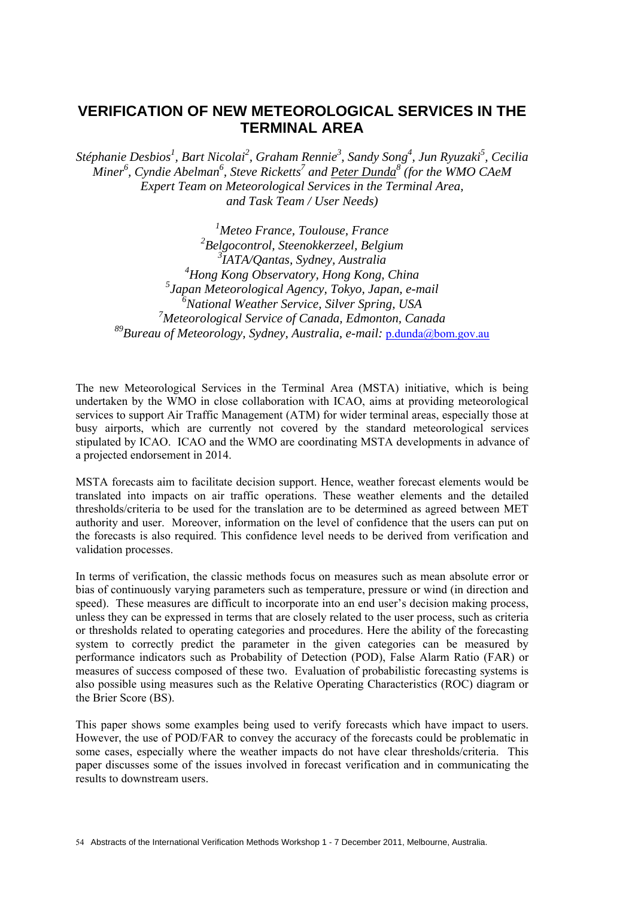### **VERIFICATION OF NEW METEOROLOGICAL SERVICES IN THE TERMINAL AREA**

*Stéphanie Desbios1 , Bart Nicolai<sup>2</sup> , Graham Rennie<sup>3</sup> , Sandy Song4 , Jun Ryuzaki<sup>5</sup> , Cecilia*   $\dot{M}$ *iner*<sup>6</sup>, Cyndie Abelman<sup>6</sup>, Steve Ricketts<sup>7</sup> and <u>Peter Dunda</u><sup>8</sup> (for the WMO CAeM *Expert Team on Meteorological Services in the Terminal Area, and Task Team / User Needs)* 

 *Meteo France, Toulouse, France Belgocontrol, Steenokkerzeel, Belgium IATA/Qantas, Sydney, Australia Hong Kong Observatory, Hong Kong, China Japan Meteorological Agency, Tokyo, Japan, e-mail National Weather Service, Silver Spring, USA Meteorological Service of Canada, Edmonton, Canada 89Bureau of Meteorology, Sydney, Australia, e-mail:* p.dunda@bom.gov.au

The new Meteorological Services in the Terminal Area (MSTA) initiative, which is being undertaken by the WMO in close collaboration with ICAO, aims at providing meteorological services to support Air Traffic Management (ATM) for wider terminal areas, especially those at busy airports, which are currently not covered by the standard meteorological services stipulated by ICAO. ICAO and the WMO are coordinating MSTA developments in advance of a projected endorsement in 2014.

MSTA forecasts aim to facilitate decision support. Hence, weather forecast elements would be translated into impacts on air traffic operations. These weather elements and the detailed thresholds/criteria to be used for the translation are to be determined as agreed between MET authority and user. Moreover, information on the level of confidence that the users can put on the forecasts is also required. This confidence level needs to be derived from verification and validation processes.

In terms of verification, the classic methods focus on measures such as mean absolute error or bias of continuously varying parameters such as temperature, pressure or wind (in direction and speed). These measures are difficult to incorporate into an end user's decision making process, unless they can be expressed in terms that are closely related to the user process, such as criteria or thresholds related to operating categories and procedures. Here the ability of the forecasting system to correctly predict the parameter in the given categories can be measured by performance indicators such as Probability of Detection (POD), False Alarm Ratio (FAR) or measures of success composed of these two. Evaluation of probabilistic forecasting systems is also possible using measures such as the Relative Operating Characteristics (ROC) diagram or the Brier Score (BS).

This paper shows some examples being used to verify forecasts which have impact to users. However, the use of POD/FAR to convey the accuracy of the forecasts could be problematic in some cases, especially where the weather impacts do not have clear thresholds/criteria. This paper discusses some of the issues involved in forecast verification and in communicating the results to downstream users.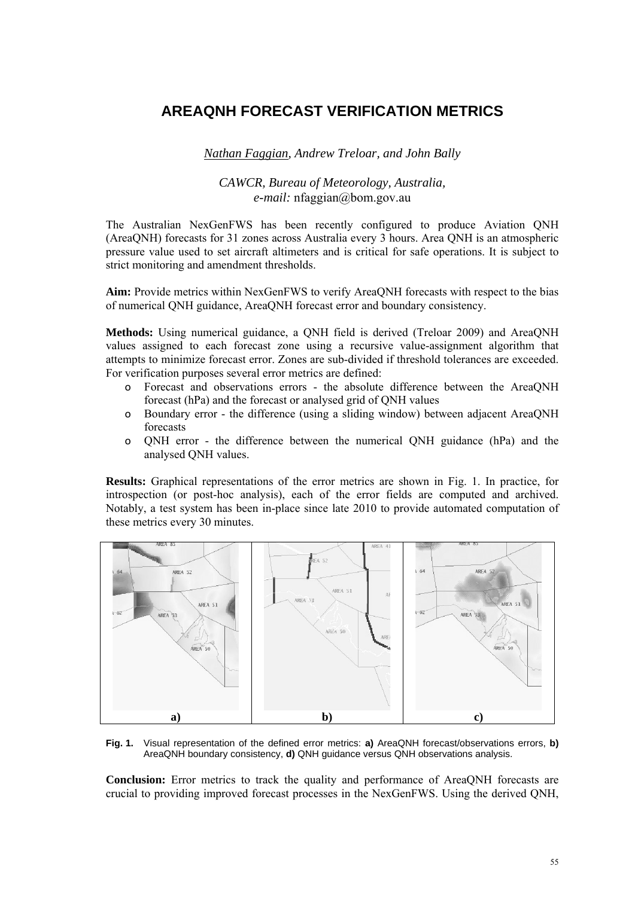# **AREAQNH FORECAST VERIFICATION METRICS**

*Nathan Faggian, Andrew Treloar, and John Bally* 

### *CAWCR, Bureau of Meteorology, Australia, e-mail:* nfaggian@bom.gov.au

The Australian NexGenFWS has been recently configured to produce Aviation QNH (AreaQNH) forecasts for 31 zones across Australia every 3 hours. Area QNH is an atmospheric pressure value used to set aircraft altimeters and is critical for safe operations. It is subject to strict monitoring and amendment thresholds.

**Aim:** Provide metrics within NexGenFWS to verify AreaQNH forecasts with respect to the bias of numerical QNH guidance, AreaQNH forecast error and boundary consistency.

**Methods:** Using numerical guidance, a QNH field is derived (Treloar 2009) and AreaQNH values assigned to each forecast zone using a recursive value-assignment algorithm that attempts to minimize forecast error. Zones are sub-divided if threshold tolerances are exceeded. For verification purposes several error metrics are defined:

- o Forecast and observations errors the absolute difference between the AreaQNH forecast (hPa) and the forecast or analysed grid of QNH values
- o Boundary error the difference (using a sliding window) between adjacent AreaQNH forecasts
- o QNH error the difference between the numerical QNH guidance (hPa) and the analysed QNH values.

**Results:** Graphical representations of the error metrics are shown in Fig. 1. In practice, for introspection (or post-hoc analysis), each of the error fields are computed and archived. Notably, a test system has been in-place since late 2010 to provide automated computation of these metrics every 30 minutes.



**Fig. 1.** Visual representation of the defined error metrics: **a)** AreaQNH forecast/observations errors, **b)** AreaQNH boundary consistency, **d)** QNH guidance versus QNH observations analysis.

**Conclusion:** Error metrics to track the quality and performance of AreaQNH forecasts are crucial to providing improved forecast processes in the NexGenFWS. Using the derived QNH,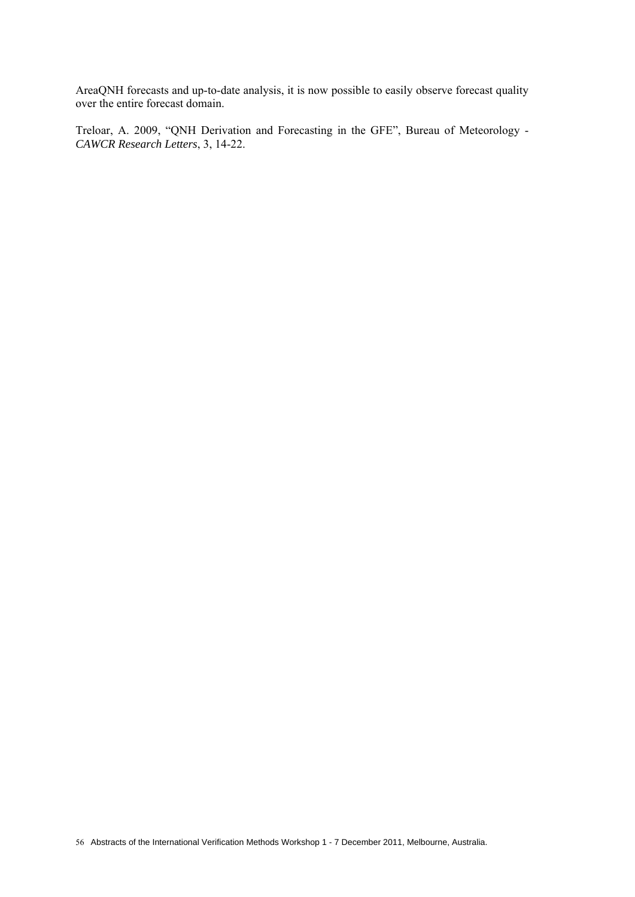AreaQNH forecasts and up-to-date analysis, it is now possible to easily observe forecast quality over the entire forecast domain.

Treloar, A. 2009, "QNH Derivation and Forecasting in the GFE", Bureau of Meteorology - *CAWCR Research Letters*, 3, 14-22.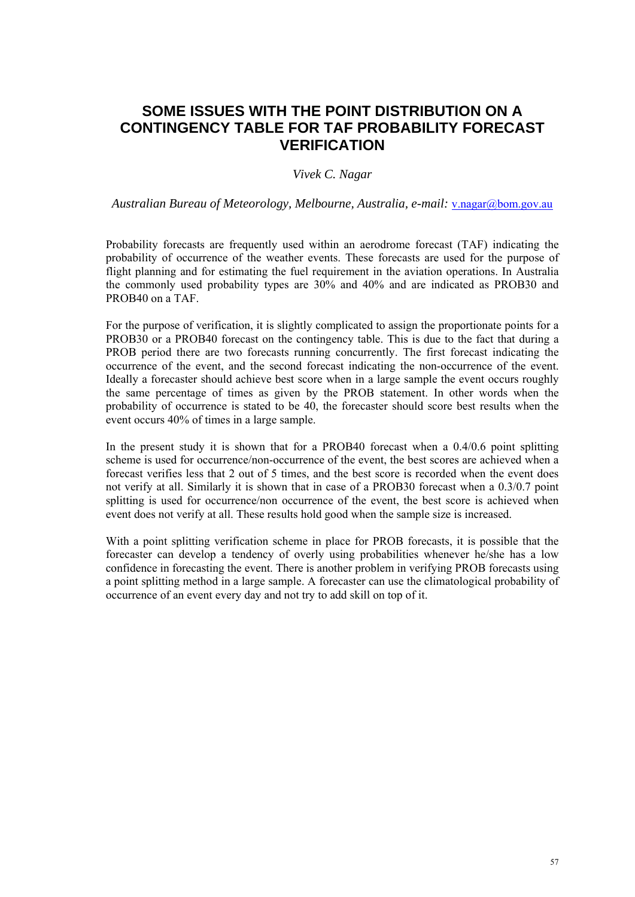# **SOME ISSUES WITH THE POINT DISTRIBUTION ON A CONTINGENCY TABLE FOR TAF PROBABILITY FORECAST VERIFICATION**

### *Vivek C. Nagar*

*Australian Bureau of Meteorology, Melbourne, Australia, e-mail:* v.nagar@bom.gov.au

Probability forecasts are frequently used within an aerodrome forecast (TAF) indicating the probability of occurrence of the weather events. These forecasts are used for the purpose of flight planning and for estimating the fuel requirement in the aviation operations. In Australia the commonly used probability types are 30% and 40% and are indicated as PROB30 and PROB40 on a TAF.

For the purpose of verification, it is slightly complicated to assign the proportionate points for a PROB30 or a PROB40 forecast on the contingency table. This is due to the fact that during a PROB period there are two forecasts running concurrently. The first forecast indicating the occurrence of the event, and the second forecast indicating the non-occurrence of the event. Ideally a forecaster should achieve best score when in a large sample the event occurs roughly the same percentage of times as given by the PROB statement. In other words when the probability of occurrence is stated to be 40, the forecaster should score best results when the event occurs 40% of times in a large sample.

In the present study it is shown that for a PROB40 forecast when a 0.4/0.6 point splitting scheme is used for occurrence/non-occurrence of the event, the best scores are achieved when a forecast verifies less that 2 out of 5 times, and the best score is recorded when the event does not verify at all. Similarly it is shown that in case of a PROB30 forecast when a 0.3/0.7 point splitting is used for occurrence/non occurrence of the event, the best score is achieved when event does not verify at all. These results hold good when the sample size is increased.

With a point splitting verification scheme in place for PROB forecasts, it is possible that the forecaster can develop a tendency of overly using probabilities whenever he/she has a low confidence in forecasting the event. There is another problem in verifying PROB forecasts using a point splitting method in a large sample. A forecaster can use the climatological probability of occurrence of an event every day and not try to add skill on top of it.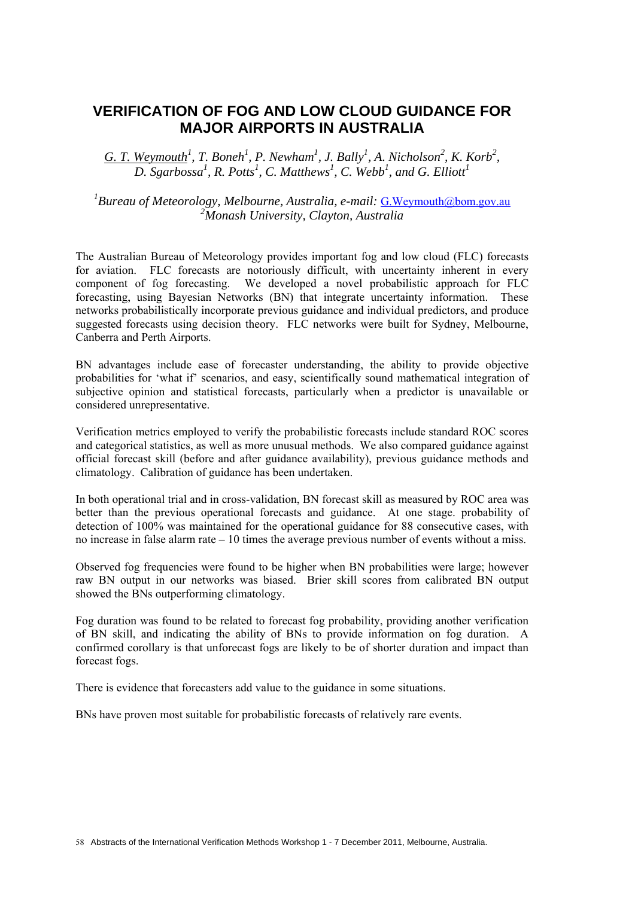### **VERIFICATION OF FOG AND LOW CLOUD GUIDANCE FOR MAJOR AIRPORTS IN AUSTRALIA**

 $G.$  *T.* Weymouth<sup>1</sup>, *T.* Boneh<sup>1</sup>, P. Newham<sup>1</sup>, J. Bally<sup>1</sup>, A. Nicholson<sup>2</sup>, K. Korb<sup>2</sup>, *D. Sgarbossa1 , R. Potts1 , C. Matthews<sup>1</sup> , C. Webb<sup>1</sup> , and G. Elliott<sup>1</sup>*

<sup>1</sup> Bureau of Meteorology, Melbourne, Australia, e-mail: <u>G.Weymouth@bom.gov.au</u> *2 Monash University, Clayton, Australia* 

The Australian Bureau of Meteorology provides important fog and low cloud (FLC) forecasts for aviation. FLC forecasts are notoriously difficult, with uncertainty inherent in every component of fog forecasting. We developed a novel probabilistic approach for FLC forecasting, using Bayesian Networks (BN) that integrate uncertainty information. These networks probabilistically incorporate previous guidance and individual predictors, and produce suggested forecasts using decision theory. FLC networks were built for Sydney, Melbourne, Canberra and Perth Airports.

BN advantages include ease of forecaster understanding, the ability to provide objective probabilities for 'what if' scenarios, and easy, scientifically sound mathematical integration of subjective opinion and statistical forecasts, particularly when a predictor is unavailable or considered unrepresentative.

Verification metrics employed to verify the probabilistic forecasts include standard ROC scores and categorical statistics, as well as more unusual methods. We also compared guidance against official forecast skill (before and after guidance availability), previous guidance methods and climatology. Calibration of guidance has been undertaken.

In both operational trial and in cross-validation, BN forecast skill as measured by ROC area was better than the previous operational forecasts and guidance. At one stage. probability of detection of 100% was maintained for the operational guidance for 88 consecutive cases, with no increase in false alarm rate – 10 times the average previous number of events without a miss.

Observed fog frequencies were found to be higher when BN probabilities were large; however raw BN output in our networks was biased. Brier skill scores from calibrated BN output showed the BNs outperforming climatology.

Fog duration was found to be related to forecast fog probability, providing another verification of BN skill, and indicating the ability of BNs to provide information on fog duration. A confirmed corollary is that unforecast fogs are likely to be of shorter duration and impact than forecast fogs.

There is evidence that forecasters add value to the guidance in some situations.

BNs have proven most suitable for probabilistic forecasts of relatively rare events.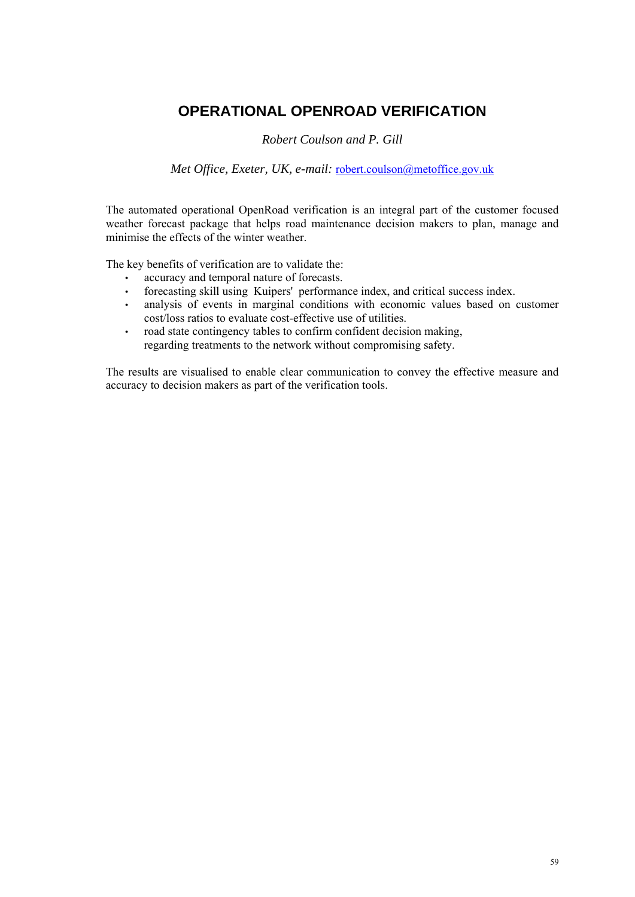# **OPERATIONAL OPENROAD VERIFICATION**

*Robert Coulson and P. Gill* 

*Met Office, Exeter, UK, e-mail:* robert.coulson@metoffice.gov.uk

The automated operational OpenRoad verification is an integral part of the customer focused weather forecast package that helps road maintenance decision makers to plan, manage and minimise the effects of the winter weather.

The key benefits of verification are to validate the:

- accuracy and temporal nature of forecasts.
- forecasting skill using Kuipers' performance index, and critical success index.
- analysis of events in marginal conditions with economic values based on customer cost/loss ratios to evaluate cost-effective use of utilities.
- road state contingency tables to confirm confident decision making, regarding treatments to the network without compromising safety.

The results are visualised to enable clear communication to convey the effective measure and accuracy to decision makers as part of the verification tools.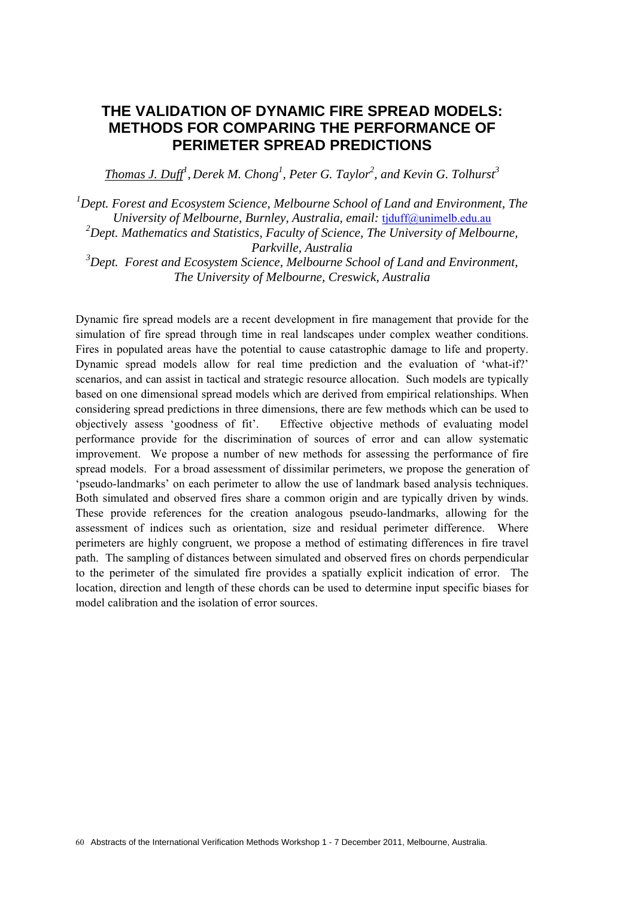## **THE VALIDATION OF DYNAMIC FIRE SPREAD MODELS: METHODS FOR COMPARING THE PERFORMANCE OF PERIMETER SPREAD PREDICTIONS**

*Thomas J. Duff<sup>1</sup> , Derek M. Chong1 , Peter G. Taylor<sup>2</sup> , and Kevin G. Tolhurst<sup>3</sup>*

<sup>1</sup> Dept. Forest and Ecosystem Science, Melbourne School of Land and Environment, The *University of Melbourne, Burnley, Australia, email:* tjduff@unimelb.edu.au

<sup>2</sup> Dept. Mathematics and Statistics, Faculty of Science, The University of Melbourne, *Parkville, Australia* 

*3 Dept. Forest and Ecosystem Science, Melbourne School of Land and Environment, The University of Melbourne, Creswick, Australia* 

Dynamic fire spread models are a recent development in fire management that provide for the simulation of fire spread through time in real landscapes under complex weather conditions. Fires in populated areas have the potential to cause catastrophic damage to life and property. Dynamic spread models allow for real time prediction and the evaluation of 'what-if?' scenarios, and can assist in tactical and strategic resource allocation. Such models are typically based on one dimensional spread models which are derived from empirical relationships. When considering spread predictions in three dimensions, there are few methods which can be used to objectively assess 'goodness of fit'. Effective objective methods of evaluating model performance provide for the discrimination of sources of error and can allow systematic improvement. We propose a number of new methods for assessing the performance of fire spread models. For a broad assessment of dissimilar perimeters, we propose the generation of 'pseudo-landmarks' on each perimeter to allow the use of landmark based analysis techniques. Both simulated and observed fires share a common origin and are typically driven by winds. These provide references for the creation analogous pseudo-landmarks, allowing for the assessment of indices such as orientation, size and residual perimeter difference. Where perimeters are highly congruent, we propose a method of estimating differences in fire travel path. The sampling of distances between simulated and observed fires on chords perpendicular to the perimeter of the simulated fire provides a spatially explicit indication of error. The location, direction and length of these chords can be used to determine input specific biases for model calibration and the isolation of error sources.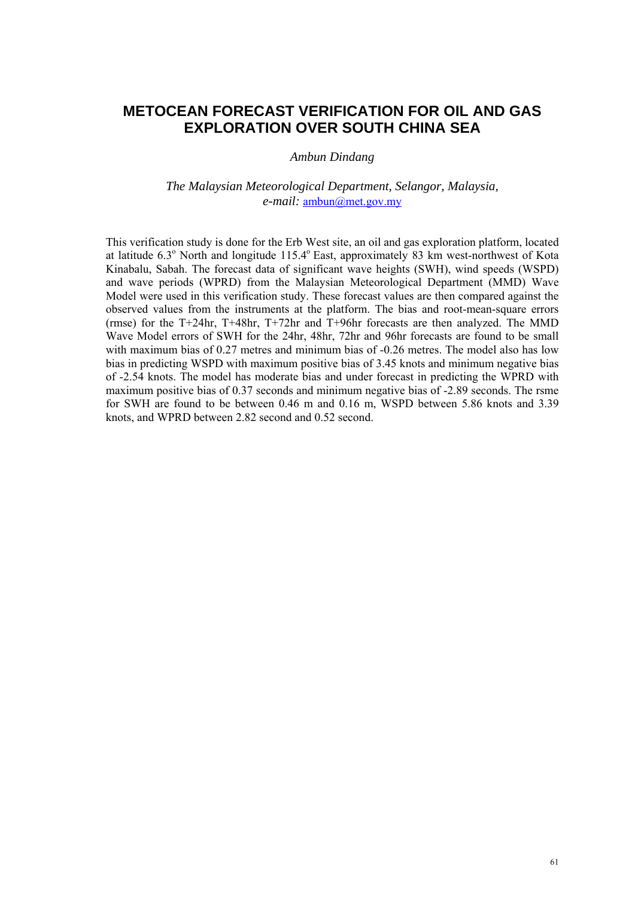## **METOCEAN FORECAST VERIFICATION FOR OIL AND GAS EXPLORATION OVER SOUTH CHINA SEA**

#### *Ambun Dindang*

#### *The Malaysian Meteorological Department, Selangor, Malaysia, e-mail:* ambun@met.gov.my

This verification study is done for the Erb West site, an oil and gas exploration platform, located at latitude 6.3° North and longitude 115.4° East, approximately 83 km west-northwest of Kota Kinabalu, Sabah. The forecast data of significant wave heights (SWH), wind speeds (WSPD) and wave periods (WPRD) from the Malaysian Meteorological Department (MMD) Wave Model were used in this verification study. These forecast values are then compared against the observed values from the instruments at the platform. The bias and root-mean-square errors (rmse) for the T+24hr, T+48hr, T+72hr and T+96hr forecasts are then analyzed. The MMD Wave Model errors of SWH for the 24hr, 48hr, 72hr and 96hr forecasts are found to be small with maximum bias of 0.27 metres and minimum bias of -0.26 metres. The model also has low bias in predicting WSPD with maximum positive bias of 3.45 knots and minimum negative bias of -2.54 knots. The model has moderate bias and under forecast in predicting the WPRD with maximum positive bias of 0.37 seconds and minimum negative bias of -2.89 seconds. The rsme for SWH are found to be between 0.46 m and 0.16 m, WSPD between 5.86 knots and 3.39 knots, and WPRD between 2.82 second and 0.52 second.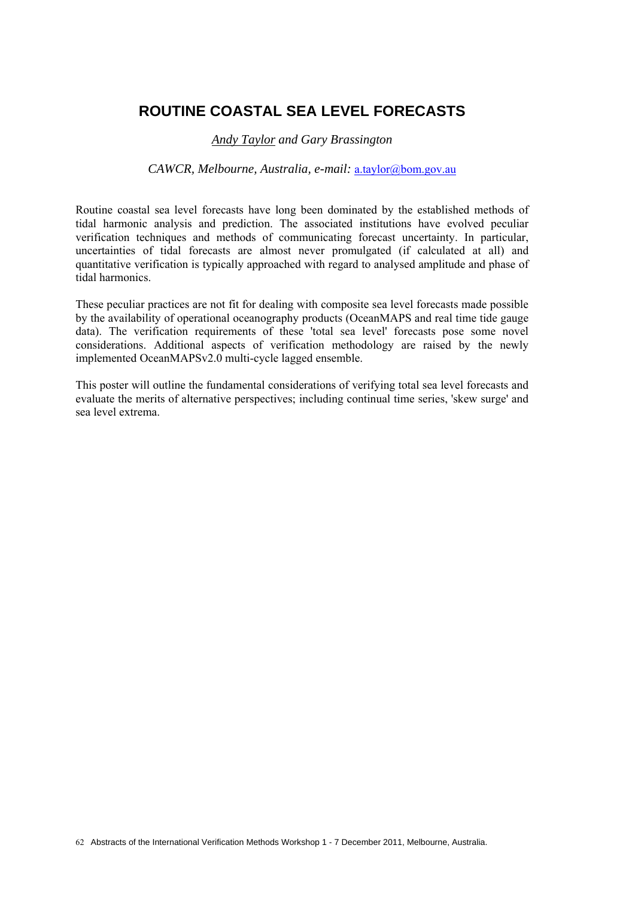# **ROUTINE COASTAL SEA LEVEL FORECASTS**

#### *Andy Taylor and Gary Brassington*

#### *CAWCR, Melbourne, Australia, e-mail:* a.taylor@bom.gov.au

Routine coastal sea level forecasts have long been dominated by the established methods of tidal harmonic analysis and prediction. The associated institutions have evolved peculiar verification techniques and methods of communicating forecast uncertainty. In particular, uncertainties of tidal forecasts are almost never promulgated (if calculated at all) and quantitative verification is typically approached with regard to analysed amplitude and phase of tidal harmonics.

These peculiar practices are not fit for dealing with composite sea level forecasts made possible by the availability of operational oceanography products (OceanMAPS and real time tide gauge data). The verification requirements of these 'total sea level' forecasts pose some novel considerations. Additional aspects of verification methodology are raised by the newly implemented OceanMAPSv2.0 multi-cycle lagged ensemble.

This poster will outline the fundamental considerations of verifying total sea level forecasts and evaluate the merits of alternative perspectives; including continual time series, 'skew surge' and sea level extrema.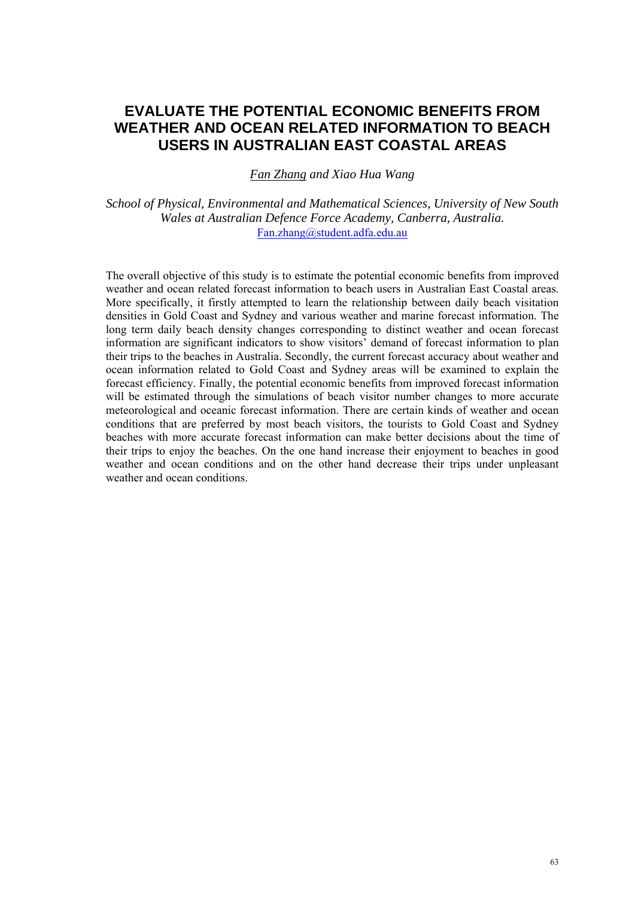# **EVALUATE THE POTENTIAL ECONOMIC BENEFITS FROM WEATHER AND OCEAN RELATED INFORMATION TO BEACH USERS IN AUSTRALIAN EAST COASTAL AREAS**

*Fan Zhang and Xiao Hua Wang*

*School of Physical, Environmental and Mathematical Sciences, University of New South Wales at Australian Defence Force Academy, Canberra, Australia.*  Fan.zhang@student.adfa.edu.au

The overall objective of this study is to estimate the potential economic benefits from improved weather and ocean related forecast information to beach users in Australian East Coastal areas. More specifically, it firstly attempted to learn the relationship between daily beach visitation densities in Gold Coast and Sydney and various weather and marine forecast information. The long term daily beach density changes corresponding to distinct weather and ocean forecast information are significant indicators to show visitors' demand of forecast information to plan their trips to the beaches in Australia. Secondly, the current forecast accuracy about weather and ocean information related to Gold Coast and Sydney areas will be examined to explain the forecast efficiency. Finally, the potential economic benefits from improved forecast information will be estimated through the simulations of beach visitor number changes to more accurate meteorological and oceanic forecast information. There are certain kinds of weather and ocean conditions that are preferred by most beach visitors, the tourists to Gold Coast and Sydney beaches with more accurate forecast information can make better decisions about the time of their trips to enjoy the beaches. On the one hand increase their enjoyment to beaches in good weather and ocean conditions and on the other hand decrease their trips under unpleasant weather and ocean conditions.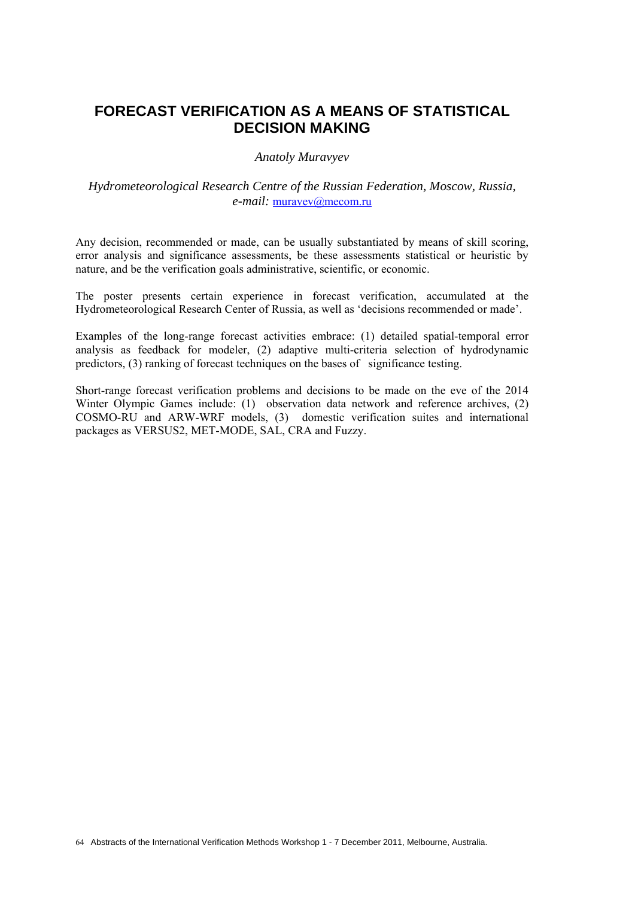## **FORECAST VERIFICATION AS A MEANS OF STATISTICAL DECISION MAKING**

*Anatoly Muravyev* 

### *Hydrometeorological Research Centre of the Russian Federation, Moscow, Russia, e-mail:* muravev@mecom.ru

Any decision, recommended or made, can be usually substantiated by means of skill scoring, error analysis and significance assessments, be these assessments statistical or heuristic by nature, and be the verification goals administrative, scientific, or economic.

The poster presents certain experience in forecast verification, accumulated at the Hydrometeorological Research Center of Russia, as well as 'decisions recommended or made'.

Examples of the long-range forecast activities embrace: (1) detailed spatial-temporal error analysis as feedback for modeler, (2) adaptive multi-criteria selection of hydrodynamic predictors, (3) ranking of forecast techniques on the bases of significance testing.

Short-range forecast verification problems and decisions to be made on the eve of the 2014 Winter Olympic Games include: (1) observation data network and reference archives, (2) COSMO-RU and ARW-WRF models, (3) domestic verification suites and international packages as VERSUS2, MET-MODE, SAL, CRA and Fuzzy.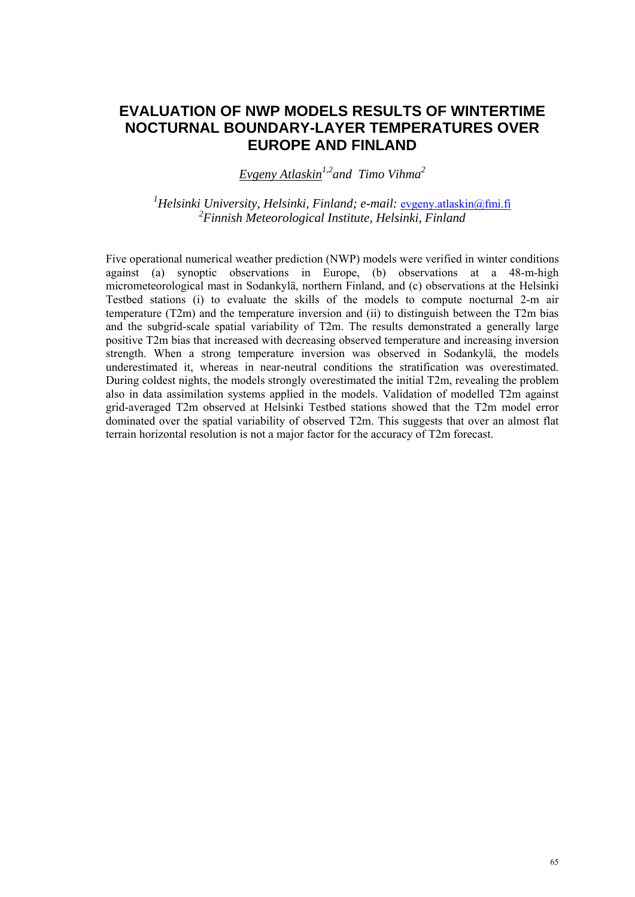## **EVALUATION OF NWP MODELS RESULTS OF WINTERTIME NOCTURNAL BOUNDARY-LAYER TEMPERATURES OVER EUROPE AND FINLAND**

*Evgeny Atlaskin1,2and Timo Vihma2*

<sup>1</sup> Helsinki University, Helsinki, Finland; e-mail: <u>evgeny.atlaskin@fmi.fi</u> *2 Finnish Meteorological Institute, Helsinki, Finland* 

Five operational numerical weather prediction (NWP) models were verified in winter conditions against (a) synoptic observations in Europe, (b) observations at a 48-m-high micrometeorological mast in Sodankylä, northern Finland, and (c) observations at the Helsinki Testbed stations (i) to evaluate the skills of the models to compute nocturnal 2-m air temperature (T2m) and the temperature inversion and (ii) to distinguish between the T2m bias and the subgrid-scale spatial variability of T2m. The results demonstrated a generally large positive T2m bias that increased with decreasing observed temperature and increasing inversion strength. When a strong temperature inversion was observed in Sodankylä, the models underestimated it, whereas in near-neutral conditions the stratification was overestimated. During coldest nights, the models strongly overestimated the initial T2m, revealing the problem also in data assimilation systems applied in the models. Validation of modelled T2m against grid-averaged T2m observed at Helsinki Testbed stations showed that the T2m model error dominated over the spatial variability of observed T2m. This suggests that over an almost flat terrain horizontal resolution is not a major factor for the accuracy of T2m forecast.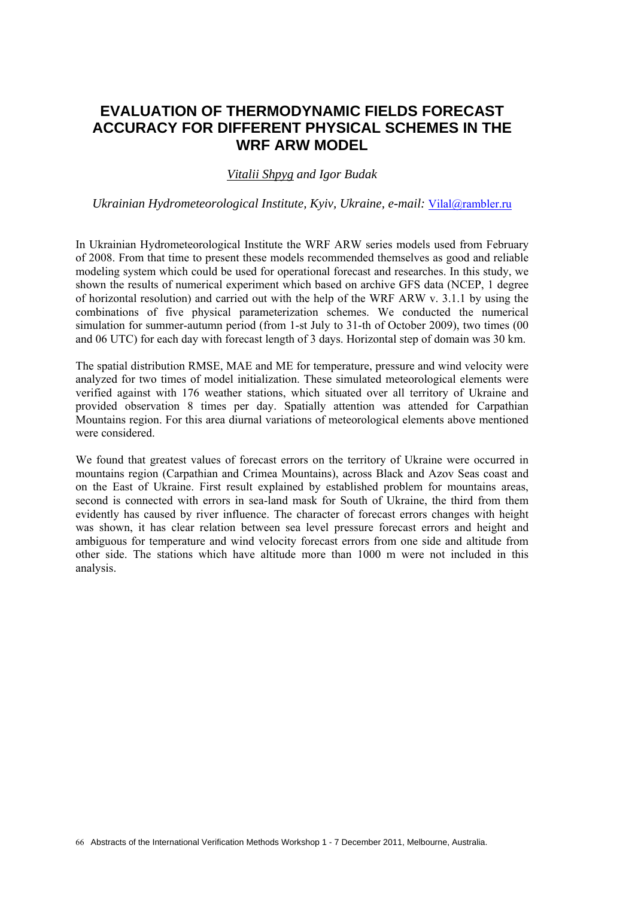## **EVALUATION OF THERMODYNAMIC FIELDS FORECAST ACCURACY FOR DIFFERENT PHYSICAL SCHEMES IN THE WRF ARW MODEL**

### *Vitalii Shpyg and Igor Budak*

*Ukrainian Hydrometeorological Institute, Kyiv, Ukraine, e-mail:* Vilal@rambler.ru

In Ukrainian Hydrometeorological Institute the WRF ARW series models used from February of 2008. From that time to present these models recommended themselves as good and reliable modeling system which could be used for operational forecast and researches. In this study, we shown the results of numerical experiment which based on archive GFS data (NCEP, 1 degree of horizontal resolution) and carried out with the help of the WRF ARW v. 3.1.1 by using the combinations of five physical parameterization schemes. We conducted the numerical simulation for summer-autumn period (from 1-st July to 31-th of October 2009), two times (00 and 06 UTC) for each day with forecast length of 3 days. Horizontal step of domain was 30 km.

The spatial distribution RMSE, MAE and ME for temperature, pressure and wind velocity were analyzed for two times of model initialization. These simulated meteorological elements were verified against with 176 weather stations, which situated over all territory of Ukraine and provided observation 8 times per day. Spatially attention was attended for Carpathian Mountains region. For this area diurnal variations of meteorological elements above mentioned were considered.

We found that greatest values of forecast errors on the territory of Ukraine were occurred in mountains region (Carpathian and Crimea Mountains), across Black and Azov Seas coast and on the East of Ukraine. First result explained by established problem for mountains areas, second is connected with errors in sea-land mask for South of Ukraine, the third from them evidently has caused by river influence. The character of forecast errors changes with height was shown, it has clear relation between sea level pressure forecast errors and height and ambiguous for temperature and wind velocity forecast errors from one side and altitude from other side. The stations which have altitude more than 1000 m were not included in this analysis.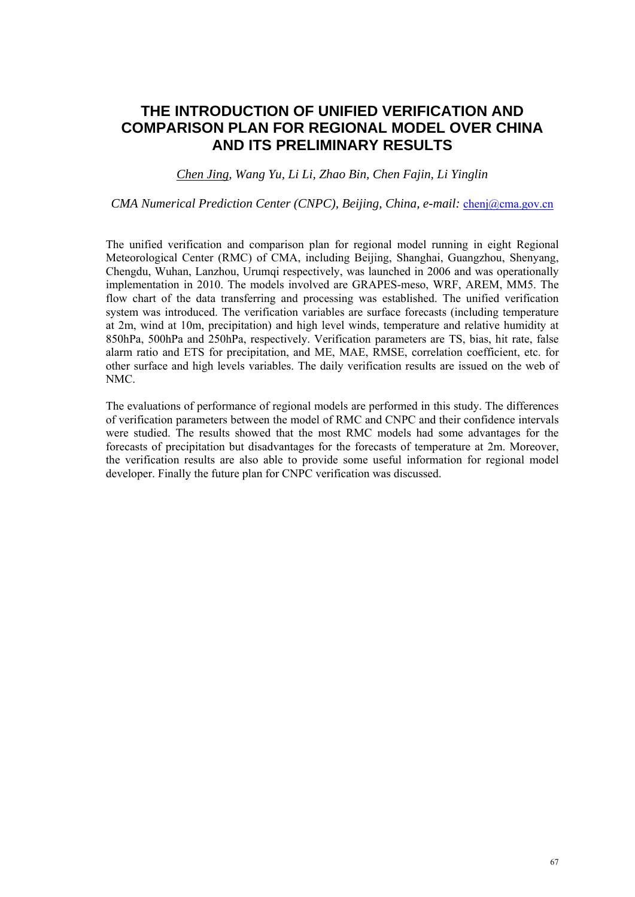## **THE INTRODUCTION OF UNIFIED VERIFICATION AND COMPARISON PLAN FOR REGIONAL MODEL OVER CHINA AND ITS PRELIMINARY RESULTS**

### *Chen Jing, Wang Yu, Li Li, Zhao Bin, Chen Fajin, Li Yinglin*

#### *CMA Numerical Prediction Center (CNPC), Beijing, China, e-mail: chenj@cma.gov.cn*

The unified verification and comparison plan for regional model running in eight Regional Meteorological Center (RMC) of CMA, including Beijing, Shanghai, Guangzhou, Shenyang, Chengdu, Wuhan, Lanzhou, Urumqi respectively, was launched in 2006 and was operationally implementation in 2010. The models involved are GRAPES-meso, WRF, AREM, MM5. The flow chart of the data transferring and processing was established. The unified verification system was introduced. The verification variables are surface forecasts (including temperature at 2m, wind at 10m, precipitation) and high level winds, temperature and relative humidity at 850hPa, 500hPa and 250hPa, respectively. Verification parameters are TS, bias, hit rate, false alarm ratio and ETS for precipitation, and ME, MAE, RMSE, correlation coefficient, etc. for other surface and high levels variables. The daily verification results are issued on the web of NMC.

The evaluations of performance of regional models are performed in this study. The differences of verification parameters between the model of RMC and CNPC and their confidence intervals were studied. The results showed that the most RMC models had some advantages for the forecasts of precipitation but disadvantages for the forecasts of temperature at 2m. Moreover, the verification results are also able to provide some useful information for regional model developer. Finally the future plan for CNPC verification was discussed.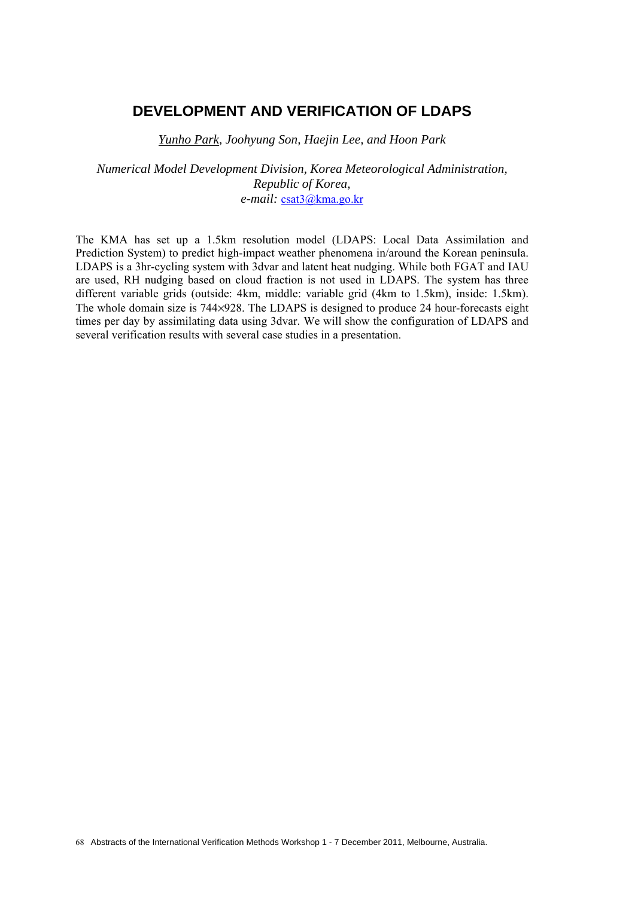## **DEVELOPMENT AND VERIFICATION OF LDAPS**

*Yunho Park, Joohyung Son, Haejin Lee, and Hoon Park* 

*Numerical Model Development Division, Korea Meteorological Administration, Republic of Korea, e-mail:* csat3@kma.go.kr

The KMA has set up a 1.5km resolution model (LDAPS: Local Data Assimilation and Prediction System) to predict high-impact weather phenomena in/around the Korean peninsula. LDAPS is a 3hr-cycling system with 3dvar and latent heat nudging. While both FGAT and IAU are used, RH nudging based on cloud fraction is not used in LDAPS. The system has three different variable grids (outside: 4km, middle: variable grid (4km to 1.5km), inside: 1.5km). The whole domain size is 744×928. The LDAPS is designed to produce 24 hour-forecasts eight times per day by assimilating data using 3dvar. We will show the configuration of LDAPS and several verification results with several case studies in a presentation.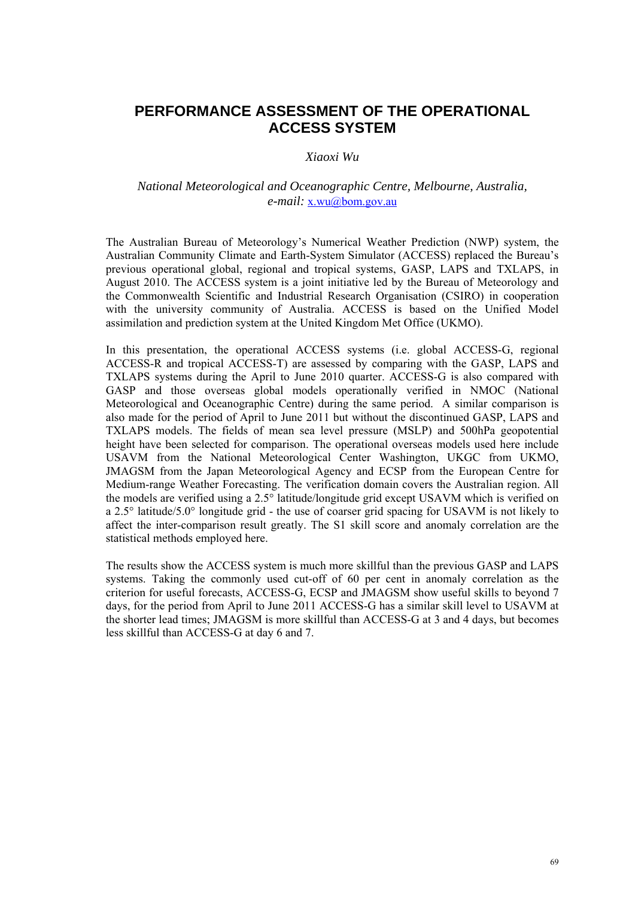# **PERFORMANCE ASSESSMENT OF THE OPERATIONAL ACCESS SYSTEM**

#### *Xiaoxi Wu*

### *National Meteorological and Oceanographic Centre, Melbourne, Australia, e-mail:* x.wu@bom.gov.au

The Australian Bureau of Meteorology's Numerical Weather Prediction (NWP) system, the Australian Community Climate and Earth-System Simulator (ACCESS) replaced the Bureau's previous operational global, regional and tropical systems, GASP, LAPS and TXLAPS, in August 2010. The ACCESS system is a joint initiative led by the Bureau of Meteorology and the Commonwealth Scientific and Industrial Research Organisation (CSIRO) in cooperation with the university community of Australia. ACCESS is based on the Unified Model assimilation and prediction system at the United Kingdom Met Office (UKMO).

In this presentation, the operational ACCESS systems (i.e. global ACCESS-G, regional ACCESS-R and tropical ACCESS-T) are assessed by comparing with the GASP, LAPS and TXLAPS systems during the April to June 2010 quarter. ACCESS-G is also compared with GASP and those overseas global models operationally verified in NMOC (National Meteorological and Oceanographic Centre) during the same period. A similar comparison is also made for the period of April to June 2011 but without the discontinued GASP, LAPS and TXLAPS models. The fields of mean sea level pressure (MSLP) and 500hPa geopotential height have been selected for comparison. The operational overseas models used here include USAVM from the National Meteorological Center Washington, UKGC from UKMO, JMAGSM from the Japan Meteorological Agency and ECSP from the European Centre for Medium-range Weather Forecasting. The verification domain covers the Australian region. All the models are verified using a 2.5° latitude/longitude grid except USAVM which is verified on a 2.5° latitude/5.0° longitude grid - the use of coarser grid spacing for USAVM is not likely to affect the inter-comparison result greatly. The S1 skill score and anomaly correlation are the statistical methods employed here.

The results show the ACCESS system is much more skillful than the previous GASP and LAPS systems. Taking the commonly used cut-off of 60 per cent in anomaly correlation as the criterion for useful forecasts, ACCESS-G, ECSP and JMAGSM show useful skills to beyond 7 days, for the period from April to June 2011 ACCESS-G has a similar skill level to USAVM at the shorter lead times; JMAGSM is more skillful than ACCESS-G at 3 and 4 days, but becomes less skillful than ACCESS-G at day 6 and 7.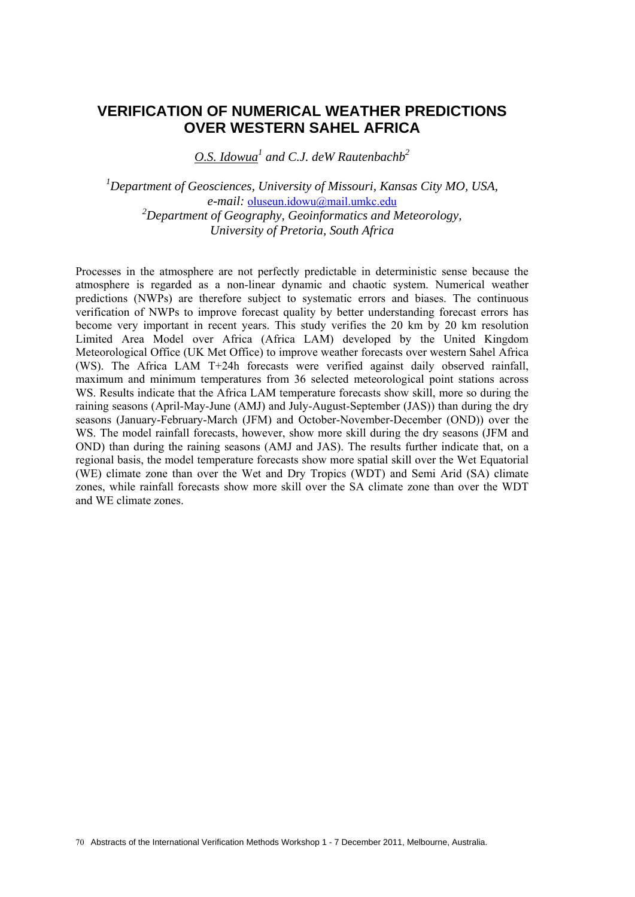## **VERIFICATION OF NUMERICAL WEATHER PREDICTIONS OVER WESTERN SAHEL AFRICA**

*O.S. Idowua1 and C.J. deW Rautenbachb2*

*1 Department of Geosciences, University of Missouri, Kansas City MO, USA, e-mail:* oluseun.idowu@mail.umkc.edu *2 Department of Geography, Geoinformatics and Meteorology, University of Pretoria, South Africa* 

Processes in the atmosphere are not perfectly predictable in deterministic sense because the atmosphere is regarded as a non-linear dynamic and chaotic system. Numerical weather predictions (NWPs) are therefore subject to systematic errors and biases. The continuous verification of NWPs to improve forecast quality by better understanding forecast errors has become very important in recent years. This study verifies the 20 km by 20 km resolution Limited Area Model over Africa (Africa LAM) developed by the United Kingdom Meteorological Office (UK Met Office) to improve weather forecasts over western Sahel Africa (WS). The Africa LAM T+24h forecasts were verified against daily observed rainfall, maximum and minimum temperatures from 36 selected meteorological point stations across WS. Results indicate that the Africa LAM temperature forecasts show skill, more so during the raining seasons (April-May-June (AMJ) and July-August-September (JAS)) than during the dry seasons (January-February-March (JFM) and October-November-December (OND)) over the WS. The model rainfall forecasts, however, show more skill during the dry seasons (JFM and OND) than during the raining seasons (AMJ and JAS). The results further indicate that, on a regional basis, the model temperature forecasts show more spatial skill over the Wet Equatorial (WE) climate zone than over the Wet and Dry Tropics (WDT) and Semi Arid (SA) climate zones, while rainfall forecasts show more skill over the SA climate zone than over the WDT and WE climate zones.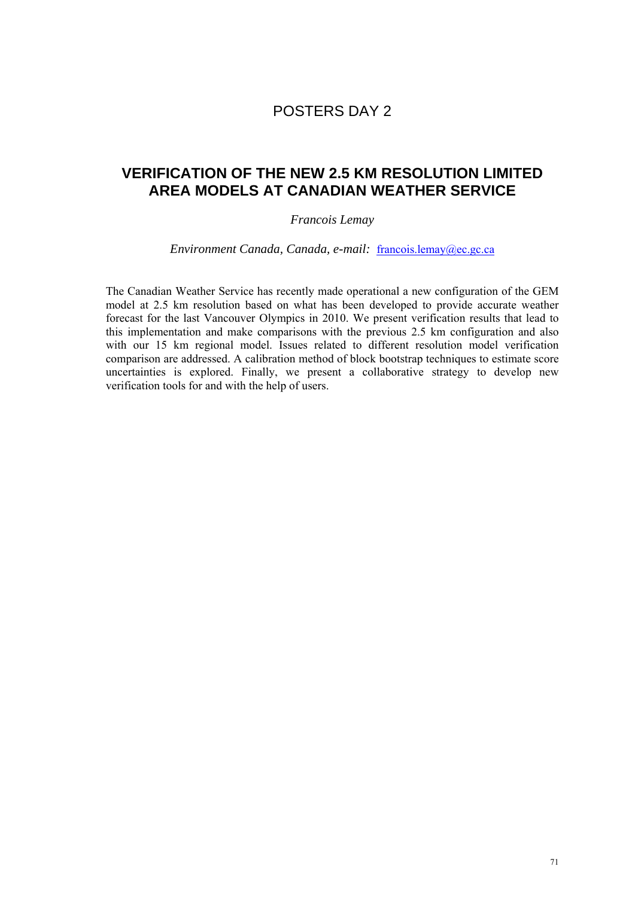## POSTERS DAY 2

## **VERIFICATION OF THE NEW 2.5 KM RESOLUTION LIMITED AREA MODELS AT CANADIAN WEATHER SERVICE**

### *Francois Lemay*

*Environment Canada, Canada, e-mail:* francois.lemay@ec.gc.ca

The Canadian Weather Service has recently made operational a new configuration of the GEM model at 2.5 km resolution based on what has been developed to provide accurate weather forecast for the last Vancouver Olympics in 2010. We present verification results that lead to this implementation and make comparisons with the previous 2.5 km configuration and also with our 15 km regional model. Issues related to different resolution model verification comparison are addressed. A calibration method of block bootstrap techniques to estimate score uncertainties is explored. Finally, we present a collaborative strategy to develop new verification tools for and with the help of users.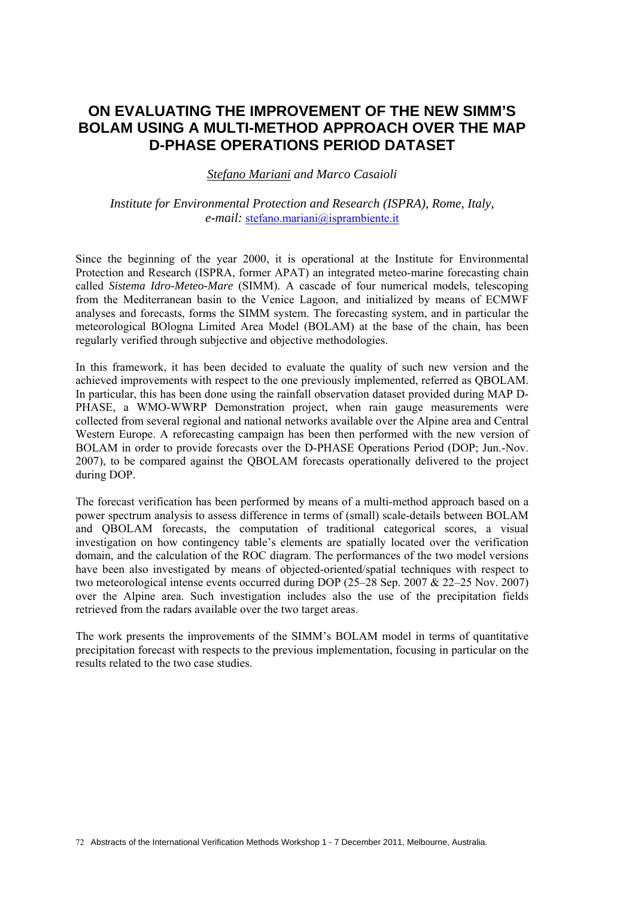## **ON EVALUATING THE IMPROVEMENT OF THE NEW SIMM'S BOLAM USING A MULTI-METHOD APPROACH OVER THE MAP D-PHASE OPERATIONS PERIOD DATASET**

*Stefano Mariani and Marco Casaioli* 

#### *Institute for Environmental Protection and Research (ISPRA), Rome, Italy, e-mail:* stefano.mariani@isprambiente.it

Since the beginning of the year 2000, it is operational at the Institute for Environmental Protection and Research (ISPRA, former APAT) an integrated meteo-marine forecasting chain called *Sistema Idro-Meteo-Mare* (SIMM). A cascade of four numerical models, telescoping from the Mediterranean basin to the Venice Lagoon, and initialized by means of ECMWF analyses and forecasts, forms the SIMM system. The forecasting system, and in particular the meteorological BOlogna Limited Area Model (BOLAM) at the base of the chain, has been regularly verified through subjective and objective methodologies.

In this framework, it has been decided to evaluate the quality of such new version and the achieved improvements with respect to the one previously implemented, referred as QBOLAM. In particular, this has been done using the rainfall observation dataset provided during MAP D-PHASE, a WMO-WWRP Demonstration project, when rain gauge measurements were collected from several regional and national networks available over the Alpine area and Central Western Europe. A reforecasting campaign has been then performed with the new version of BOLAM in order to provide forecasts over the D-PHASE Operations Period (DOP; Jun.-Nov. 2007), to be compared against the QBOLAM forecasts operationally delivered to the project during DOP.

The forecast verification has been performed by means of a multi-method approach based on a power spectrum analysis to assess difference in terms of (small) scale-details between BOLAM and QBOLAM forecasts, the computation of traditional categorical scores, a visual investigation on how contingency table's elements are spatially located over the verification domain, and the calculation of the ROC diagram. The performances of the two model versions have been also investigated by means of objected-oriented/spatial techniques with respect to two meteorological intense events occurred during DOP (25–28 Sep. 2007 & 22–25 Nov. 2007) over the Alpine area. Such investigation includes also the use of the precipitation fields retrieved from the radars available over the two target areas.

The work presents the improvements of the SIMM's BOLAM model in terms of quantitative precipitation forecast with respects to the previous implementation, focusing in particular on the results related to the two case studies.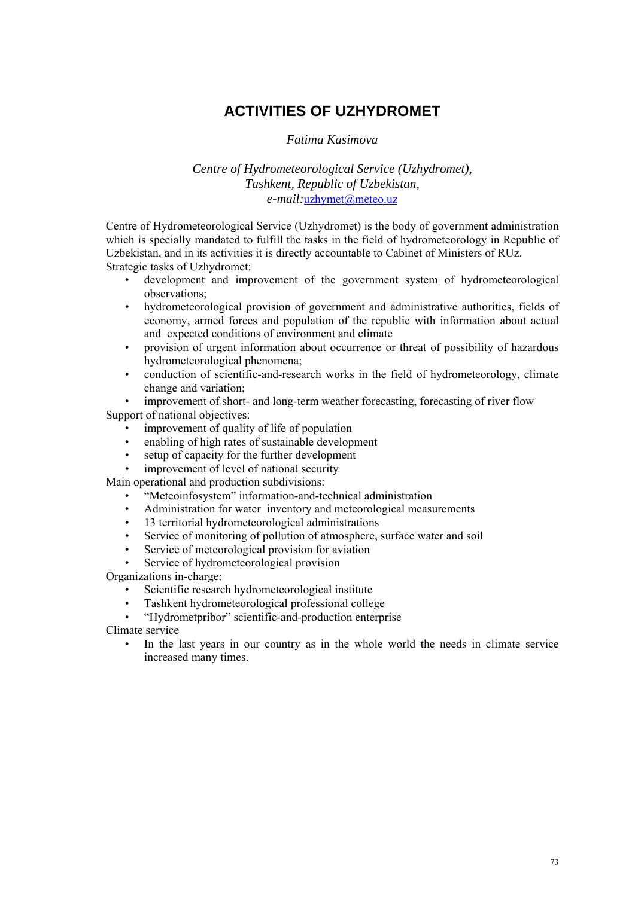# **ACTIVITIES OF UZHYDROMET**

### *Fatima Kasimova*

### *Centre of Hydrometeorological Service (Uzhydromet), Tashkent, Republic of Uzbekistan, e-mail:*uzhymet@meteo.uz

Centre of Hydrometeorological Service (Uzhydromet) is the body of government administration which is specially mandated to fulfill the tasks in the field of hydrometeorology in Republic of Uzbekistan, and in its activities it is directly accountable to Cabinet of Ministers of RUz. Strategic tasks of Uzhydromet:

- development and improvement of the government system of hydrometeorological observations;
- hydrometeorological provision of government and administrative authorities, fields of economy, armed forces and population of the republic with information about actual and expected conditions of environment and climate
- provision of urgent information about occurrence or threat of possibility of hazardous hydrometeorological phenomena;
- conduction of scientific-and-research works in the field of hydrometeorology, climate change and variation;

improvement of short- and long-term weather forecasting, forecasting of river flow Support of national objectives:

- improvement of quality of life of population
- enabling of high rates of sustainable development
- setup of capacity for the further development
- improvement of level of national security

Main operational and production subdivisions:

- "Meteoinfosystem" information-and-technical administration
- Administration for water inventory and meteorological measurements
- 13 territorial hydrometeorological administrations
- Service of monitoring of pollution of atmosphere, surface water and soil
- Service of meteorological provision for aviation
- Service of hydrometeorological provision

Organizations in-charge:

- Scientific research hydrometeorological institute
- Tashkent hydrometeorological professional college
- "Hydrometpribor" scientific-and-production enterprise

Climate service

In the last years in our country as in the whole world the needs in climate service increased many times.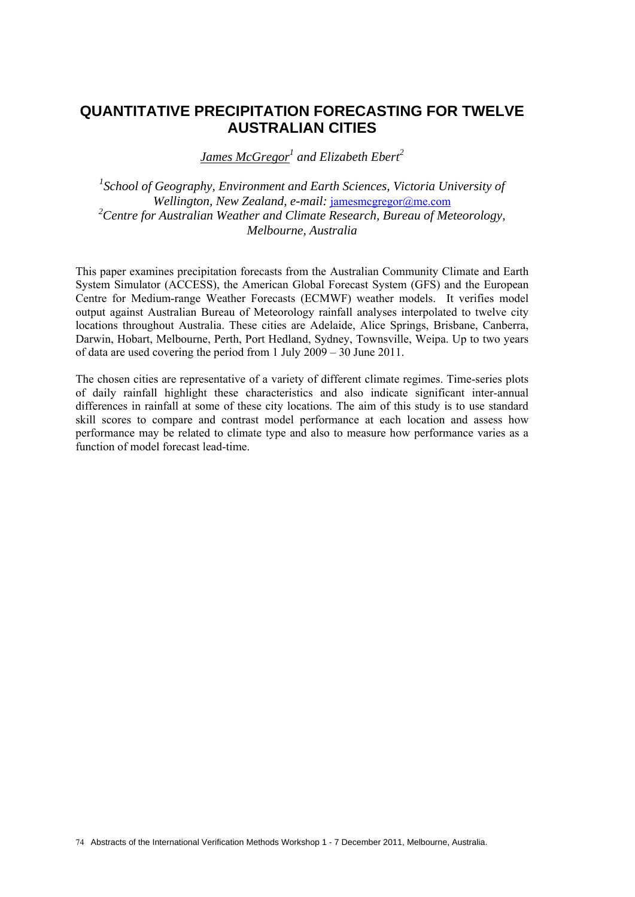## **QUANTITATIVE PRECIPITATION FORECASTING FOR TWELVE AUSTRALIAN CITIES**

*James McGregor<sup>1</sup> and Elizabeth Ebert<sup>2</sup>*

<sup>1</sup> School of Geography, Environment and Earth Sciences, Victoria University of Wellington, New Zealand, e-mail: jamesmcgregor@me.com *2 Centre for Australian Weather and Climate Research, Bureau of Meteorology, Melbourne, Australia* 

This paper examines precipitation forecasts from the Australian Community Climate and Earth System Simulator (ACCESS), the American Global Forecast System (GFS) and the European Centre for Medium-range Weather Forecasts (ECMWF) weather models. It verifies model output against Australian Bureau of Meteorology rainfall analyses interpolated to twelve city locations throughout Australia. These cities are Adelaide, Alice Springs, Brisbane, Canberra, Darwin, Hobart, Melbourne, Perth, Port Hedland, Sydney, Townsville, Weipa. Up to two years of data are used covering the period from 1 July 2009 – 30 June 2011.

The chosen cities are representative of a variety of different climate regimes. Time-series plots of daily rainfall highlight these characteristics and also indicate significant inter-annual differences in rainfall at some of these city locations. The aim of this study is to use standard skill scores to compare and contrast model performance at each location and assess how performance may be related to climate type and also to measure how performance varies as a function of model forecast lead-time.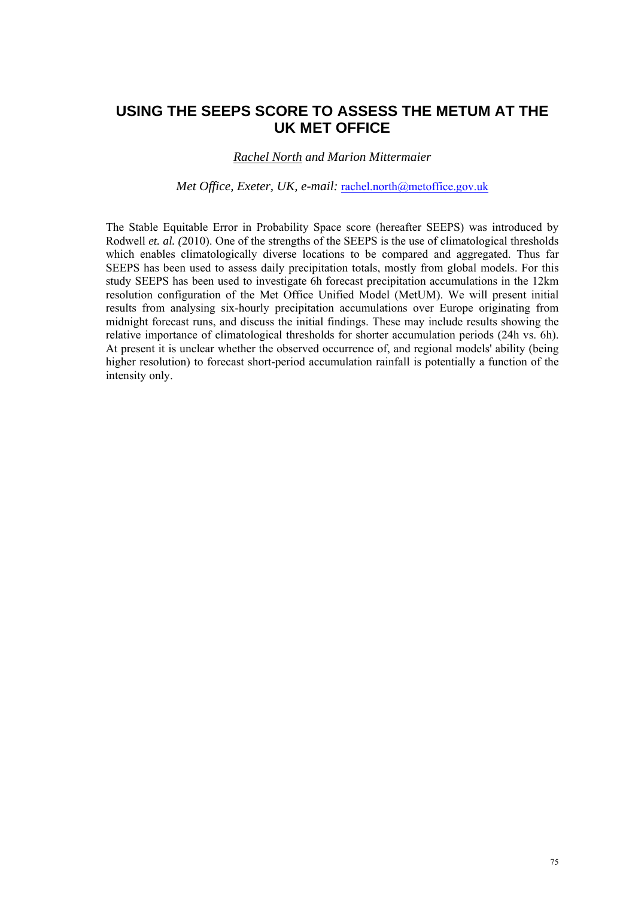## **USING THE SEEPS SCORE TO ASSESS THE METUM AT THE UK MET OFFICE**

### *Rachel North and Marion Mittermaier*

#### *Met Office, Exeter, UK, e-mail:* rachel.north@metoffice.gov.uk

The Stable Equitable Error in Probability Space score (hereafter SEEPS) was introduced by Rodwell *et. al. (*2010). One of the strengths of the SEEPS is the use of climatological thresholds which enables climatologically diverse locations to be compared and aggregated. Thus far SEEPS has been used to assess daily precipitation totals, mostly from global models. For this study SEEPS has been used to investigate 6h forecast precipitation accumulations in the 12km resolution configuration of the Met Office Unified Model (MetUM). We will present initial results from analysing six-hourly precipitation accumulations over Europe originating from midnight forecast runs, and discuss the initial findings. These may include results showing the relative importance of climatological thresholds for shorter accumulation periods (24h vs. 6h). At present it is unclear whether the observed occurrence of, and regional models' ability (being higher resolution) to forecast short-period accumulation rainfall is potentially a function of the intensity only.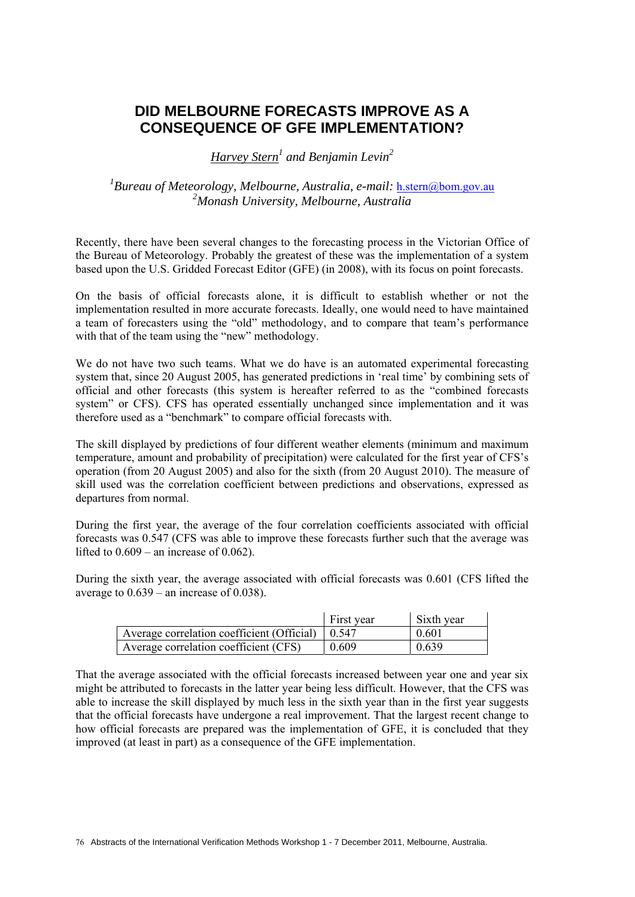# **DID MELBOURNE FORECASTS IMPROVE AS A CONSEQUENCE OF GFE IMPLEMENTATION?**

*Harvey Stern1 and Benjamin Levin2*

<sup>1</sup> Bureau of Meteorology, Melbourne, Australia, e-mail: <u>h.stern@bom.gov.au</u> *2 Monash University, Melbourne, Australia* 

Recently, there have been several changes to the forecasting process in the Victorian Office of the Bureau of Meteorology. Probably the greatest of these was the implementation of a system based upon the U.S. Gridded Forecast Editor (GFE) (in 2008), with its focus on point forecasts.

On the basis of official forecasts alone, it is difficult to establish whether or not the implementation resulted in more accurate forecasts. Ideally, one would need to have maintained a team of forecasters using the "old" methodology, and to compare that team's performance with that of the team using the "new" methodology.

We do not have two such teams. What we do have is an automated experimental forecasting system that, since 20 August 2005, has generated predictions in 'real time' by combining sets of official and other forecasts (this system is hereafter referred to as the "combined forecasts system" or CFS). CFS has operated essentially unchanged since implementation and it was therefore used as a "benchmark" to compare official forecasts with.

The skill displayed by predictions of four different weather elements (minimum and maximum temperature, amount and probability of precipitation) were calculated for the first year of CFS's operation (from 20 August 2005) and also for the sixth (from 20 August 2010). The measure of skill used was the correlation coefficient between predictions and observations, expressed as departures from normal.

During the first year, the average of the four correlation coefficients associated with official forecasts was 0.547 (CFS was able to improve these forecasts further such that the average was lifted to  $0.609$  – an increase of  $0.062$ ).

During the sixth year, the average associated with official forecasts was 0.601 (CFS lifted the average to  $0.639$  – an increase of 0.038).

|                                            | First year | $\overline{\phantom{a}}$ Sixth year |
|--------------------------------------------|------------|-------------------------------------|
| Average correlation coefficient (Official) | 10.547     | 0.601                               |
| Average correlation coefficient (CFS)      | 0.609      | 0.639                               |

That the average associated with the official forecasts increased between year one and year six might be attributed to forecasts in the latter year being less difficult. However, that the CFS was able to increase the skill displayed by much less in the sixth year than in the first year suggests that the official forecasts have undergone a real improvement. That the largest recent change to how official forecasts are prepared was the implementation of GFE, it is concluded that they improved (at least in part) as a consequence of the GFE implementation.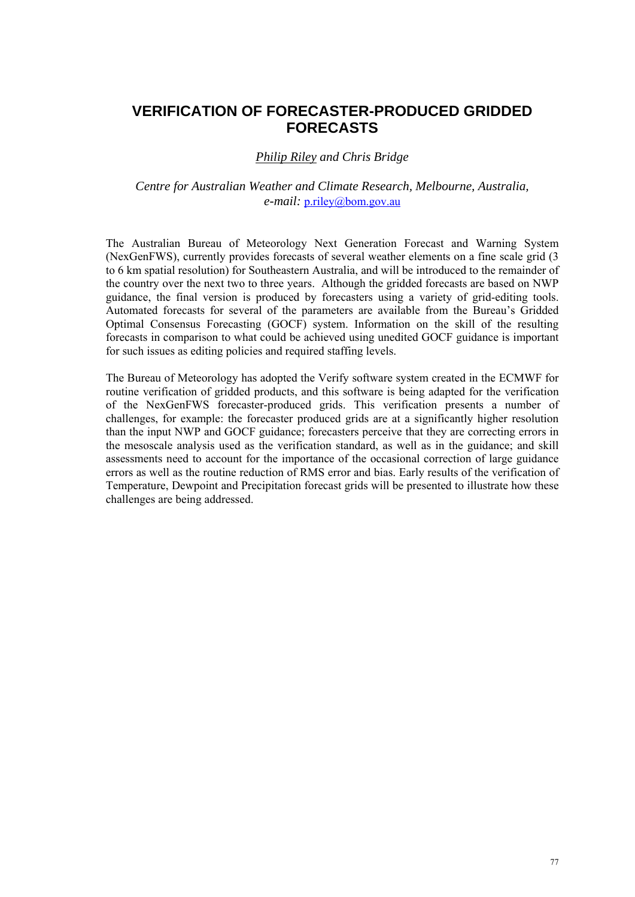# **VERIFICATION OF FORECASTER-PRODUCED GRIDDED FORECASTS**

### *Philip Riley and Chris Bridge*

### *Centre for Australian Weather and Climate Research, Melbourne, Australia, e-mail:* p.riley@bom.gov.au

The Australian Bureau of Meteorology Next Generation Forecast and Warning System (NexGenFWS), currently provides forecasts of several weather elements on a fine scale grid (3 to 6 km spatial resolution) for Southeastern Australia, and will be introduced to the remainder of the country over the next two to three years. Although the gridded forecasts are based on NWP guidance, the final version is produced by forecasters using a variety of grid-editing tools. Automated forecasts for several of the parameters are available from the Bureau's Gridded Optimal Consensus Forecasting (GOCF) system. Information on the skill of the resulting forecasts in comparison to what could be achieved using unedited GOCF guidance is important for such issues as editing policies and required staffing levels.

The Bureau of Meteorology has adopted the Verify software system created in the ECMWF for routine verification of gridded products, and this software is being adapted for the verification of the NexGenFWS forecaster-produced grids. This verification presents a number of challenges, for example: the forecaster produced grids are at a significantly higher resolution than the input NWP and GOCF guidance; forecasters perceive that they are correcting errors in the mesoscale analysis used as the verification standard, as well as in the guidance; and skill assessments need to account for the importance of the occasional correction of large guidance errors as well as the routine reduction of RMS error and bias. Early results of the verification of Temperature, Dewpoint and Precipitation forecast grids will be presented to illustrate how these challenges are being addressed.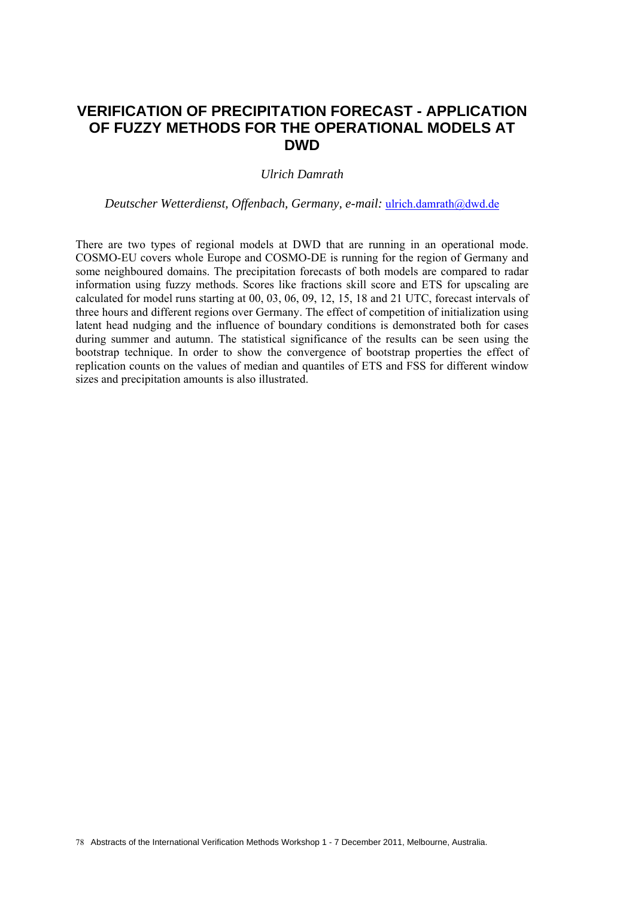## **VERIFICATION OF PRECIPITATION FORECAST - APPLICATION OF FUZZY METHODS FOR THE OPERATIONAL MODELS AT DWD**

#### *Ulrich Damrath*

*Deutscher Wetterdienst, Offenbach, Germany, e-mail:* ulrich.damrath@dwd.de

There are two types of regional models at DWD that are running in an operational mode. COSMO-EU covers whole Europe and COSMO-DE is running for the region of Germany and some neighboured domains. The precipitation forecasts of both models are compared to radar information using fuzzy methods. Scores like fractions skill score and ETS for upscaling are calculated for model runs starting at 00, 03, 06, 09, 12, 15, 18 and 21 UTC, forecast intervals of three hours and different regions over Germany. The effect of competition of initialization using latent head nudging and the influence of boundary conditions is demonstrated both for cases during summer and autumn. The statistical significance of the results can be seen using the bootstrap technique. In order to show the convergence of bootstrap properties the effect of replication counts on the values of median and quantiles of ETS and FSS for different window sizes and precipitation amounts is also illustrated.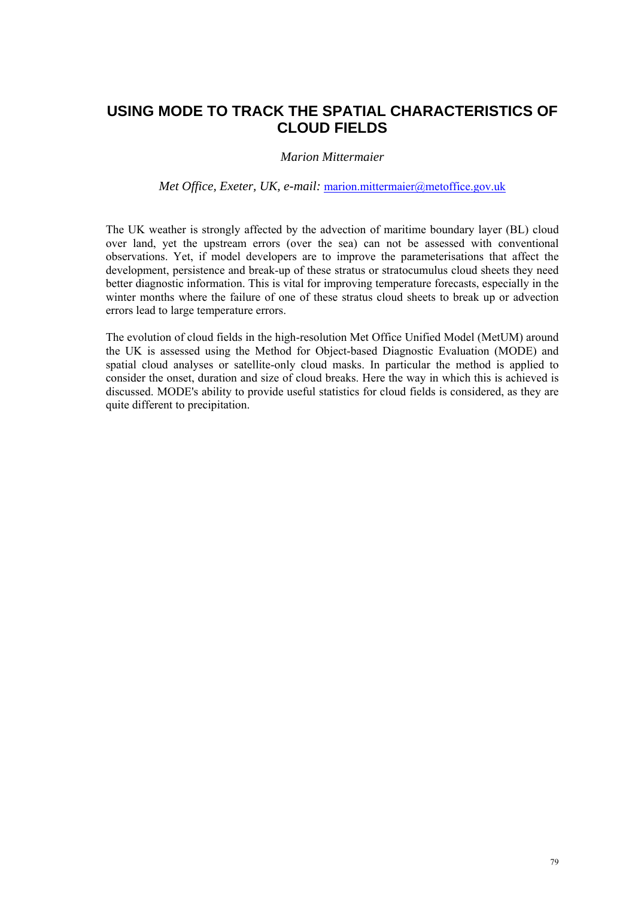# **USING MODE TO TRACK THE SPATIAL CHARACTERISTICS OF CLOUD FIELDS**

#### *Marion Mittermaier*

#### *Met Office, Exeter, UK, e-mail:* marion.mittermaier@metoffice.gov.uk

The UK weather is strongly affected by the advection of maritime boundary layer (BL) cloud over land, yet the upstream errors (over the sea) can not be assessed with conventional observations. Yet, if model developers are to improve the parameterisations that affect the development, persistence and break-up of these stratus or stratocumulus cloud sheets they need better diagnostic information. This is vital for improving temperature forecasts, especially in the winter months where the failure of one of these stratus cloud sheets to break up or advection errors lead to large temperature errors.

The evolution of cloud fields in the high-resolution Met Office Unified Model (MetUM) around the UK is assessed using the Method for Object-based Diagnostic Evaluation (MODE) and spatial cloud analyses or satellite-only cloud masks. In particular the method is applied to consider the onset, duration and size of cloud breaks. Here the way in which this is achieved is discussed. MODE's ability to provide useful statistics for cloud fields is considered, as they are quite different to precipitation.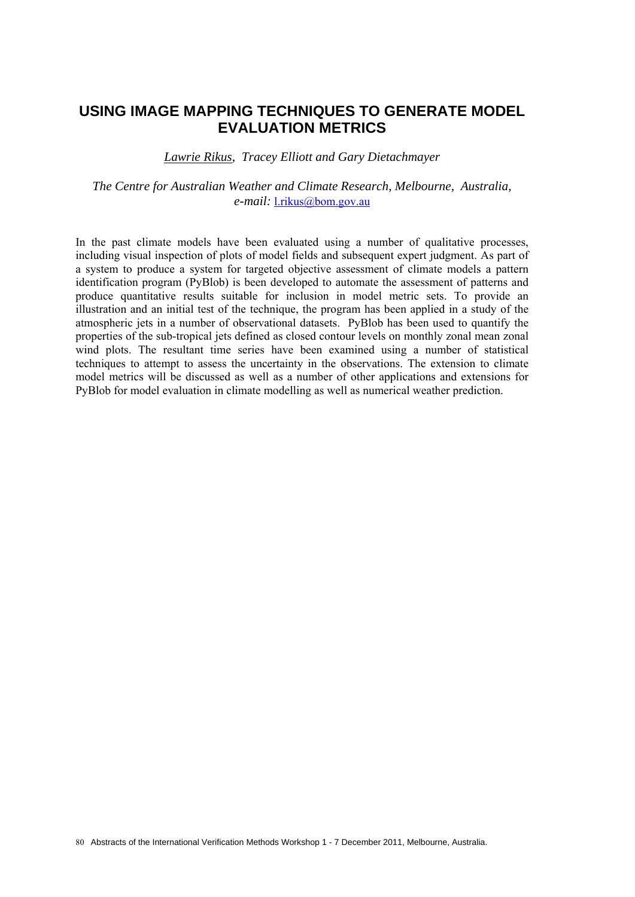## **USING IMAGE MAPPING TECHNIQUES TO GENERATE MODEL EVALUATION METRICS**

*Lawrie Rikus, Tracey Elliott and Gary Dietachmayer* 

*The Centre for Australian Weather and Climate Research, Melbourne, Australia, e-mail:* l.rikus@bom.gov.au

In the past climate models have been evaluated using a number of qualitative processes, including visual inspection of plots of model fields and subsequent expert judgment. As part of a system to produce a system for targeted objective assessment of climate models a pattern identification program (PyBlob) is been developed to automate the assessment of patterns and produce quantitative results suitable for inclusion in model metric sets. To provide an illustration and an initial test of the technique, the program has been applied in a study of the atmospheric jets in a number of observational datasets. PyBlob has been used to quantify the properties of the sub-tropical jets defined as closed contour levels on monthly zonal mean zonal wind plots. The resultant time series have been examined using a number of statistical techniques to attempt to assess the uncertainty in the observations. The extension to climate model metrics will be discussed as well as a number of other applications and extensions for PyBlob for model evaluation in climate modelling as well as numerical weather prediction.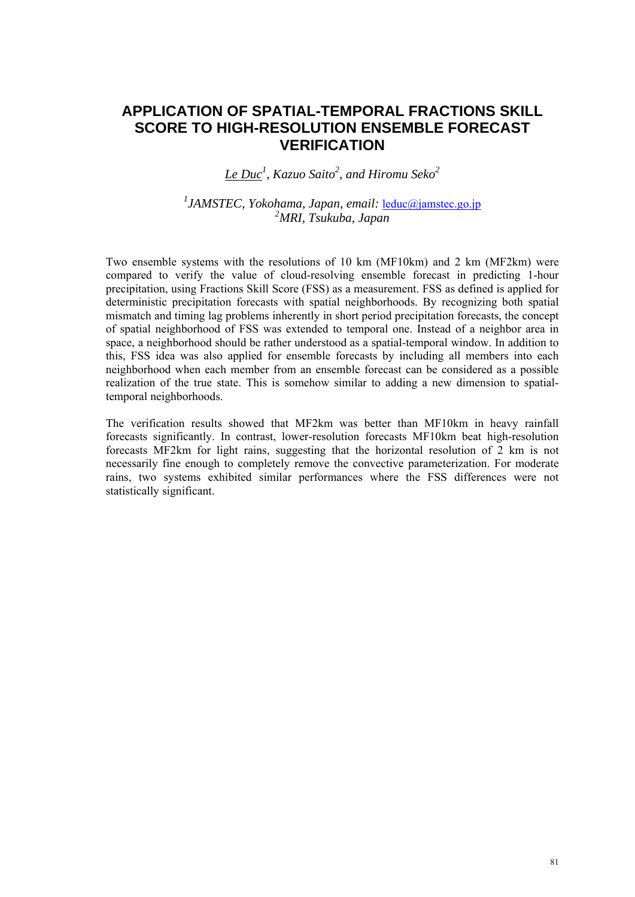# **APPLICATION OF SPATIAL-TEMPORAL FRACTIONS SKILL SCORE TO HIGH-RESOLUTION ENSEMBLE FORECAST VERIFICATION**

*Le Duc<sup>1</sup> , Kazuo Saito2 , and Hiromu Seko2* 

*1 JAMSTEC, Yokohama, Japan, email:* leduc@jamstec.go.jp *2 MRI, Tsukuba, Japan* 

Two ensemble systems with the resolutions of 10 km (MF10km) and 2 km (MF2km) were compared to verify the value of cloud-resolving ensemble forecast in predicting 1-hour precipitation, using Fractions Skill Score (FSS) as a measurement. FSS as defined is applied for deterministic precipitation forecasts with spatial neighborhoods. By recognizing both spatial mismatch and timing lag problems inherently in short period precipitation forecasts, the concept of spatial neighborhood of FSS was extended to temporal one. Instead of a neighbor area in space, a neighborhood should be rather understood as a spatial-temporal window. In addition to this, FSS idea was also applied for ensemble forecasts by including all members into each neighborhood when each member from an ensemble forecast can be considered as a possible realization of the true state. This is somehow similar to adding a new dimension to spatialtemporal neighborhoods.

The verification results showed that MF2km was better than MF10km in heavy rainfall forecasts significantly. In contrast, lower-resolution forecasts MF10km beat high-resolution forecasts MF2km for light rains, suggesting that the horizontal resolution of 2 km is not necessarily fine enough to completely remove the convective parameterization. For moderate rains, two systems exhibited similar performances where the FSS differences were not statistically significant.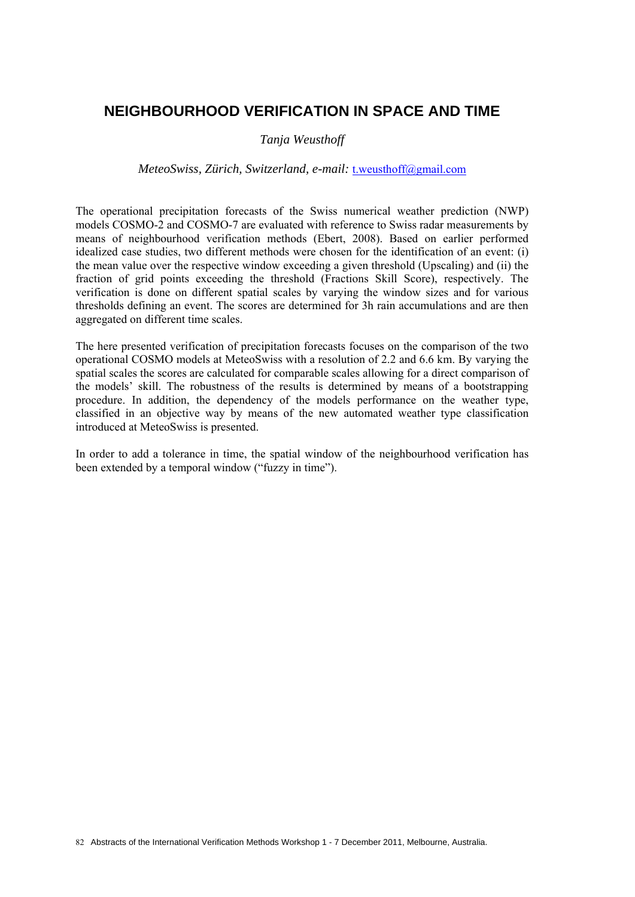## **NEIGHBOURHOOD VERIFICATION IN SPACE AND TIME**

#### *Tanja Weusthoff*

#### *MeteoSwiss, Zürich, Switzerland, e-mail:* t.weusthoff@gmail.com

The operational precipitation forecasts of the Swiss numerical weather prediction (NWP) models COSMO-2 and COSMO-7 are evaluated with reference to Swiss radar measurements by means of neighbourhood verification methods (Ebert, 2008). Based on earlier performed idealized case studies, two different methods were chosen for the identification of an event: (i) the mean value over the respective window exceeding a given threshold (Upscaling) and (ii) the fraction of grid points exceeding the threshold (Fractions Skill Score), respectively. The verification is done on different spatial scales by varying the window sizes and for various thresholds defining an event. The scores are determined for 3h rain accumulations and are then aggregated on different time scales.

The here presented verification of precipitation forecasts focuses on the comparison of the two operational COSMO models at MeteoSwiss with a resolution of 2.2 and 6.6 km. By varying the spatial scales the scores are calculated for comparable scales allowing for a direct comparison of the models' skill. The robustness of the results is determined by means of a bootstrapping procedure. In addition, the dependency of the models performance on the weather type, classified in an objective way by means of the new automated weather type classification introduced at MeteoSwiss is presented.

In order to add a tolerance in time, the spatial window of the neighbourhood verification has been extended by a temporal window ("fuzzy in time").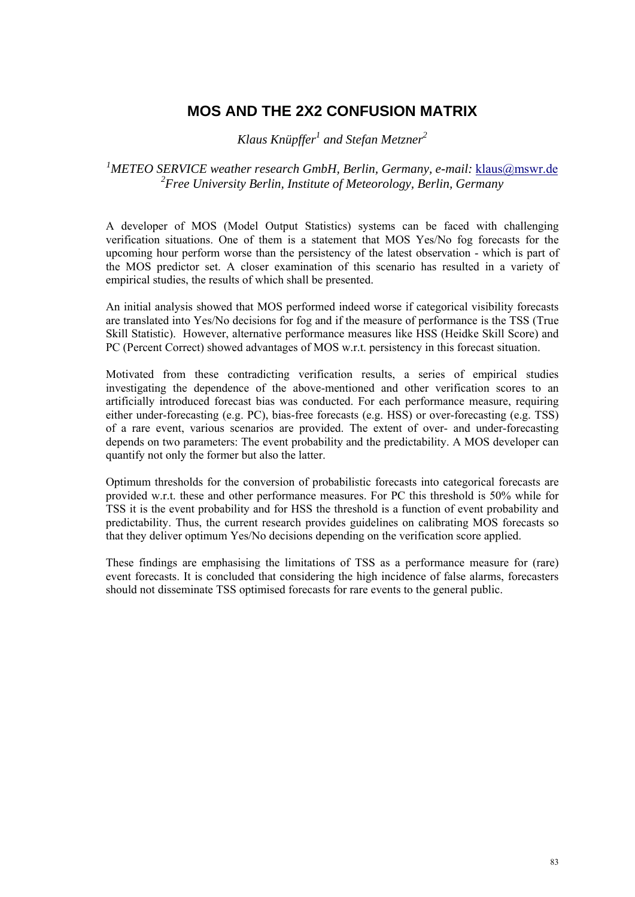## **MOS AND THE 2X2 CONFUSION MATRIX**

*Klaus Knüpffer<sup>1</sup> and Stefan Metzner2*

### <sup>1</sup>METEO SERVICE weather research GmbH, Berlin, Germany, e-mail: <u>klaus@mswr.de</u> *2 Free University Berlin, Institute of Meteorology, Berlin, Germany*

A developer of MOS (Model Output Statistics) systems can be faced with challenging verification situations. One of them is a statement that MOS Yes/No fog forecasts for the upcoming hour perform worse than the persistency of the latest observation - which is part of the MOS predictor set. A closer examination of this scenario has resulted in a variety of empirical studies, the results of which shall be presented.

An initial analysis showed that MOS performed indeed worse if categorical visibility forecasts are translated into Yes/No decisions for fog and if the measure of performance is the TSS (True Skill Statistic). However, alternative performance measures like HSS (Heidke Skill Score) and PC (Percent Correct) showed advantages of MOS w.r.t. persistency in this forecast situation.

Motivated from these contradicting verification results, a series of empirical studies investigating the dependence of the above-mentioned and other verification scores to an artificially introduced forecast bias was conducted. For each performance measure, requiring either under-forecasting (e.g. PC), bias-free forecasts (e.g. HSS) or over-forecasting (e.g. TSS) of a rare event, various scenarios are provided. The extent of over- and under-forecasting depends on two parameters: The event probability and the predictability. A MOS developer can quantify not only the former but also the latter.

Optimum thresholds for the conversion of probabilistic forecasts into categorical forecasts are provided w.r.t. these and other performance measures. For PC this threshold is 50% while for TSS it is the event probability and for HSS the threshold is a function of event probability and predictability. Thus, the current research provides guidelines on calibrating MOS forecasts so that they deliver optimum Yes/No decisions depending on the verification score applied.

These findings are emphasising the limitations of TSS as a performance measure for (rare) event forecasts. It is concluded that considering the high incidence of false alarms, forecasters should not disseminate TSS optimised forecasts for rare events to the general public.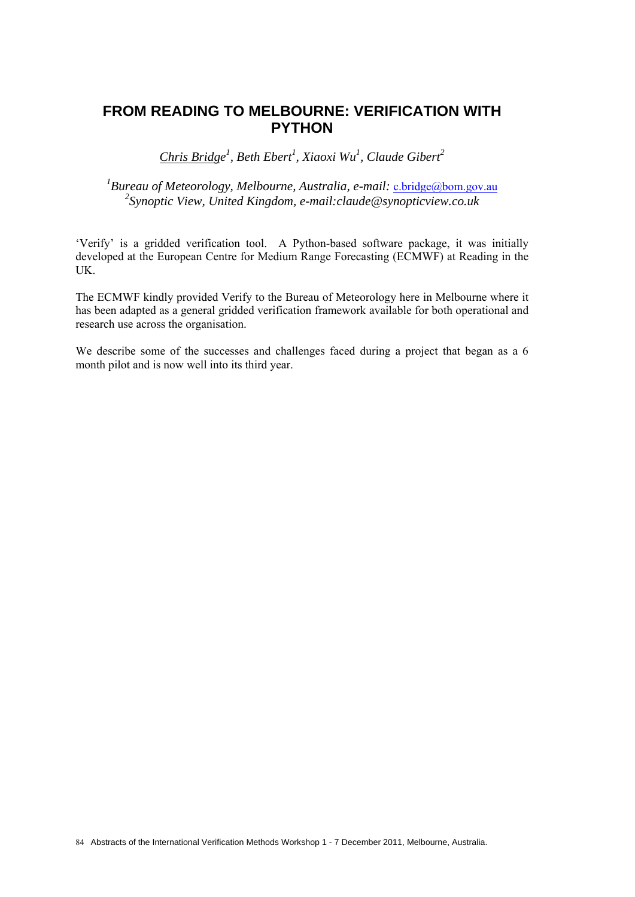## **FROM READING TO MELBOURNE: VERIFICATION WITH PYTHON**

*Chris Bridge 1 , Beth Ebert<sup>1</sup> , Xiaoxi Wu1 , Claude Gibert<sup>2</sup>*

<sup>1</sup> Bureau of Meteorology, Melbourne, Australia, e-mail: <u>c.bridge@bom.gov.au</u> *2 Synoptic View, United Kingdom, e-mail:claude@synopticview.co.uk* 

'Verify' is a gridded verification tool. A Python-based software package, it was initially developed at the European Centre for Medium Range Forecasting (ECMWF) at Reading in the UK.

The ECMWF kindly provided Verify to the Bureau of Meteorology here in Melbourne where it has been adapted as a general gridded verification framework available for both operational and research use across the organisation.

We describe some of the successes and challenges faced during a project that began as a 6 month pilot and is now well into its third year.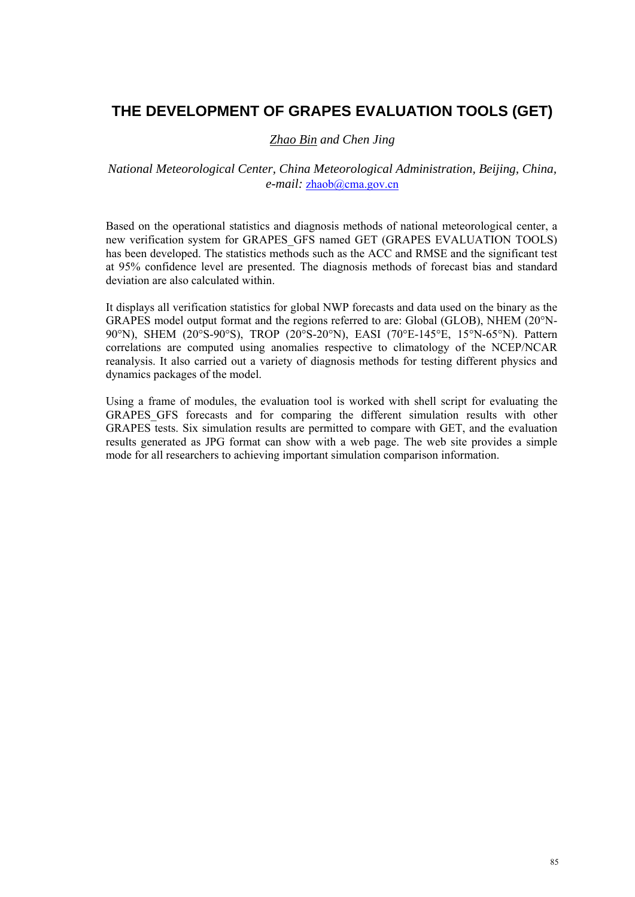# **THE DEVELOPMENT OF GRAPES EVALUATION TOOLS (GET)**

### *Zhao Bin and Chen Jing*

### *National Meteorological Center, China Meteorological Administration, Beijing, China, e-mail:* zhaob@cma.gov.cn

Based on the operational statistics and diagnosis methods of national meteorological center, a new verification system for GRAPES\_GFS named GET (GRAPES EVALUATION TOOLS) has been developed. The statistics methods such as the ACC and RMSE and the significant test at 95% confidence level are presented. The diagnosis methods of forecast bias and standard deviation are also calculated within.

It displays all verification statistics for global NWP forecasts and data used on the binary as the GRAPES model output format and the regions referred to are: Global (GLOB), NHEM (20°N-90°N), SHEM (20°S-90°S), TROP (20°S-20°N), EASI (70°E-145°E, 15°N-65°N). Pattern correlations are computed using anomalies respective to climatology of the NCEP/NCAR reanalysis. It also carried out a variety of diagnosis methods for testing different physics and dynamics packages of the model.

Using a frame of modules, the evaluation tool is worked with shell script for evaluating the GRAPES\_GFS forecasts and for comparing the different simulation results with other GRAPES tests. Six simulation results are permitted to compare with GET, and the evaluation results generated as JPG format can show with a web page. The web site provides a simple mode for all researchers to achieving important simulation comparison information.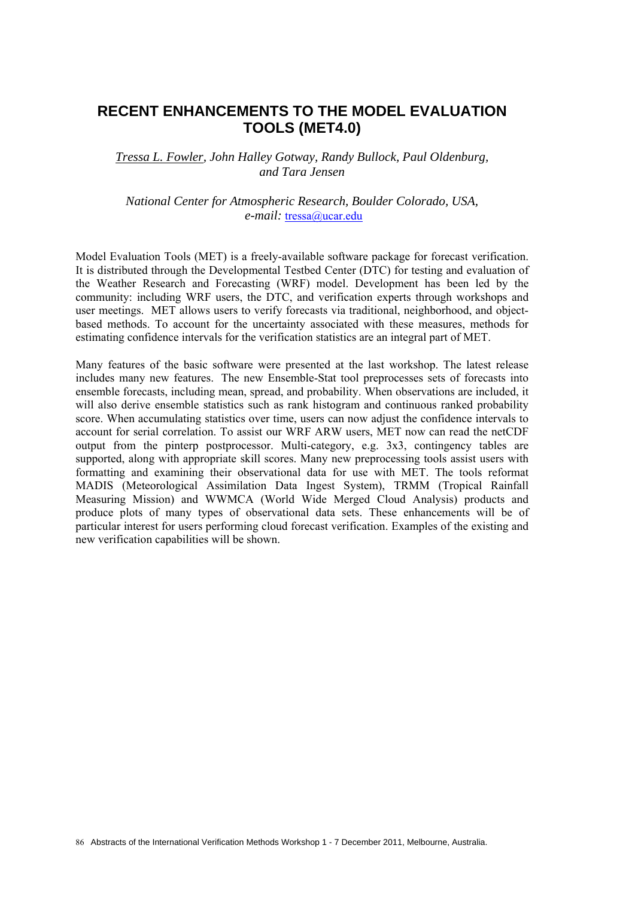## **RECENT ENHANCEMENTS TO THE MODEL EVALUATION TOOLS (MET4.0)**

*Tressa L. Fowler, John Halley Gotway, Randy Bullock, Paul Oldenburg, and Tara Jensen* 

*National Center for Atmospheric Research, Boulder Colorado, USA, e-mail:* tressa@ucar.edu

Model Evaluation Tools (MET) is a freely-available software package for forecast verification. It is distributed through the Developmental Testbed Center (DTC) for testing and evaluation of the Weather Research and Forecasting (WRF) model. Development has been led by the community: including WRF users, the DTC, and verification experts through workshops and user meetings. MET allows users to verify forecasts via traditional, neighborhood, and objectbased methods. To account for the uncertainty associated with these measures, methods for estimating confidence intervals for the verification statistics are an integral part of MET.

Many features of the basic software were presented at the last workshop. The latest release includes many new features. The new Ensemble-Stat tool preprocesses sets of forecasts into ensemble forecasts, including mean, spread, and probability. When observations are included, it will also derive ensemble statistics such as rank histogram and continuous ranked probability score. When accumulating statistics over time, users can now adjust the confidence intervals to account for serial correlation. To assist our WRF ARW users, MET now can read the netCDF output from the pinterp postprocessor. Multi-category, e.g. 3x3, contingency tables are supported, along with appropriate skill scores. Many new preprocessing tools assist users with formatting and examining their observational data for use with MET. The tools reformat MADIS (Meteorological Assimilation Data Ingest System), TRMM (Tropical Rainfall Measuring Mission) and WWMCA (World Wide Merged Cloud Analysis) products and produce plots of many types of observational data sets. These enhancements will be of particular interest for users performing cloud forecast verification. Examples of the existing and new verification capabilities will be shown.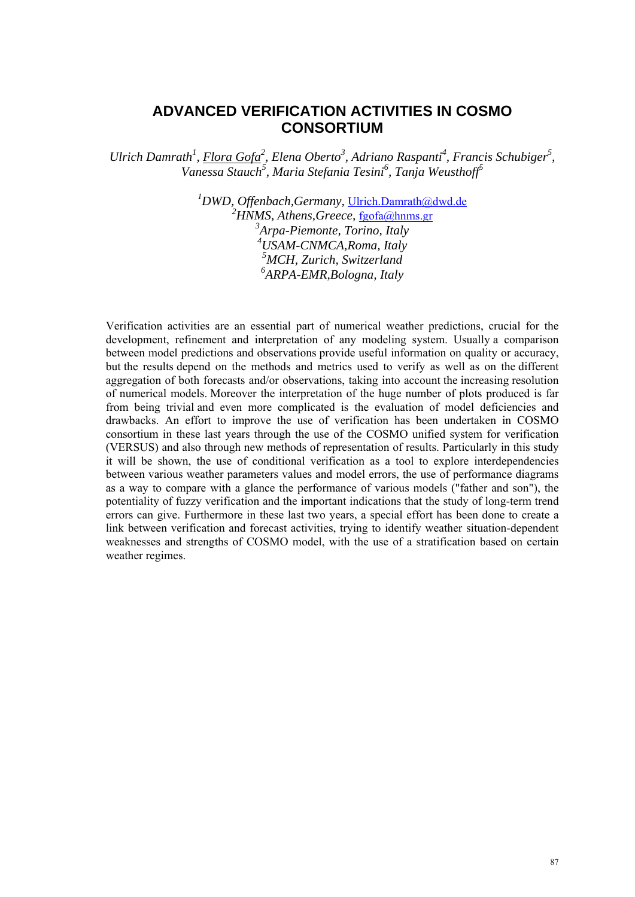## **ADVANCED VERIFICATION ACTIVITIES IN COSMO CONSORTIUM**

*Ulrich Damrath<sup>1</sup>, Flora Gofa<sup>2</sup>, Elena Oberto<sup>3</sup>, Adriano Raspanti<sup>4</sup>, Francis Schubiger<sup>5</sup>, Vanessa Stauch5 , Maria Stefania Tesini<sup>6</sup> , Tanja Weusthoff<sup>5</sup>*

> *DWD, Offenbach,Germany,* Ulrich.Damrath@dwd.de <sup>2</sup>HNMS, Athens, Greece, fgofa@hnms.gr *Arpa-Piemonte, Torino, Italy USAM-CNMCA,Roma, Italy MCH, Zurich, Switzerland ARPA-EMR,Bologna, Italy*

Verification activities are an essential part of numerical weather predictions, crucial for the development, refinement and interpretation of any modeling system. Usually a comparison between model predictions and observations provide useful information on quality or accuracy, but the results depend on the methods and metrics used to verify as well as on the different aggregation of both forecasts and/or observations, taking into account the increasing resolution of numerical models. Moreover the interpretation of the huge number of plots produced is far from being trivial and even more complicated is the evaluation of model deficiencies and drawbacks. An effort to improve the use of verification has been undertaken in COSMO consortium in these last years through the use of the COSMO unified system for verification (VERSUS) and also through new methods of representation of results. Particularly in this study it will be shown, the use of conditional verification as a tool to explore interdependencies between various weather parameters values and model errors, the use of performance diagrams as a way to compare with a glance the performance of various models ("father and son"), the potentiality of fuzzy verification and the important indications that the study of long-term trend errors can give. Furthermore in these last two years, a special effort has been done to create a link between verification and forecast activities, trying to identify weather situation-dependent weaknesses and strengths of COSMO model, with the use of a stratification based on certain weather regimes.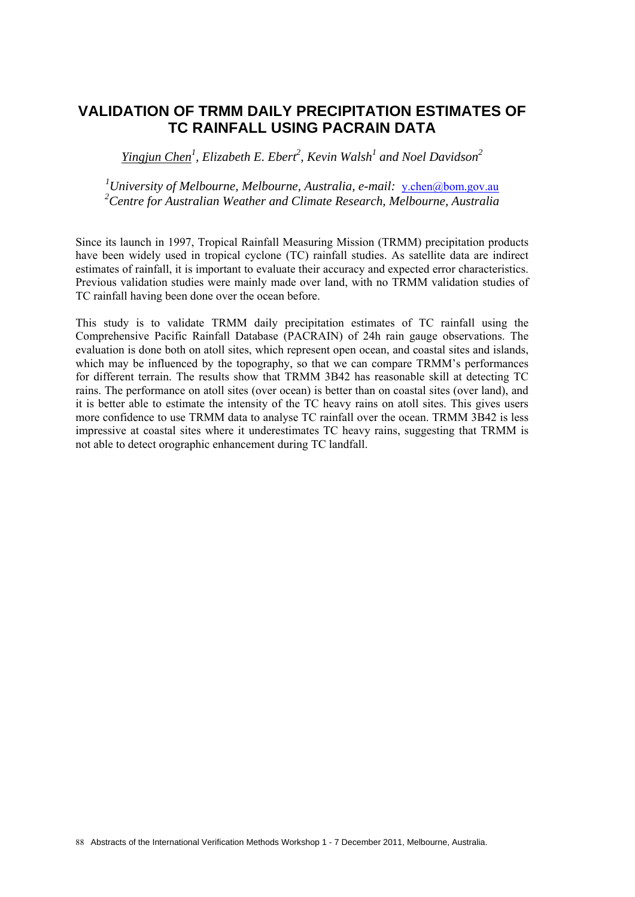## **VALIDATION OF TRMM DAILY PRECIPITATION ESTIMATES OF TC RAINFALL USING PACRAIN DATA**

*Yingjun Chen<sup>1</sup> , Elizabeth E. Ebert<sup>2</sup> , Kevin Walsh1 and Noel Davidson<sup>2</sup>*

<sup>1</sup> University of Melbourne, Melbourne, Australia, e-mail: y.chen@bom.gov.au *2 Centre for Australian Weather and Climate Research, Melbourne, Australia* 

Since its launch in 1997, Tropical Rainfall Measuring Mission (TRMM) precipitation products have been widely used in tropical cyclone (TC) rainfall studies. As satellite data are indirect estimates of rainfall, it is important to evaluate their accuracy and expected error characteristics. Previous validation studies were mainly made over land, with no TRMM validation studies of TC rainfall having been done over the ocean before.

This study is to validate TRMM daily precipitation estimates of TC rainfall using the Comprehensive Pacific Rainfall Database (PACRAIN) of 24h rain gauge observations. The evaluation is done both on atoll sites, which represent open ocean, and coastal sites and islands, which may be influenced by the topography, so that we can compare TRMM's performances for different terrain. The results show that TRMM 3B42 has reasonable skill at detecting TC rains. The performance on atoll sites (over ocean) is better than on coastal sites (over land), and it is better able to estimate the intensity of the TC heavy rains on atoll sites. This gives users more confidence to use TRMM data to analyse TC rainfall over the ocean. TRMM 3B42 is less impressive at coastal sites where it underestimates TC heavy rains, suggesting that TRMM is not able to detect orographic enhancement during TC landfall.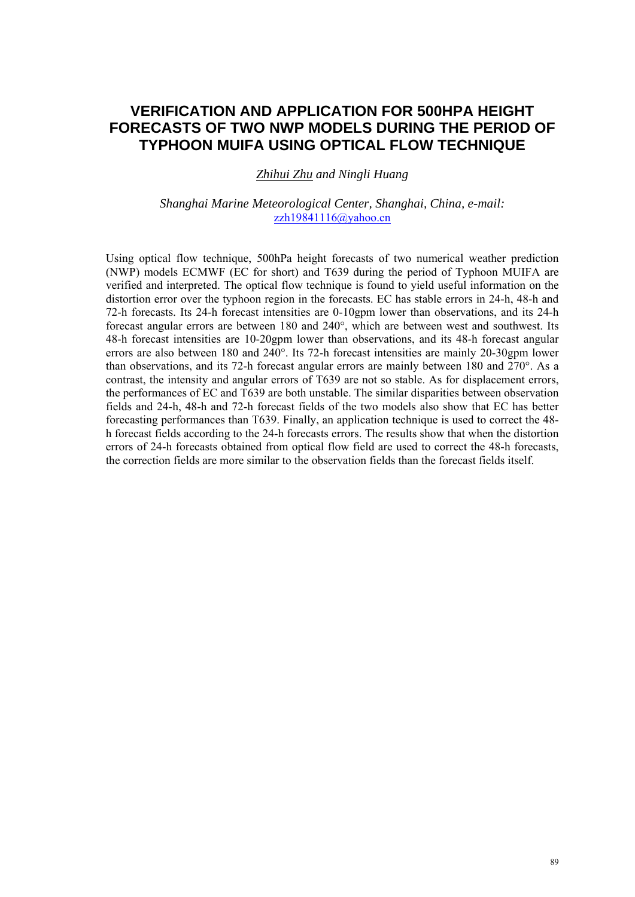## **VERIFICATION AND APPLICATION FOR 500HPA HEIGHT FORECASTS OF TWO NWP MODELS DURING THE PERIOD OF TYPHOON MUIFA USING OPTICAL FLOW TECHNIQUE**

*Zhihui Zhu and Ningli Huang* 

### *Shanghai Marine Meteorological Center, Shanghai, China, e-mail:*  zzh19841116@yahoo.cn

Using optical flow technique, 500hPa height forecasts of two numerical weather prediction (NWP) models ECMWF (EC for short) and T639 during the period of Typhoon MUIFA are verified and interpreted. The optical flow technique is found to yield useful information on the distortion error over the typhoon region in the forecasts. EC has stable errors in 24-h, 48-h and 72-h forecasts. Its 24-h forecast intensities are 0-10gpm lower than observations, and its 24-h forecast angular errors are between 180 and 240°, which are between west and southwest. Its 48-h forecast intensities are 10-20gpm lower than observations, and its 48-h forecast angular errors are also between 180 and 240°. Its 72-h forecast intensities are mainly 20-30gpm lower than observations, and its 72-h forecast angular errors are mainly between 180 and 270°. As a contrast, the intensity and angular errors of T639 are not so stable. As for displacement errors, the performances of EC and T639 are both unstable. The similar disparities between observation fields and 24-h, 48-h and 72-h forecast fields of the two models also show that EC has better forecasting performances than T639. Finally, an application technique is used to correct the 48 h forecast fields according to the 24-h forecasts errors. The results show that when the distortion errors of 24-h forecasts obtained from optical flow field are used to correct the 48-h forecasts, the correction fields are more similar to the observation fields than the forecast fields itself.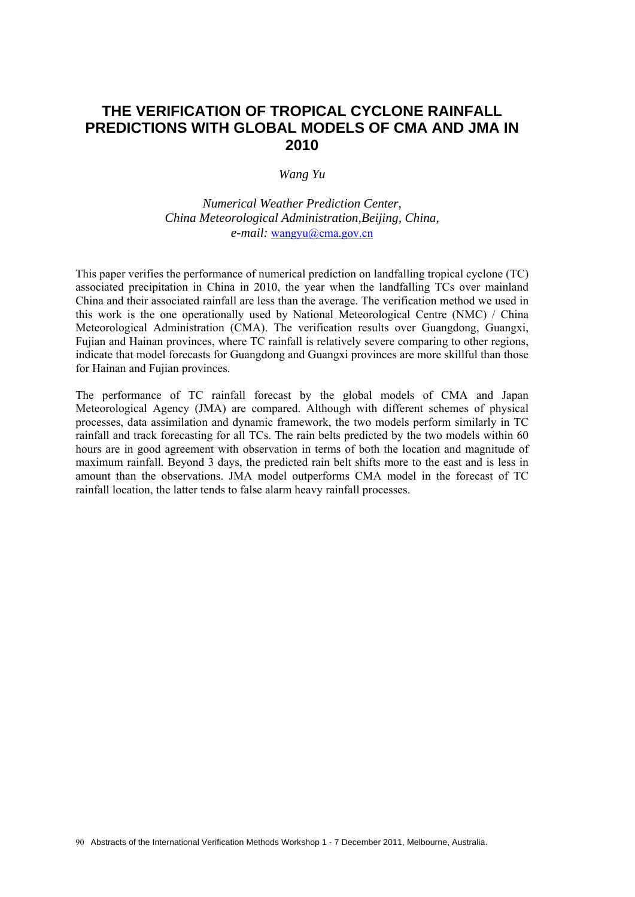## **THE VERIFICATION OF TROPICAL CYCLONE RAINFALL PREDICTIONS WITH GLOBAL MODELS OF CMA AND JMA IN 2010**

#### *Wang Yu*

*Numerical Weather Prediction Center, China Meteorological Administration,Beijing, China, e-mail:* wangyu@cma.gov.cn

This paper verifies the performance of numerical prediction on landfalling tropical cyclone (TC) associated precipitation in China in 2010, the year when the landfalling TCs over mainland China and their associated rainfall are less than the average. The verification method we used in this work is the one operationally used by National Meteorological Centre (NMC) / China Meteorological Administration (CMA). The verification results over Guangdong, Guangxi, Fujian and Hainan provinces, where TC rainfall is relatively severe comparing to other regions, indicate that model forecasts for Guangdong and Guangxi provinces are more skillful than those for Hainan and Fujian provinces.

The performance of TC rainfall forecast by the global models of CMA and Japan Meteorological Agency (JMA) are compared. Although with different schemes of physical processes, data assimilation and dynamic framework, the two models perform similarly in TC rainfall and track forecasting for all TCs. The rain belts predicted by the two models within 60 hours are in good agreement with observation in terms of both the location and magnitude of maximum rainfall. Beyond 3 days, the predicted rain belt shifts more to the east and is less in amount than the observations. JMA model outperforms CMA model in the forecast of TC rainfall location, the latter tends to false alarm heavy rainfall processes.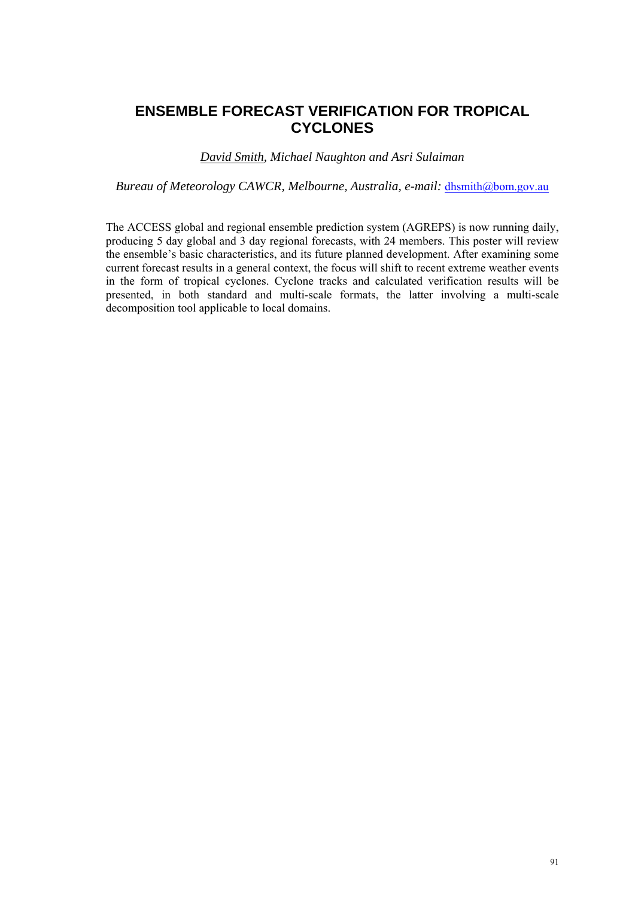# **ENSEMBLE FORECAST VERIFICATION FOR TROPICAL CYCLONES**

### *David Smith, Michael Naughton and Asri Sulaiman*

*Bureau of Meteorology CAWCR, Melbourne, Australia, e-mail:* dhsmith@bom.gov.au

The ACCESS global and regional ensemble prediction system (AGREPS) is now running daily, producing 5 day global and 3 day regional forecasts, with 24 members. This poster will review the ensemble's basic characteristics, and its future planned development. After examining some current forecast results in a general context, the focus will shift to recent extreme weather events in the form of tropical cyclones. Cyclone tracks and calculated verification results will be presented, in both standard and multi-scale formats, the latter involving a multi-scale decomposition tool applicable to local domains.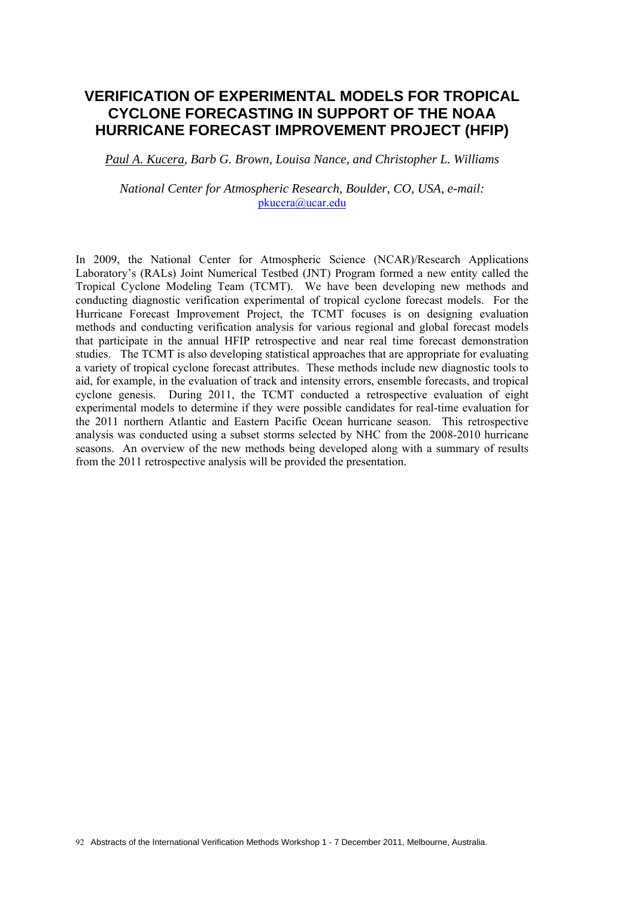# **VERIFICATION OF EXPERIMENTAL MODELS FOR TROPICAL CYCLONE FORECASTING IN SUPPORT OF THE NOAA HURRICANE FORECAST IMPROVEMENT PROJECT (HFIP)**

*Paul A. Kucera, Barb G. Brown, Louisa Nance, and Christopher L. Williams* 

*National Center for Atmospheric Research, Boulder, CO, USA, e-mail:*  pkucera@ucar.edu

In 2009, the National Center for Atmospheric Science (NCAR)/Research Applications Laboratory's (RALs) Joint Numerical Testbed (JNT) Program formed a new entity called the Tropical Cyclone Modeling Team (TCMT). We have been developing new methods and conducting diagnostic verification experimental of tropical cyclone forecast models. For the Hurricane Forecast Improvement Project, the TCMT focuses is on designing evaluation methods and conducting verification analysis for various regional and global forecast models that participate in the annual HFIP retrospective and near real time forecast demonstration studies. The TCMT is also developing statistical approaches that are appropriate for evaluating a variety of tropical cyclone forecast attributes. These methods include new diagnostic tools to aid, for example, in the evaluation of track and intensity errors, ensemble forecasts, and tropical cyclone genesis. During 2011, the TCMT conducted a retrospective evaluation of eight experimental models to determine if they were possible candidates for real-time evaluation for the 2011 northern Atlantic and Eastern Pacific Ocean hurricane season. This retrospective analysis was conducted using a subset storms selected by NHC from the 2008-2010 hurricane seasons. An overview of the new methods being developed along with a summary of results from the 2011 retrospective analysis will be provided the presentation.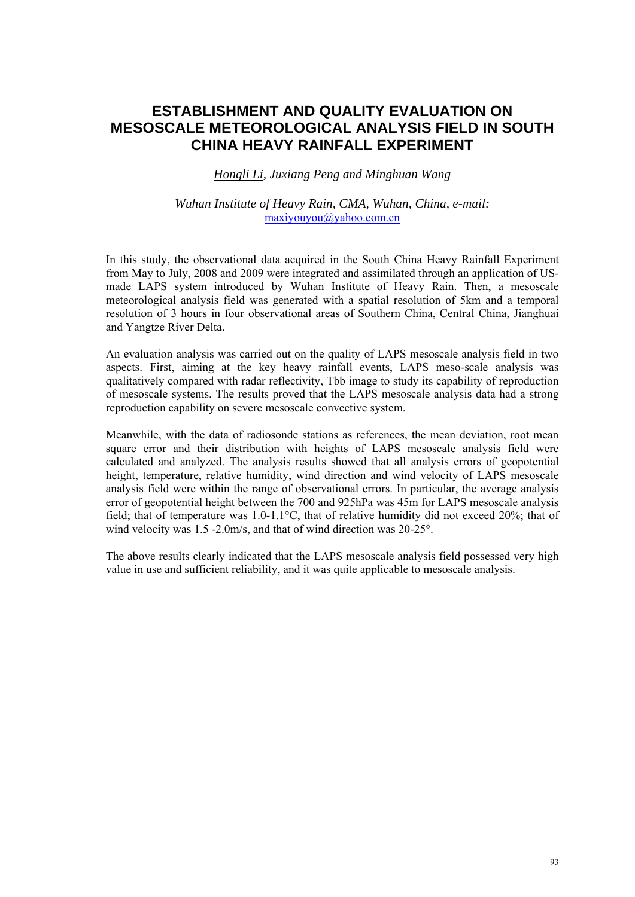## **ESTABLISHMENT AND QUALITY EVALUATION ON MESOSCALE METEOROLOGICAL ANALYSIS FIELD IN SOUTH CHINA HEAVY RAINFALL EXPERIMENT**

*Hongli Li, Juxiang Peng and Minghuan Wang* 

### *Wuhan Institute of Heavy Rain, CMA, Wuhan, China, e-mail:*  maxiyouyou@yahoo.com.cn

In this study, the observational data acquired in the South China Heavy Rainfall Experiment from May to July, 2008 and 2009 were integrated and assimilated through an application of USmade LAPS system introduced by Wuhan Institute of Heavy Rain. Then, a mesoscale meteorological analysis field was generated with a spatial resolution of 5km and a temporal resolution of 3 hours in four observational areas of Southern China, Central China, Jianghuai and Yangtze River Delta.

An evaluation analysis was carried out on the quality of LAPS mesoscale analysis field in two aspects. First, aiming at the key heavy rainfall events, LAPS meso-scale analysis was qualitatively compared with radar reflectivity, Tbb image to study its capability of reproduction of mesoscale systems. The results proved that the LAPS mesoscale analysis data had a strong reproduction capability on severe mesoscale convective system.

Meanwhile, with the data of radiosonde stations as references, the mean deviation, root mean square error and their distribution with heights of LAPS mesoscale analysis field were calculated and analyzed. The analysis results showed that all analysis errors of geopotential height, temperature, relative humidity, wind direction and wind velocity of LAPS mesoscale analysis field were within the range of observational errors. In particular, the average analysis error of geopotential height between the 700 and 925hPa was 45m for LAPS mesoscale analysis field; that of temperature was 1.0-1.1°C, that of relative humidity did not exceed 20%; that of wind velocity was 1.5 -2.0m/s, and that of wind direction was 20-25°.

The above results clearly indicated that the LAPS mesoscale analysis field possessed very high value in use and sufficient reliability, and it was quite applicable to mesoscale analysis.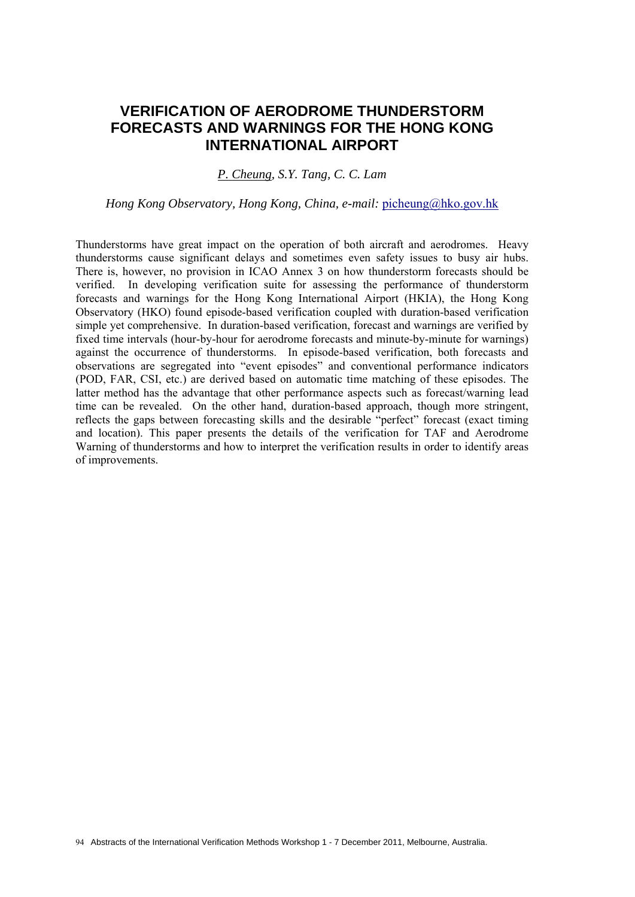## **VERIFICATION OF AERODROME THUNDERSTORM FORECASTS AND WARNINGS FOR THE HONG KONG INTERNATIONAL AIRPORT**

### *P. Cheung, S.Y. Tang, C. C. Lam*

*Hong Kong Observatory, Hong Kong, China, e-mail: picheung@hko.gov.hk* 

Thunderstorms have great impact on the operation of both aircraft and aerodromes. Heavy thunderstorms cause significant delays and sometimes even safety issues to busy air hubs. There is, however, no provision in ICAO Annex 3 on how thunderstorm forecasts should be verified. In developing verification suite for assessing the performance of thunderstorm forecasts and warnings for the Hong Kong International Airport (HKIA), the Hong Kong Observatory (HKO) found episode-based verification coupled with duration-based verification simple yet comprehensive. In duration-based verification, forecast and warnings are verified by fixed time intervals (hour-by-hour for aerodrome forecasts and minute-by-minute for warnings) against the occurrence of thunderstorms. In episode-based verification, both forecasts and observations are segregated into "event episodes" and conventional performance indicators (POD, FAR, CSI, etc.) are derived based on automatic time matching of these episodes. The latter method has the advantage that other performance aspects such as forecast/warning lead time can be revealed. On the other hand, duration-based approach, though more stringent, reflects the gaps between forecasting skills and the desirable "perfect" forecast (exact timing and location). This paper presents the details of the verification for TAF and Aerodrome Warning of thunderstorms and how to interpret the verification results in order to identify areas of improvements.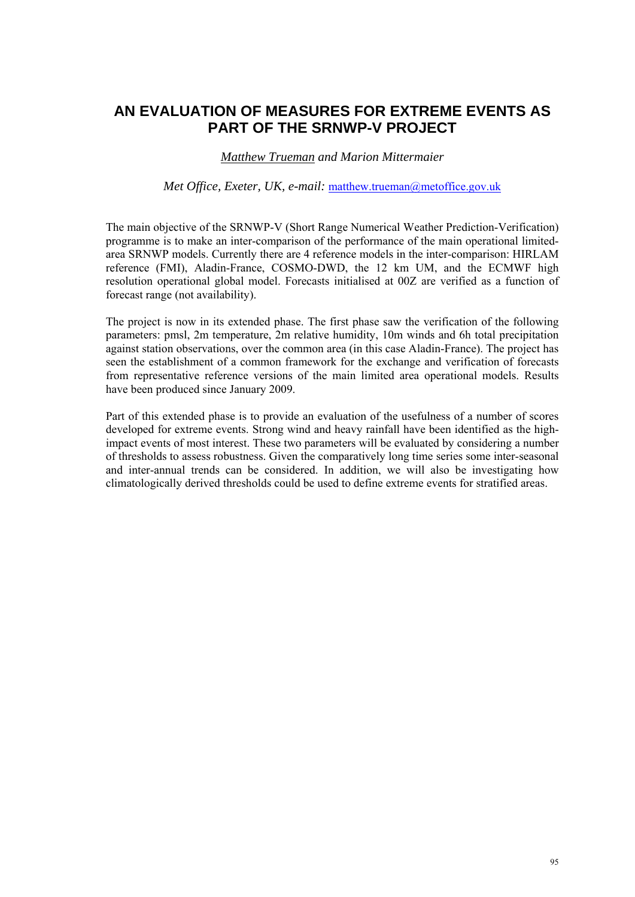# **AN EVALUATION OF MEASURES FOR EXTREME EVENTS AS PART OF THE SRNWP-V PROJECT**

### *Matthew Trueman and Marion Mittermaier*

#### *Met Office, Exeter, UK, e-mail: matthew.trueman@metoffice.gov.uk*

The main objective of the SRNWP-V (Short Range Numerical Weather Prediction-Verification) programme is to make an inter-comparison of the performance of the main operational limitedarea SRNWP models. Currently there are 4 reference models in the inter-comparison: HIRLAM reference (FMI), Aladin-France, COSMO-DWD, the 12 km UM, and the ECMWF high resolution operational global model. Forecasts initialised at 00Z are verified as a function of forecast range (not availability).

The project is now in its extended phase. The first phase saw the verification of the following parameters: pmsl, 2m temperature, 2m relative humidity, 10m winds and 6h total precipitation against station observations, over the common area (in this case Aladin-France). The project has seen the establishment of a common framework for the exchange and verification of forecasts from representative reference versions of the main limited area operational models. Results have been produced since January 2009.

Part of this extended phase is to provide an evaluation of the usefulness of a number of scores developed for extreme events. Strong wind and heavy rainfall have been identified as the highimpact events of most interest. These two parameters will be evaluated by considering a number of thresholds to assess robustness. Given the comparatively long time series some inter-seasonal and inter-annual trends can be considered. In addition, we will also be investigating how climatologically derived thresholds could be used to define extreme events for stratified areas.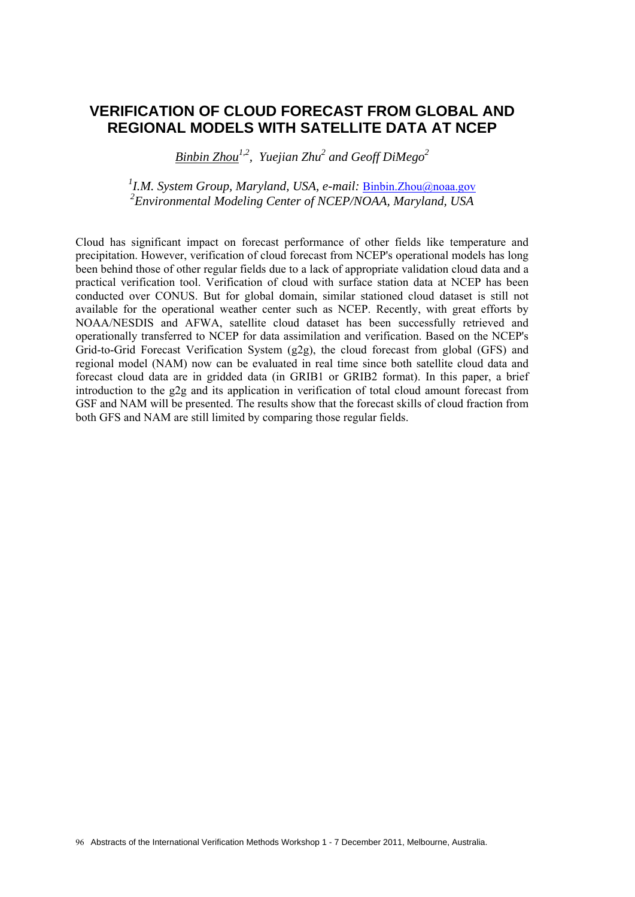### **VERIFICATION OF CLOUD FORECAST FROM GLOBAL AND REGIONAL MODELS WITH SATELLITE DATA AT NCEP**

*Binbin Zhou1,2, Yuejian Zhu2 and Geoff DiMego2*

<sup>1</sup> I.M. System Group, Maryland, USA, e-mail: <u>Binbin.Zhou@noaa.gov</u> *2 Environmental Modeling Center of NCEP/NOAA, Maryland, USA* 

Cloud has significant impact on forecast performance of other fields like temperature and precipitation. However, verification of cloud forecast from NCEP's operational models has long been behind those of other regular fields due to a lack of appropriate validation cloud data and a practical verification tool. Verification of cloud with surface station data at NCEP has been conducted over CONUS. But for global domain, similar stationed cloud dataset is still not available for the operational weather center such as NCEP. Recently, with great efforts by NOAA/NESDIS and AFWA, satellite cloud dataset has been successfully retrieved and operationally transferred to NCEP for data assimilation and verification. Based on the NCEP's Grid-to-Grid Forecast Verification System (g2g), the cloud forecast from global (GFS) and regional model (NAM) now can be evaluated in real time since both satellite cloud data and forecast cloud data are in gridded data (in GRIB1 or GRIB2 format). In this paper, a brief introduction to the g2g and its application in verification of total cloud amount forecast from GSF and NAM will be presented. The results show that the forecast skills of cloud fraction from both GFS and NAM are still limited by comparing those regular fields.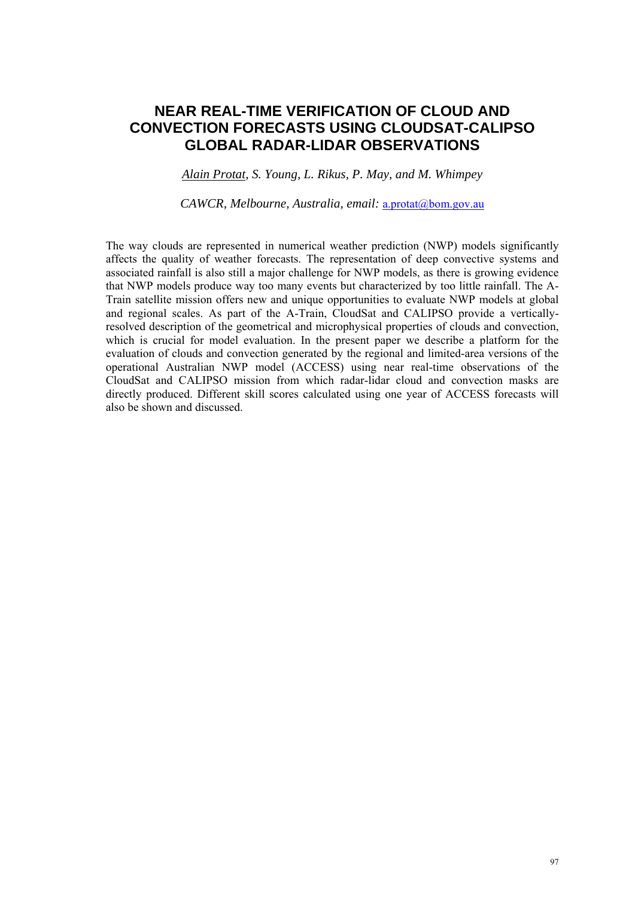### **NEAR REAL-TIME VERIFICATION OF CLOUD AND CONVECTION FORECASTS USING CLOUDSAT-CALIPSO GLOBAL RADAR-LIDAR OBSERVATIONS**

*Alain Protat, S. Young, L. Rikus, P. May, and M. Whimpey* 

*CAWCR, Melbourne, Australia, email:* a.protat@bom.gov.au

The way clouds are represented in numerical weather prediction (NWP) models significantly affects the quality of weather forecasts. The representation of deep convective systems and associated rainfall is also still a major challenge for NWP models, as there is growing evidence that NWP models produce way too many events but characterized by too little rainfall. The A-Train satellite mission offers new and unique opportunities to evaluate NWP models at global and regional scales. As part of the A-Train, CloudSat and CALIPSO provide a verticallyresolved description of the geometrical and microphysical properties of clouds and convection, which is crucial for model evaluation. In the present paper we describe a platform for the evaluation of clouds and convection generated by the regional and limited-area versions of the operational Australian NWP model (ACCESS) using near real-time observations of the CloudSat and CALIPSO mission from which radar-lidar cloud and convection masks are directly produced. Different skill scores calculated using one year of ACCESS forecasts will also be shown and discussed.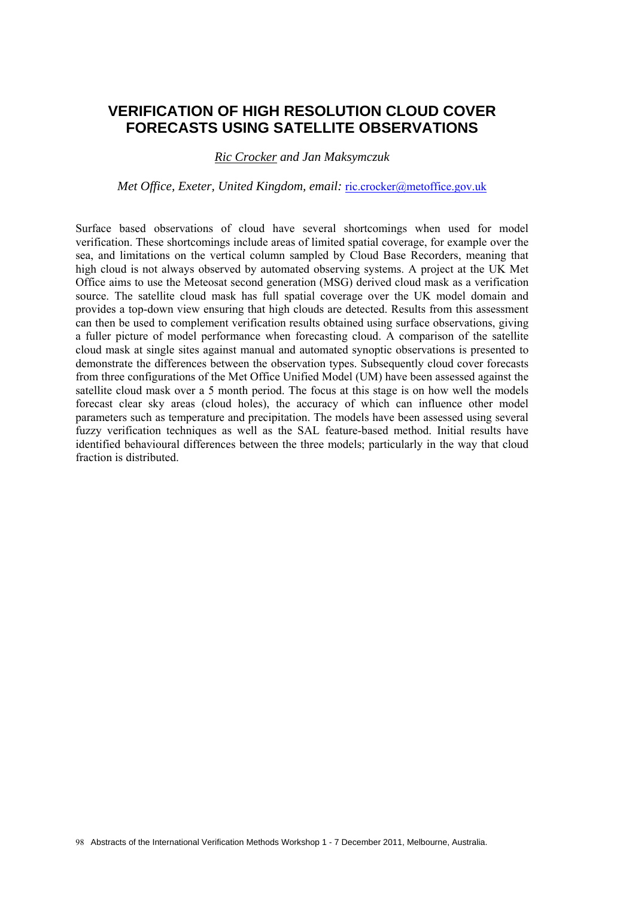### **VERIFICATION OF HIGH RESOLUTION CLOUD COVER FORECASTS USING SATELLITE OBSERVATIONS**

#### *Ric Crocker and Jan Maksymczuk*

*Met Office, Exeter, United Kingdom, email: ric.crocker@metoffice.gov.uk* 

Surface based observations of cloud have several shortcomings when used for model verification. These shortcomings include areas of limited spatial coverage, for example over the sea, and limitations on the vertical column sampled by Cloud Base Recorders, meaning that high cloud is not always observed by automated observing systems. A project at the UK Met Office aims to use the Meteosat second generation (MSG) derived cloud mask as a verification source. The satellite cloud mask has full spatial coverage over the UK model domain and provides a top-down view ensuring that high clouds are detected. Results from this assessment can then be used to complement verification results obtained using surface observations, giving a fuller picture of model performance when forecasting cloud. A comparison of the satellite cloud mask at single sites against manual and automated synoptic observations is presented to demonstrate the differences between the observation types. Subsequently cloud cover forecasts from three configurations of the Met Office Unified Model (UM) have been assessed against the satellite cloud mask over a 5 month period. The focus at this stage is on how well the models forecast clear sky areas (cloud holes), the accuracy of which can influence other model parameters such as temperature and precipitation. The models have been assessed using several fuzzy verification techniques as well as the SAL feature-based method. Initial results have identified behavioural differences between the three models; particularly in the way that cloud fraction is distributed.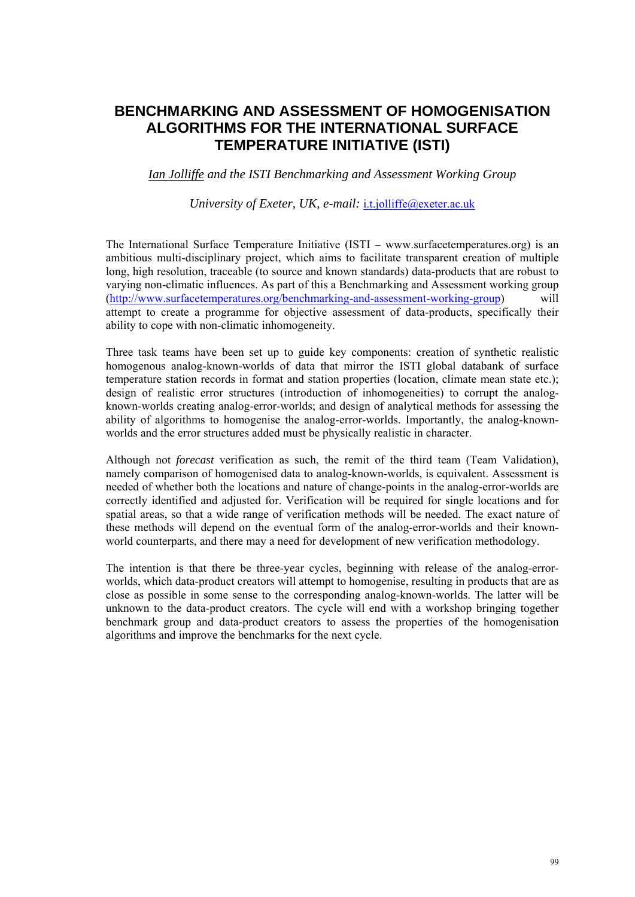# **BENCHMARKING AND ASSESSMENT OF HOMOGENISATION ALGORITHMS FOR THE INTERNATIONAL SURFACE TEMPERATURE INITIATIVE (ISTI)**

*Ian Jolliffe and the ISTI Benchmarking and Assessment Working Group* 

*University of Exeter, UK, e-mail:* i.t.jolliffe@exeter.ac.uk

The International Surface Temperature Initiative (ISTI – www.surfacetemperatures.org) is an ambitious multi-disciplinary project, which aims to facilitate transparent creation of multiple long, high resolution, traceable (to source and known standards) data-products that are robust to varying non-climatic influences. As part of this a Benchmarking and Assessment working group (http://www.surfacetemperatures.org/benchmarking-and-assessment-working-group) will attempt to create a programme for objective assessment of data-products, specifically their ability to cope with non-climatic inhomogeneity.

Three task teams have been set up to guide key components: creation of synthetic realistic homogenous analog-known-worlds of data that mirror the ISTI global databank of surface temperature station records in format and station properties (location, climate mean state etc.); design of realistic error structures (introduction of inhomogeneities) to corrupt the analogknown-worlds creating analog-error-worlds; and design of analytical methods for assessing the ability of algorithms to homogenise the analog-error-worlds. Importantly, the analog-knownworlds and the error structures added must be physically realistic in character.

Although not *forecast* verification as such, the remit of the third team (Team Validation), namely comparison of homogenised data to analog-known-worlds, is equivalent. Assessment is needed of whether both the locations and nature of change-points in the analog-error-worlds are correctly identified and adjusted for. Verification will be required for single locations and for spatial areas, so that a wide range of verification methods will be needed. The exact nature of these methods will depend on the eventual form of the analog-error-worlds and their knownworld counterparts, and there may a need for development of new verification methodology.

The intention is that there be three-year cycles, beginning with release of the analog-errorworlds, which data-product creators will attempt to homogenise, resulting in products that are as close as possible in some sense to the corresponding analog-known-worlds. The latter will be unknown to the data-product creators. The cycle will end with a workshop bringing together benchmark group and data-product creators to assess the properties of the homogenisation algorithms and improve the benchmarks for the next cycle.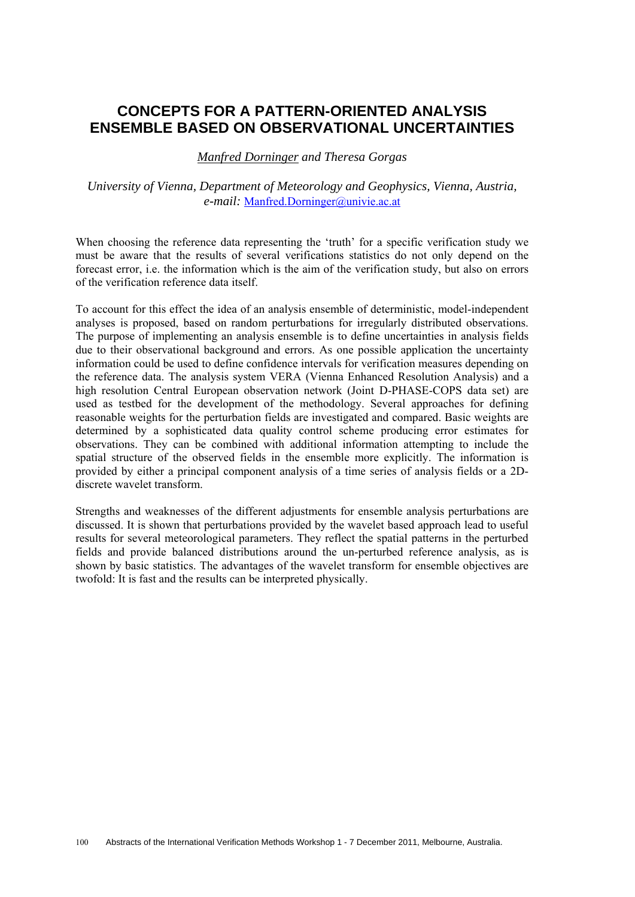# **CONCEPTS FOR A PATTERN-ORIENTED ANALYSIS ENSEMBLE BASED ON OBSERVATIONAL UNCERTAINTIES**

*Manfred Dorninger and Theresa Gorgas* 

#### *University of Vienna, Department of Meteorology and Geophysics, Vienna, Austria, e-mail:* Manfred.Dorninger@univie.ac.at

When choosing the reference data representing the 'truth' for a specific verification study we must be aware that the results of several verifications statistics do not only depend on the forecast error, i.e. the information which is the aim of the verification study, but also on errors of the verification reference data itself.

To account for this effect the idea of an analysis ensemble of deterministic, model-independent analyses is proposed, based on random perturbations for irregularly distributed observations. The purpose of implementing an analysis ensemble is to define uncertainties in analysis fields due to their observational background and errors. As one possible application the uncertainty information could be used to define confidence intervals for verification measures depending on the reference data. The analysis system VERA (Vienna Enhanced Resolution Analysis) and a high resolution Central European observation network (Joint D-PHASE-COPS data set) are used as testbed for the development of the methodology. Several approaches for defining reasonable weights for the perturbation fields are investigated and compared. Basic weights are determined by a sophisticated data quality control scheme producing error estimates for observations. They can be combined with additional information attempting to include the spatial structure of the observed fields in the ensemble more explicitly. The information is provided by either a principal component analysis of a time series of analysis fields or a 2Ddiscrete wavelet transform.

Strengths and weaknesses of the different adjustments for ensemble analysis perturbations are discussed. It is shown that perturbations provided by the wavelet based approach lead to useful results for several meteorological parameters. They reflect the spatial patterns in the perturbed fields and provide balanced distributions around the un-perturbed reference analysis, as is shown by basic statistics. The advantages of the wavelet transform for ensemble objectives are twofold: It is fast and the results can be interpreted physically.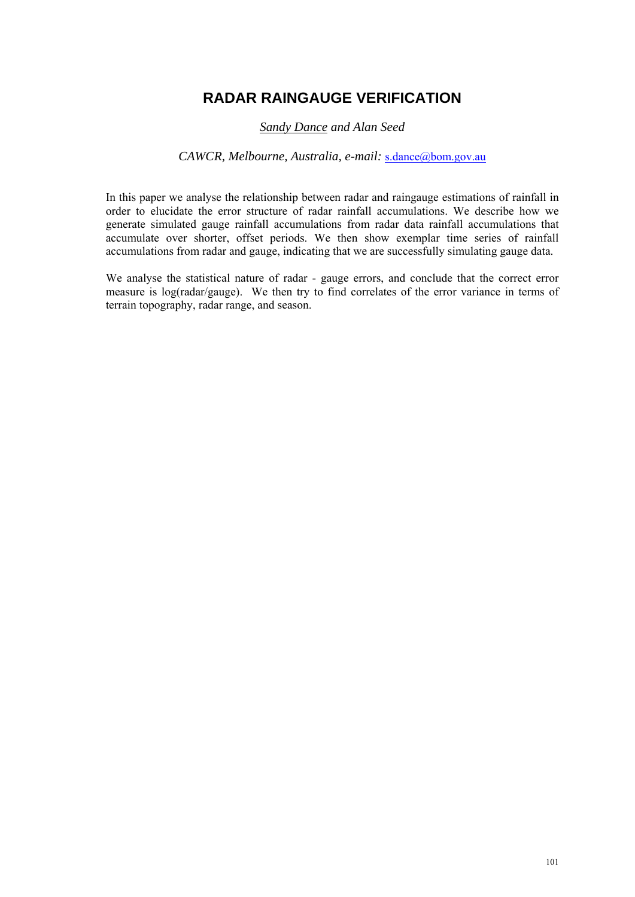# **RADAR RAINGAUGE VERIFICATION**

### *Sandy Dance and Alan Seed*

#### *CAWCR, Melbourne, Australia, e-mail:* s.dance@bom.gov.au

In this paper we analyse the relationship between radar and raingauge estimations of rainfall in order to elucidate the error structure of radar rainfall accumulations. We describe how we generate simulated gauge rainfall accumulations from radar data rainfall accumulations that accumulate over shorter, offset periods. We then show exemplar time series of rainfall accumulations from radar and gauge, indicating that we are successfully simulating gauge data.

We analyse the statistical nature of radar - gauge errors, and conclude that the correct error measure is log(radar/gauge). We then try to find correlates of the error variance in terms of terrain topography, radar range, and season.